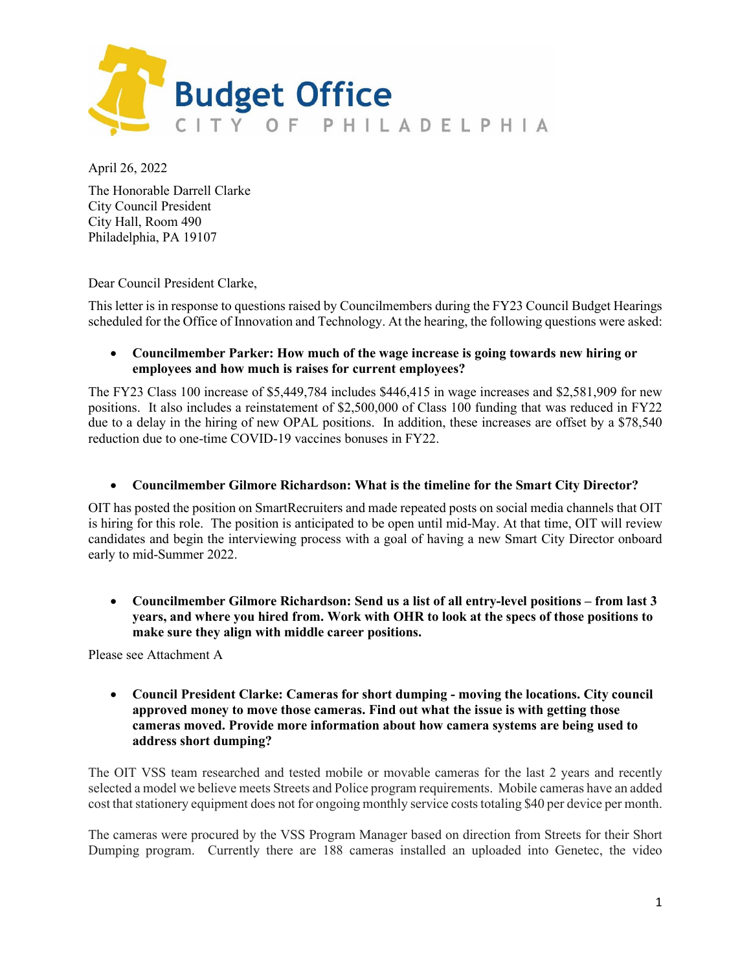

April 26, 2022

The Honorable Darrell Clarke City Council President City Hall, Room 490 Philadelphia, PA 19107

Dear Council President Clarke,

This letter is in response to questions raised by Councilmembers during the FY23 Council Budget Hearings scheduled for the Office of Innovation and Technology. At the hearing, the following questions were asked:

#### • **Councilmember Parker: How much of the wage increase is going towards new hiring or employees and how much is raises for current employees?**

The FY23 Class 100 increase of \$5,449,784 includes \$446,415 in wage increases and \$2,581,909 for new positions. It also includes a reinstatement of \$2,500,000 of Class 100 funding that was reduced in FY22 due to a delay in the hiring of new OPAL positions. In addition, these increases are offset by a \$78,540 reduction due to one-time COVID-19 vaccines bonuses in FY22.

#### • **Councilmember Gilmore Richardson: What is the timeline for the Smart City Director?**

OIT has posted the position on SmartRecruiters and made repeated posts on social media channels that OIT is hiring for this role. The position is anticipated to be open until mid-May. At that time, OIT will review candidates and begin the interviewing process with a goal of having a new Smart City Director onboard early to mid-Summer 2022.

• **Councilmember Gilmore Richardson: Send us a list of all entry-level positions – from last 3 years, and where you hired from. Work with OHR to look at the specs of those positions to make sure they align with middle career positions.**

Please see Attachment A

• **Council President Clarke: Cameras for short dumping - moving the locations. City council approved money to move those cameras. Find out what the issue is with getting those cameras moved. Provide more information about how camera systems are being used to address short dumping?**

The OIT VSS team researched and tested mobile or movable cameras for the last 2 years and recently selected a model we believe meets Streets and Police program requirements. Mobile cameras have an added cost that stationery equipment does not for ongoing monthly service coststotaling \$40 per device per month.

The cameras were procured by the VSS Program Manager based on direction from Streets for their Short Dumping program. Currently there are 188 cameras installed an uploaded into Genetec, the video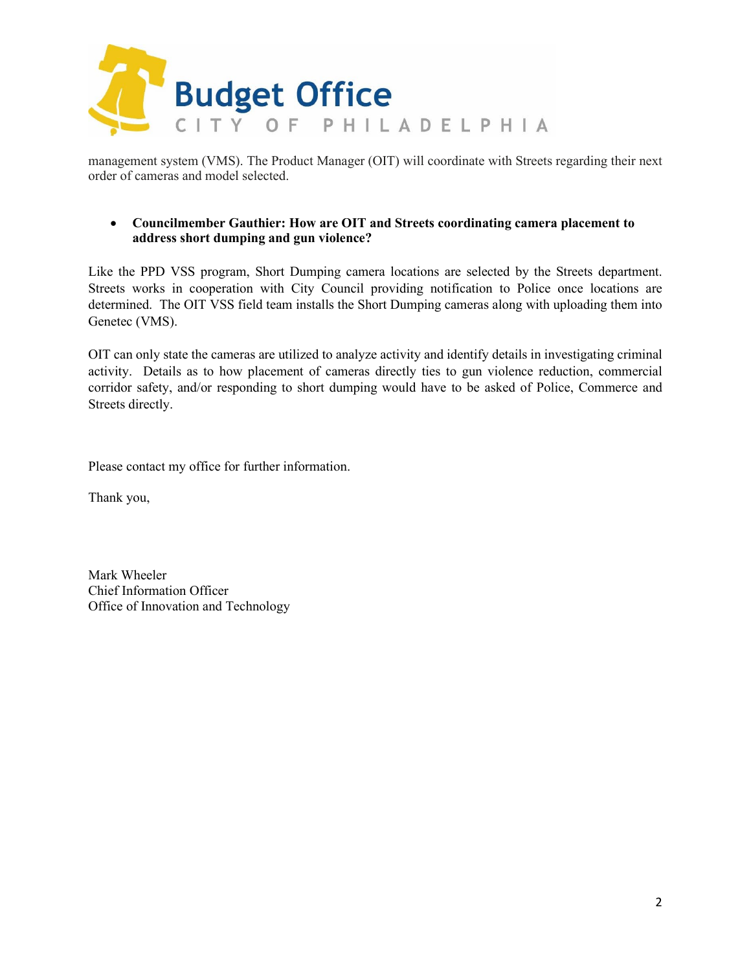

management system (VMS). The Product Manager (OIT) will coordinate with Streets regarding their next order of cameras and model selected.

#### • **Councilmember Gauthier: How are OIT and Streets coordinating camera placement to address short dumping and gun violence?**

Like the PPD VSS program, Short Dumping camera locations are selected by the Streets department. Streets works in cooperation with City Council providing notification to Police once locations are determined. The OIT VSS field team installs the Short Dumping cameras along with uploading them into Genetec (VMS).

OIT can only state the cameras are utilized to analyze activity and identify details in investigating criminal activity. Details as to how placement of cameras directly ties to gun violence reduction, commercial corridor safety, and/or responding to short dumping would have to be asked of Police, Commerce and Streets directly.

Please contact my office for further information.

Thank you,

Mark Wheeler Chief Information Officer Office of Innovation and Technology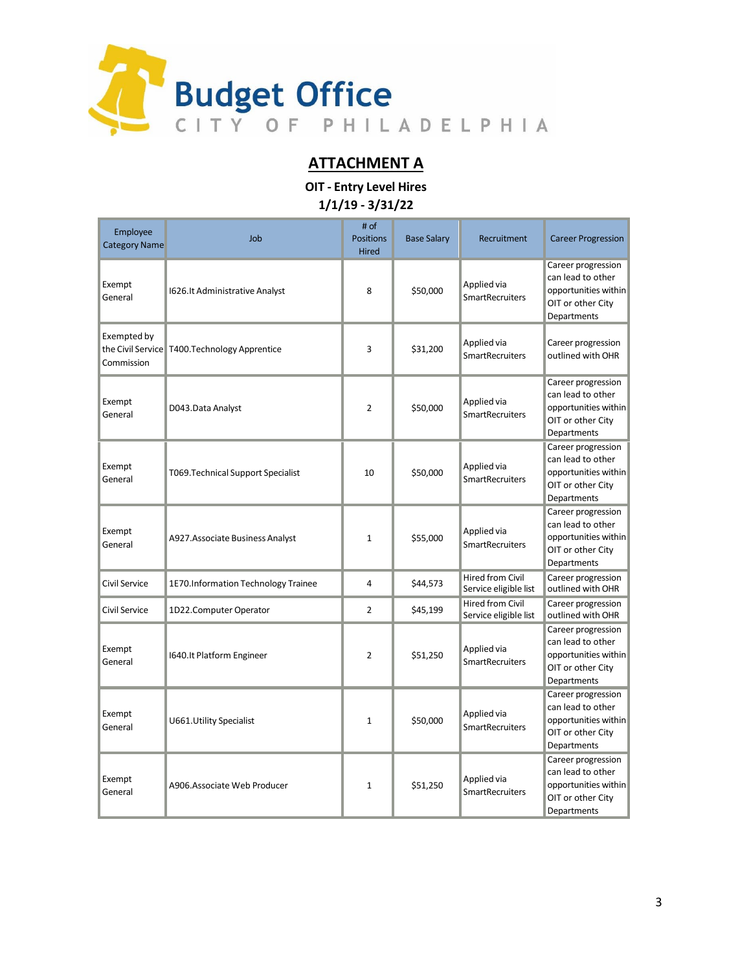

### **ATTACHMENT A**

**OIT - Entry Level Hires 1/1/19 - 3/31/22**

| Employee<br><b>Category Name</b> | Job                                             | # of<br><b>Positions</b><br><b>Hired</b> | <b>Base Salary</b> | Recruitment                                      | <b>Career Progression</b>                                                                           |
|----------------------------------|-------------------------------------------------|------------------------------------------|--------------------|--------------------------------------------------|-----------------------------------------------------------------------------------------------------|
| Exempt<br>General                | 1626.It Administrative Analyst                  | 8                                        | \$50,000           | Applied via<br><b>SmartRecruiters</b>            | Career progression<br>can lead to other<br>opportunities within<br>OIT or other City<br>Departments |
| Exempted by<br>Commission        | the Civil Service   T400. Technology Apprentice | 3                                        | \$31,200           | Applied via<br><b>SmartRecruiters</b>            | Career progression<br>outlined with OHR                                                             |
| Exempt<br>General                | D043.Data Analyst                               | $\overline{2}$                           | \$50,000           | Applied via<br><b>SmartRecruiters</b>            | Career progression<br>can lead to other<br>opportunities within<br>OIT or other City<br>Departments |
| Exempt<br>General                | T069. Technical Support Specialist              | 10                                       | \$50,000           | Applied via<br><b>SmartRecruiters</b>            | Career progression<br>can lead to other<br>opportunities within<br>OIT or other City<br>Departments |
| Exempt<br>General                | A927.Associate Business Analyst                 | $\mathbf{1}$                             | \$55,000           | Applied via<br><b>SmartRecruiters</b>            | Career progression<br>can lead to other<br>opportunities within<br>OIT or other City<br>Departments |
| Civil Service                    | 1E70.Information Technology Trainee             | 4                                        | \$44,573           | Hired from Civil<br>Service eligible list        | Career progression<br>outlined with OHR                                                             |
| Civil Service                    | 1D22.Computer Operator                          | $\overline{2}$                           | \$45,199           | <b>Hired from Civil</b><br>Service eligible list | Career progression<br>outlined with OHR                                                             |
| Exempt<br>General                | 1640.It Platform Engineer                       | $\overline{2}$                           | \$51,250           | Applied via<br><b>SmartRecruiters</b>            | Career progression<br>can lead to other<br>opportunities within<br>OIT or other City<br>Departments |
| Exempt<br>General                | U661. Utility Specialist                        | $\mathbf{1}$                             | \$50,000           | Applied via<br><b>SmartRecruiters</b>            | Career progression<br>can lead to other<br>opportunities within<br>OIT or other City<br>Departments |
| Exempt<br>General                | A906.Associate Web Producer                     | $\mathbf 1$                              | \$51,250           | Applied via<br><b>SmartRecruiters</b>            | Career progression<br>can lead to other<br>opportunities within<br>OIT or other City<br>Departments |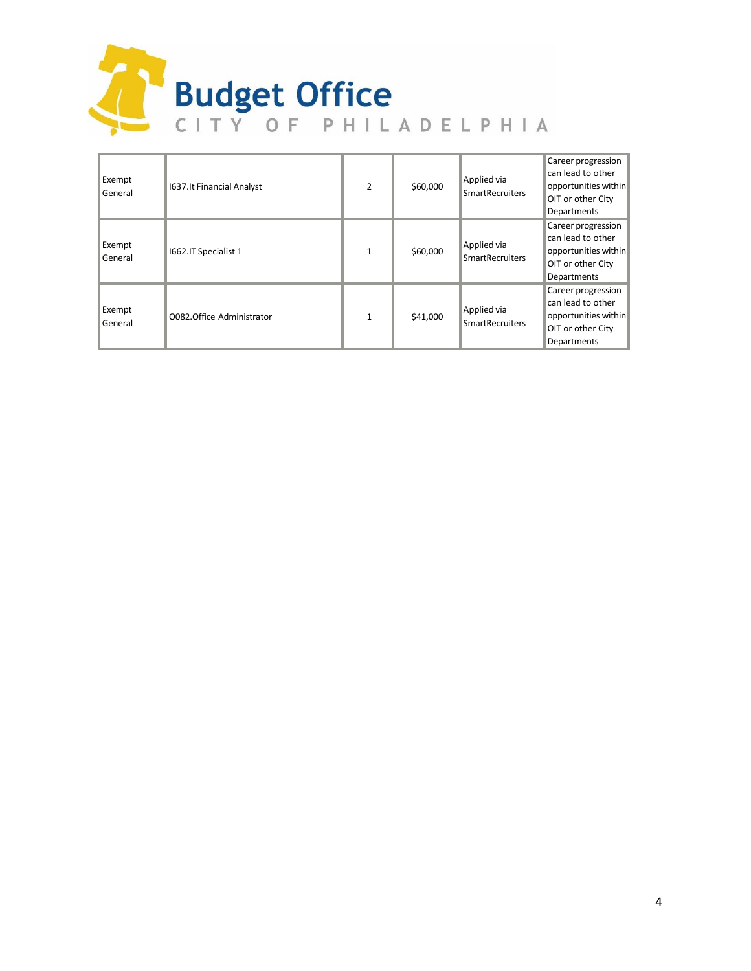

| Exempt<br>General | 1637.It Financial Analyst | $\overline{2}$ | \$60,000 | Applied via<br><b>SmartRecruiters</b> | Career progression<br>can lead to other<br>opportunities within<br>OIT or other City<br>Departments |
|-------------------|---------------------------|----------------|----------|---------------------------------------|-----------------------------------------------------------------------------------------------------|
| Exempt<br>General | 1662.IT Specialist 1      | $\mathbf{1}$   | \$60,000 | Applied via<br><b>SmartRecruiters</b> | Career progression<br>can lead to other<br>opportunities within<br>OIT or other City<br>Departments |
| Exempt<br>General | O082.Office Administrator | $\mathbf{1}$   | \$41,000 | Applied via<br><b>SmartRecruiters</b> | Career progression<br>can lead to other<br>opportunities within<br>OIT or other City<br>Departments |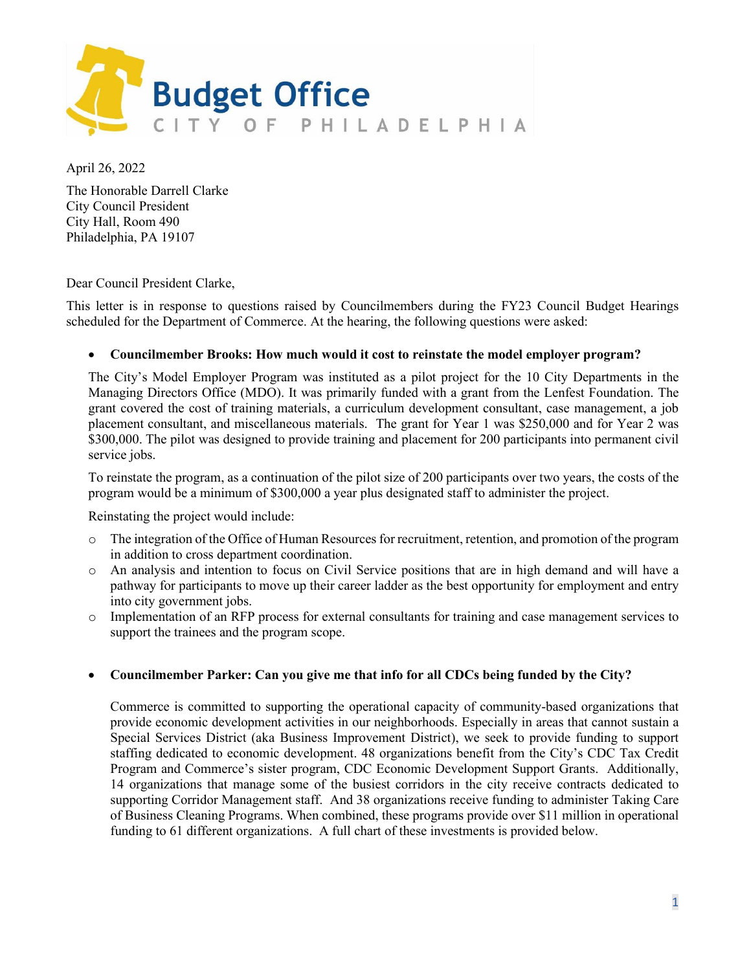

April 26, 2022

The Honorable Darrell Clarke City Council President City Hall, Room 490 Philadelphia, PA 19107

#### Dear Council President Clarke,

This letter is in response to questions raised by Councilmembers during the FY23 Council Budget Hearings scheduled for the Department of Commerce. At the hearing, the following questions were asked:

#### • **Councilmember Brooks: How much would it cost to reinstate the model employer program?**

The City's Model Employer Program was instituted as a pilot project for the 10 City Departments in the Managing Directors Office (MDO). It was primarily funded with a grant from the Lenfest Foundation. The grant covered the cost of training materials, a curriculum development consultant, case management, a job placement consultant, and miscellaneous materials. The grant for Year 1 was \$250,000 and for Year 2 was \$300,000. The pilot was designed to provide training and placement for 200 participants into permanent civil service jobs.

To reinstate the program, as a continuation of the pilot size of 200 participants over two years, the costs of the program would be a minimum of \$300,000 a year plus designated staff to administer the project.

Reinstating the project would include:

- o The integration of the Office of Human Resources for recruitment, retention, and promotion of the program in addition to cross department coordination.
- o An analysis and intention to focus on Civil Service positions that are in high demand and will have a pathway for participants to move up their career ladder as the best opportunity for employment and entry into city government jobs.
- o Implementation of an RFP process for external consultants for training and case management services to support the trainees and the program scope.

#### • **Councilmember Parker: Can you give me that info for all CDCs being funded by the City?**

Commerce is committed to supporting the operational capacity of community-based organizations that provide economic development activities in our neighborhoods. Especially in areas that cannot sustain a Special Services District (aka Business Improvement District), we seek to provide funding to support staffing dedicated to economic development. 48 organizations benefit from the City's CDC Tax Credit Program and Commerce's sister program, CDC Economic Development Support Grants. Additionally, 14 organizations that manage some of the busiest corridors in the city receive contracts dedicated to supporting Corridor Management staff. And 38 organizations receive funding to administer Taking Care of Business Cleaning Programs. When combined, these programs provide over \$11 million in operational funding to 61 different organizations. A full chart of these investments is provided below.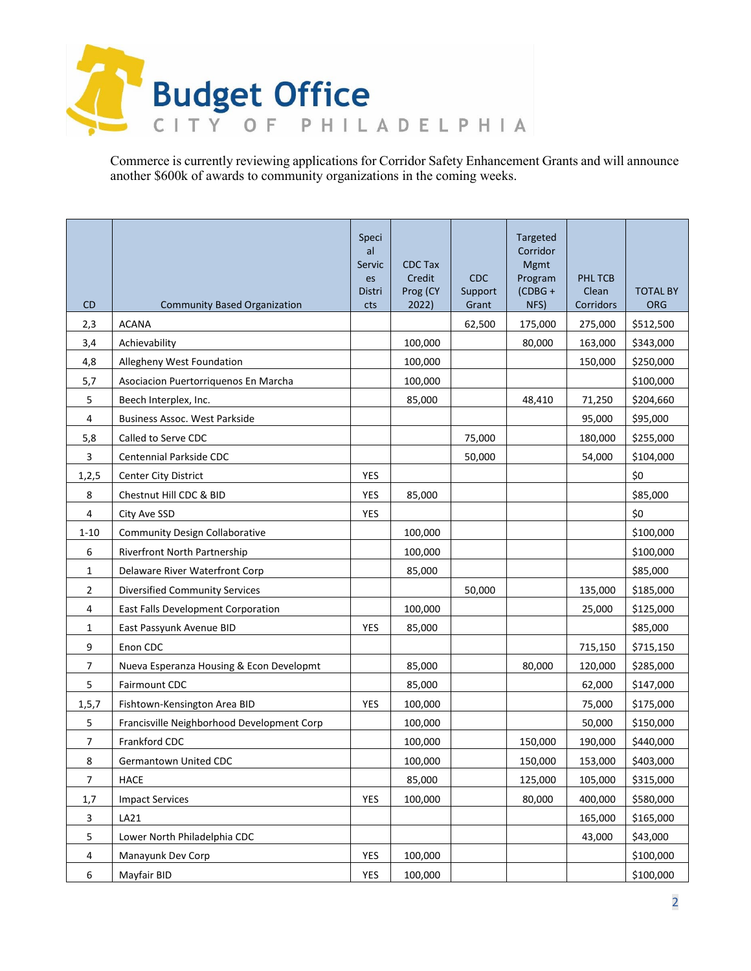

Commerce is currently reviewing applications for Corridor Safety Enhancement Grants and will announce another \$600k of awards to community organizations in the coming weeks.

| <b>CD</b>      | <b>Community Based Organization</b>        | Speci<br>al<br>Servic<br>es<br>Distri<br>cts | <b>CDC Tax</b><br>Credit<br>Prog (CY<br>2022) | <b>CDC</b><br>Support<br>Grant | <b>Targeted</b><br>Corridor<br>Mgmt<br>Program<br>$(CDBG +$<br>NFS) | PHL TCB<br>Clean<br>Corridors | <b>TOTAL BY</b><br><b>ORG</b> |
|----------------|--------------------------------------------|----------------------------------------------|-----------------------------------------------|--------------------------------|---------------------------------------------------------------------|-------------------------------|-------------------------------|
| 2,3            | <b>ACANA</b>                               |                                              |                                               | 62,500                         | 175,000                                                             | 275,000                       | \$512,500                     |
| 3,4            | Achievability                              |                                              | 100,000                                       |                                | 80,000                                                              | 163,000                       | \$343,000                     |
| 4,8            | Allegheny West Foundation                  |                                              | 100,000                                       |                                |                                                                     | 150,000                       | \$250,000                     |
| 5,7            | Asociacion Puertorriquenos En Marcha       |                                              | 100,000                                       |                                |                                                                     |                               | \$100,000                     |
| 5              | Beech Interplex, Inc.                      |                                              | 85,000                                        |                                | 48,410                                                              | 71,250                        | \$204,660                     |
| 4              | <b>Business Assoc. West Parkside</b>       |                                              |                                               |                                |                                                                     | 95,000                        | \$95,000                      |
| 5,8            | Called to Serve CDC                        |                                              |                                               | 75,000                         |                                                                     | 180,000                       | \$255,000                     |
| 3              | Centennial Parkside CDC                    |                                              |                                               | 50,000                         |                                                                     | 54,000                        | \$104,000                     |
| 1, 2, 5        | Center City District                       | <b>YES</b>                                   |                                               |                                |                                                                     |                               | \$0                           |
| 8              | Chestnut Hill CDC & BID                    | YES                                          | 85,000                                        |                                |                                                                     |                               | \$85,000                      |
| 4              | City Ave SSD                               | YES                                          |                                               |                                |                                                                     |                               | \$0                           |
| $1 - 10$       | <b>Community Design Collaborative</b>      |                                              | 100,000                                       |                                |                                                                     |                               | \$100,000                     |
| 6              | Riverfront North Partnership               |                                              | 100,000                                       |                                |                                                                     |                               | \$100,000                     |
| $\mathbf{1}$   | Delaware River Waterfront Corp             |                                              | 85,000                                        |                                |                                                                     |                               | \$85,000                      |
| 2              | <b>Diversified Community Services</b>      |                                              |                                               | 50,000                         |                                                                     | 135,000                       | \$185,000                     |
| 4              | East Falls Development Corporation         |                                              | 100,000                                       |                                |                                                                     | 25,000                        | \$125,000                     |
| 1              | East Passyunk Avenue BID                   | <b>YES</b>                                   | 85,000                                        |                                |                                                                     |                               | \$85,000                      |
| 9              | Enon CDC                                   |                                              |                                               |                                |                                                                     | 715,150                       | \$715,150                     |
| $\overline{7}$ | Nueva Esperanza Housing & Econ Developmt   |                                              | 85,000                                        |                                | 80,000                                                              | 120,000                       | \$285,000                     |
| 5              | Fairmount CDC                              |                                              | 85,000                                        |                                |                                                                     | 62,000                        | \$147,000                     |
| 1, 5, 7        | Fishtown-Kensington Area BID               | <b>YES</b>                                   | 100,000                                       |                                |                                                                     | 75,000                        | \$175,000                     |
| 5              | Francisville Neighborhood Development Corp |                                              | 100,000                                       |                                |                                                                     | 50,000                        | \$150,000                     |
| 7              | Frankford CDC                              |                                              | 100,000                                       |                                | 150,000                                                             | 190,000                       | \$440,000                     |
| 8              | Germantown United CDC                      |                                              | 100,000                                       |                                | 150,000                                                             | 153,000                       | \$403,000                     |
| 7              | HACE                                       |                                              | 85,000                                        |                                | 125,000                                                             | 105,000                       | \$315,000                     |
| 1,7            | <b>Impact Services</b>                     | <b>YES</b>                                   | 100,000                                       |                                | 80.000                                                              | 400,000                       | \$580,000                     |
| 3              | LA21                                       |                                              |                                               |                                |                                                                     | 165,000                       | \$165,000                     |
| 5              | Lower North Philadelphia CDC               |                                              |                                               |                                |                                                                     | 43,000                        | \$43,000                      |
| 4              | Manayunk Dev Corp                          | <b>YES</b>                                   | 100,000                                       |                                |                                                                     |                               | \$100,000                     |
| 6              | Mayfair BID                                | YES                                          | 100,000                                       |                                |                                                                     |                               | \$100,000                     |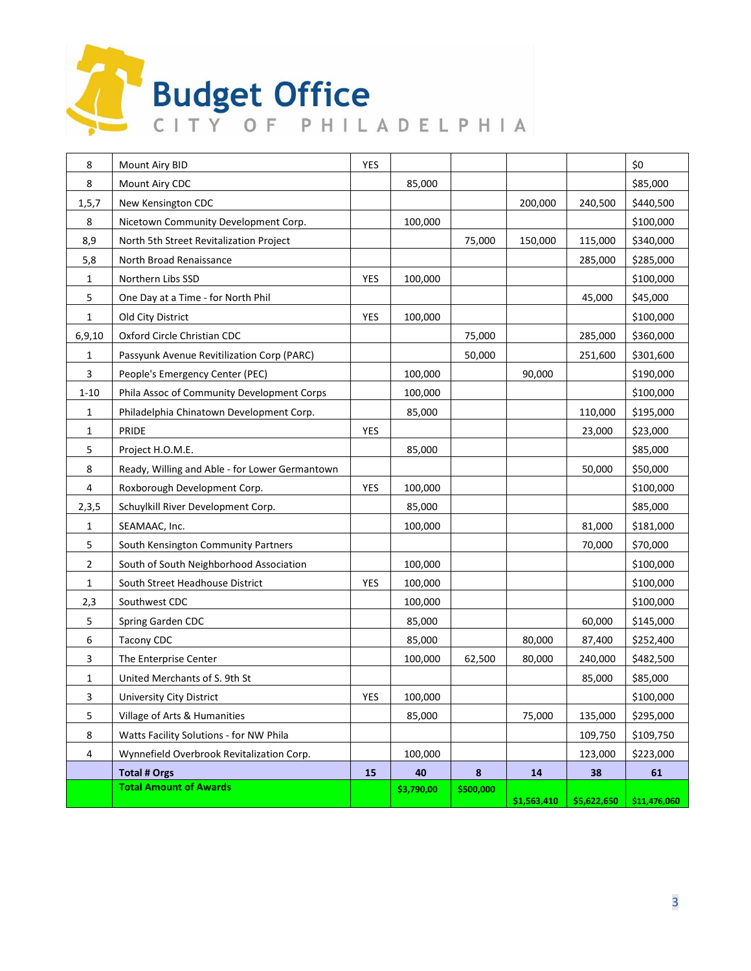# Budget Office T

| 8              | Mount Airy BID                                 | <b>YES</b> |            |           |             |             | \$0          |
|----------------|------------------------------------------------|------------|------------|-----------|-------------|-------------|--------------|
| 8              | Mount Airy CDC                                 |            | 85,000     |           |             |             | \$85,000     |
| 1, 5, 7        | New Kensington CDC                             |            |            |           | 200,000     | 240,500     | \$440,500    |
| 8              | Nicetown Community Development Corp.           |            | 100,000    |           |             |             | \$100,000    |
| 8,9            | North 5th Street Revitalization Project        |            |            | 75,000    | 150,000     | 115,000     | \$340,000    |
| 5,8            | North Broad Renaissance                        |            |            |           |             | 285,000     | \$285,000    |
| 1              | Northern Libs SSD                              | <b>YES</b> | 100,000    |           |             |             | \$100,000    |
| 5              | One Day at a Time - for North Phil             |            |            |           |             | 45,000      | \$45,000     |
| 1              | Old City District                              | YES        | 100,000    |           |             |             | \$100,000    |
| 6,9,10         | Oxford Circle Christian CDC                    |            |            | 75,000    |             | 285,000     | \$360,000    |
| 1              | Passyunk Avenue Revitilization Corp (PARC)     |            |            | 50,000    |             | 251,600     | \$301,600    |
| 3              | People's Emergency Center (PEC)                |            | 100,000    |           | 90,000      |             | \$190,000    |
| $1 - 10$       | Phila Assoc of Community Development Corps     |            | 100,000    |           |             |             | \$100,000    |
| 1              | Philadelphia Chinatown Development Corp.       |            | 85,000     |           |             | 110,000     | \$195,000    |
| $\mathbf{1}$   | PRIDE                                          | YES        |            |           |             | 23,000      | \$23,000     |
| 5              | Project H.O.M.E.                               |            | 85,000     |           |             |             | \$85,000     |
| 8              | Ready, Willing and Able - for Lower Germantown |            |            |           |             | 50,000      | \$50,000     |
| 4              | Roxborough Development Corp.                   | YES        | 100,000    |           |             |             | \$100,000    |
| 2,3,5          | Schuylkill River Development Corp.             |            | 85,000     |           |             |             | \$85,000     |
| $\mathbf{1}$   | SEAMAAC, Inc.                                  |            | 100,000    |           |             | 81,000      | \$181,000    |
| 5              | South Kensington Community Partners            |            |            |           |             | 70,000      | \$70,000     |
| $\overline{2}$ | South of South Neighborhood Association        |            | 100,000    |           |             |             | \$100,000    |
| 1              | South Street Headhouse District                | YES        | 100,000    |           |             |             | \$100,000    |
| 2,3            | Southwest CDC                                  |            | 100,000    |           |             |             | \$100,000    |
| 5              | Spring Garden CDC                              |            | 85,000     |           |             | 60,000      | \$145,000    |
| 6              | <b>Tacony CDC</b>                              |            | 85,000     |           | 80,000      | 87,400      | \$252,400    |
| 3              | The Enterprise Center                          |            | 100,000    | 62,500    | 80,000      | 240,000     | \$482,500    |
| 1              | United Merchants of S. 9th St                  |            |            |           |             | 85,000      | \$85,000     |
| 3              | <b>University City District</b>                | <b>YES</b> | 100,000    |           |             |             | \$100,000    |
| 5              | Village of Arts & Humanities                   |            | 85,000     |           | 75,000      | 135,000     | \$295,000    |
| 8              | Watts Facility Solutions - for NW Phila        |            |            |           |             | 109,750     | \$109,750    |
| 4              | Wynnefield Overbrook Revitalization Corp.      |            | 100,000    |           |             | 123,000     | \$223,000    |
|                | <b>Total # Orgs</b>                            | 15         | 40         | 8         | 14          | 38          | 61           |
|                | <b>Total Amount of Awards</b>                  |            | \$3,790,00 | \$500,000 | \$1,563,410 | \$5,622,650 | \$11,476,060 |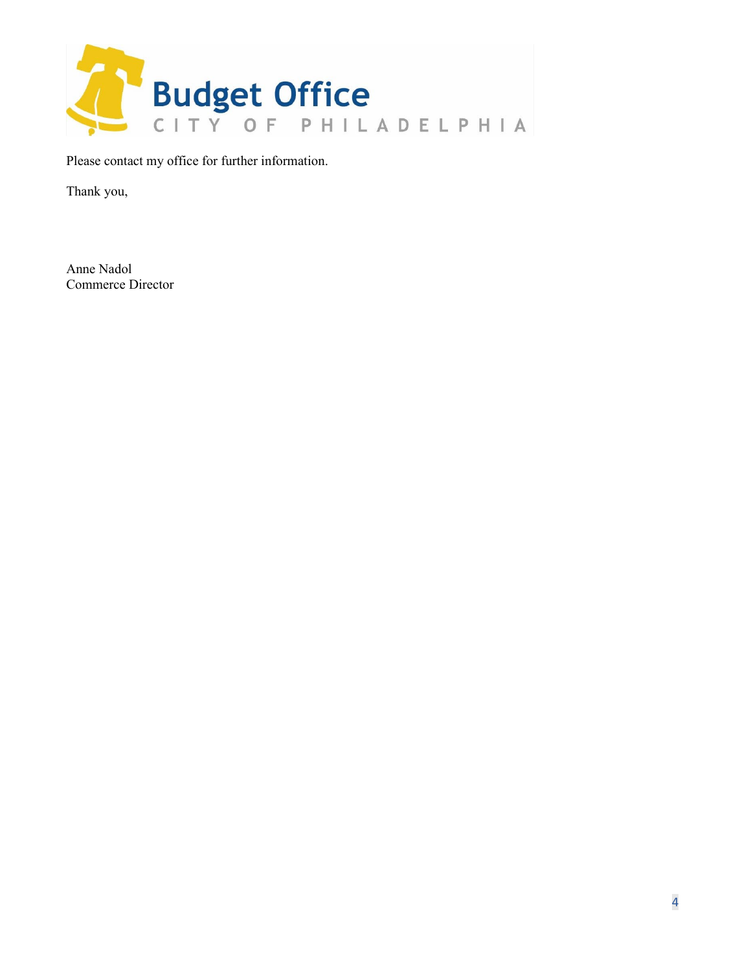

Please contact my office for further information.

Thank you,

Anne Nadol Commerce Director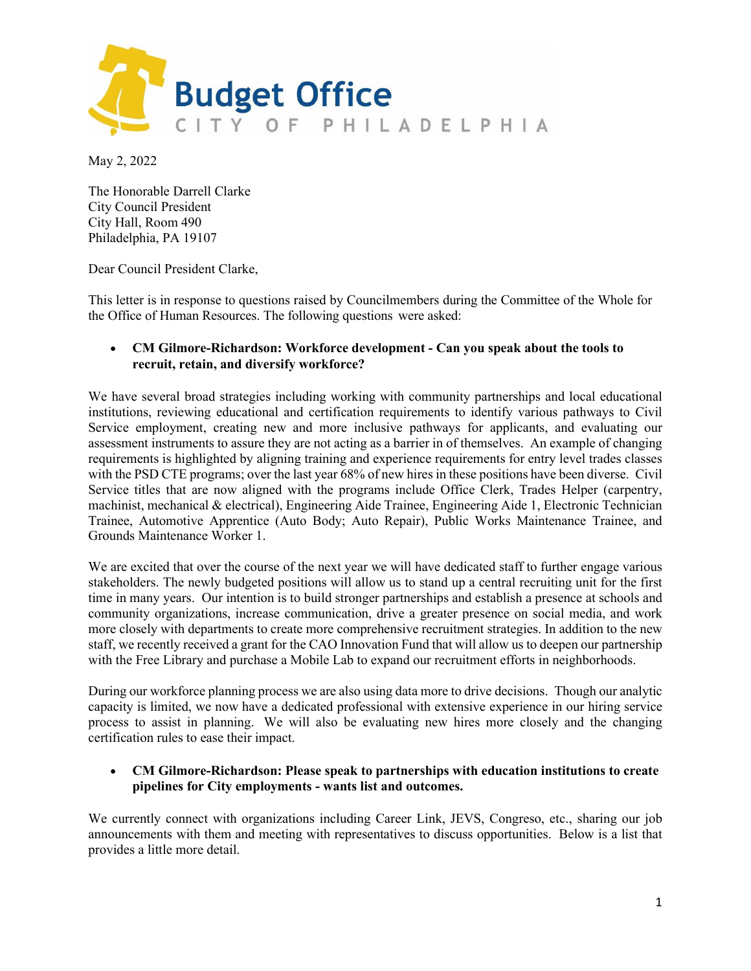

May 2, 2022

The Honorable Darrell Clarke City Council President City Hall, Room 490 Philadelphia, PA 19107

Dear Council President Clarke,

This letter is in response to questions raised by Councilmembers during the Committee of the Whole for the Office of Human Resources. The following questions were asked:

#### • **CM Gilmore-Richardson: Workforce development - Can you speak about the tools to recruit, retain, and diversify workforce?**

We have several broad strategies including working with community partnerships and local educational institutions, reviewing educational and certification requirements to identify various pathways to Civil Service employment, creating new and more inclusive pathways for applicants, and evaluating our assessment instruments to assure they are not acting as a barrier in of themselves. An example of changing requirements is highlighted by aligning training and experience requirements for entry level trades classes with the PSD CTE programs; over the last year 68% of new hires in these positions have been diverse. Civil Service titles that are now aligned with the programs include Office Clerk, Trades Helper (carpentry, machinist, mechanical & electrical), Engineering Aide Trainee, Engineering Aide 1, Electronic Technician Trainee, Automotive Apprentice (Auto Body; Auto Repair), Public Works Maintenance Trainee, and Grounds Maintenance Worker 1.

We are excited that over the course of the next year we will have dedicated staff to further engage various stakeholders. The newly budgeted positions will allow us to stand up a central recruiting unit for the first time in many years. Our intention is to build stronger partnerships and establish a presence at schools and community organizations, increase communication, drive a greater presence on social media, and work more closely with departments to create more comprehensive recruitment strategies. In addition to the new staff, we recently received a grant for the CAO Innovation Fund that will allow us to deepen our partnership with the Free Library and purchase a Mobile Lab to expand our recruitment efforts in neighborhoods.

During our workforce planning process we are also using data more to drive decisions. Though our analytic capacity is limited, we now have a dedicated professional with extensive experience in our hiring service process to assist in planning. We will also be evaluating new hires more closely and the changing certification rules to ease their impact.

#### • **CM Gilmore-Richardson: Please speak to partnerships with education institutions to create pipelines for City employments - wants list and outcomes.**

We currently connect with organizations including Career Link, JEVS, Congreso, etc., sharing our job announcements with them and meeting with representatives to discuss opportunities. Below is a list that provides a little more detail.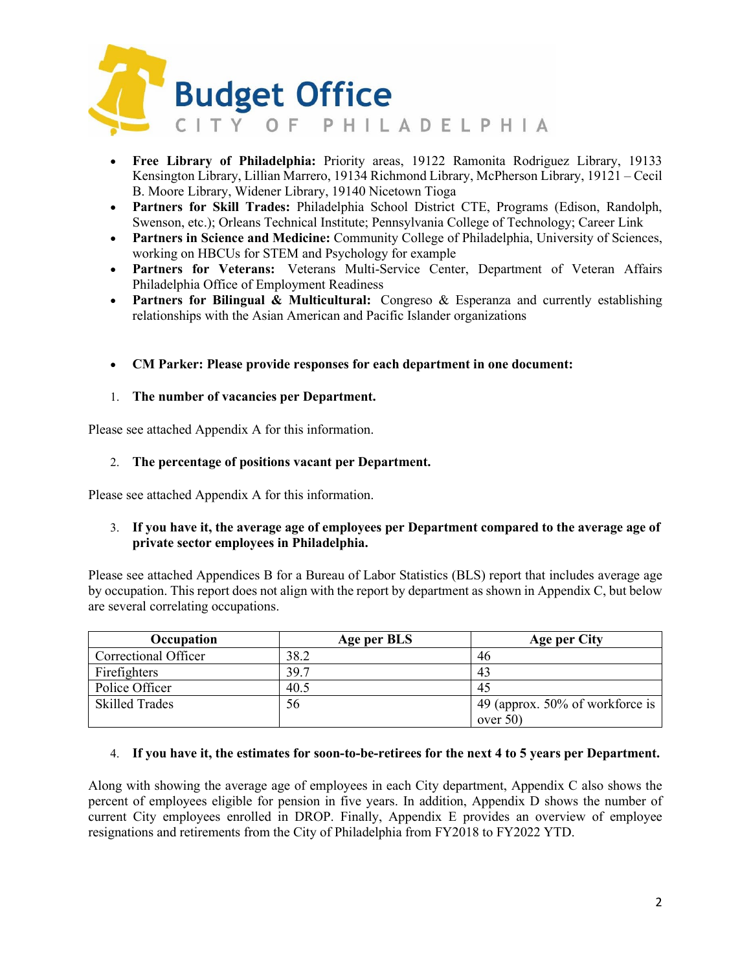

- **Free Library of Philadelphia:** Priority areas, 19122 Ramonita Rodriguez Library, 19133 Kensington Library, Lillian Marrero, 19134 Richmond Library, McPherson Library, 19121 – Cecil B. Moore Library, Widener Library, 19140 Nicetown Tioga
- **Partners for Skill Trades:** Philadelphia School District CTE, Programs (Edison, Randolph, Swenson, etc.); Orleans Technical Institute; Pennsylvania College of Technology; Career Link
- **Partners in Science and Medicine:** Community College of Philadelphia, University of Sciences, working on HBCUs for STEM and Psychology for example
- **Partners for Veterans:** Veterans Multi-Service Center, Department of Veteran Affairs Philadelphia Office of Employment Readiness
- **Partners for Bilingual & Multicultural:** Congreso & Esperanza and currently establishing relationships with the Asian American and Pacific Islander organizations
- **CM Parker: Please provide responses for each department in one document:**

#### 1. **The number of vacancies per Department.**

Please see attached Appendix A for this information.

#### 2. **The percentage of positions vacant per Department.**

Please see attached Appendix A for this information.

#### 3. **If you have it, the average age of employees per Department compared to the average age of private sector employees in Philadelphia.**

Please see attached Appendices B for a Bureau of Labor Statistics (BLS) report that includes average age by occupation. This report does not align with the report by department as shown in Appendix C, but below are several correlating occupations.

| Occupation            | Age per BLS | Age per City                    |
|-----------------------|-------------|---------------------------------|
| Correctional Officer  | 38.2        | 46                              |
| Firefighters          | 39.7        | 43                              |
| Police Officer        | 40.5        | 45                              |
| <b>Skilled Trades</b> | 56          | 49 (approx. 50% of workforce is |
|                       |             | over $50$                       |

#### 4. **If you have it, the estimates for soon-to-be-retirees for the next 4 to 5 years per Department.**

Along with showing the average age of employees in each City department, Appendix C also shows the percent of employees eligible for pension in five years. In addition, Appendix D shows the number of current City employees enrolled in DROP. Finally, Appendix E provides an overview of employee resignations and retirements from the City of Philadelphia from FY2018 to FY2022 YTD.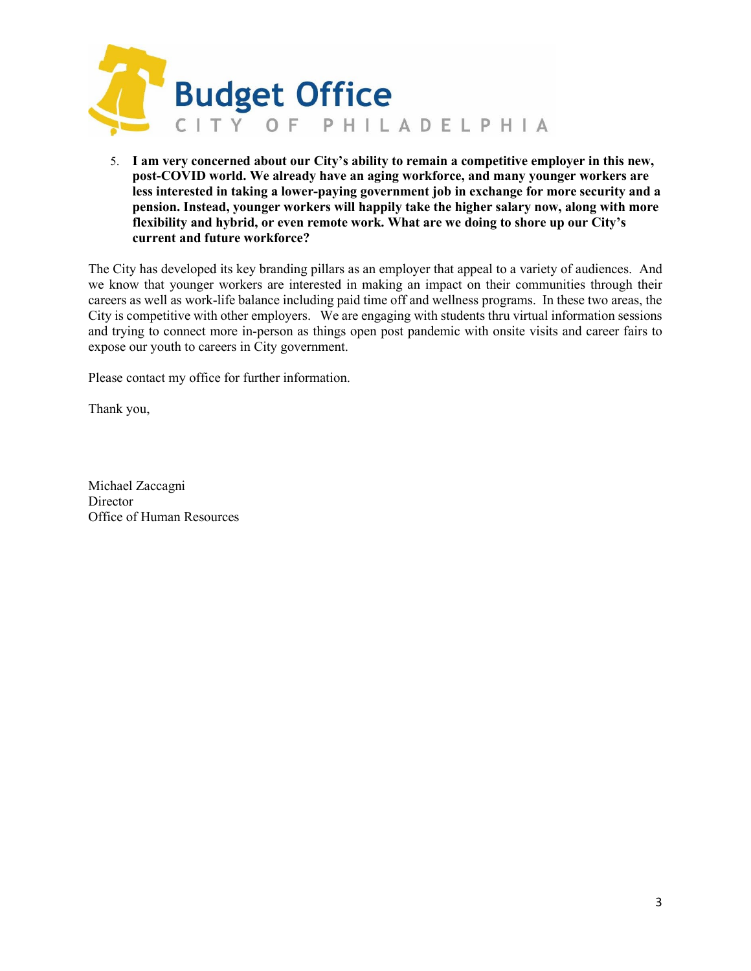

5. **I am very concerned about our City's ability to remain a competitive employer in this new, post-COVID world. We already have an aging workforce, and many younger workers are less interested in taking a lower-paying government job in exchange for more security and a pension. Instead, younger workers will happily take the higher salary now, along with more flexibility and hybrid, or even remote work. What are we doing to shore up our City's current and future workforce?**

The City has developed its key branding pillars as an employer that appeal to a variety of audiences. And we know that younger workers are interested in making an impact on their communities through their careers as well as work-life balance including paid time off and wellness programs. In these two areas, the City is competitive with other employers. We are engaging with students thru virtual information sessions and trying to connect more in-person as things open post pandemic with onsite visits and career fairs to expose our youth to careers in City government.

Please contact my office for further information.

Thank you,

Michael Zaccagni **Director** Office of Human Resources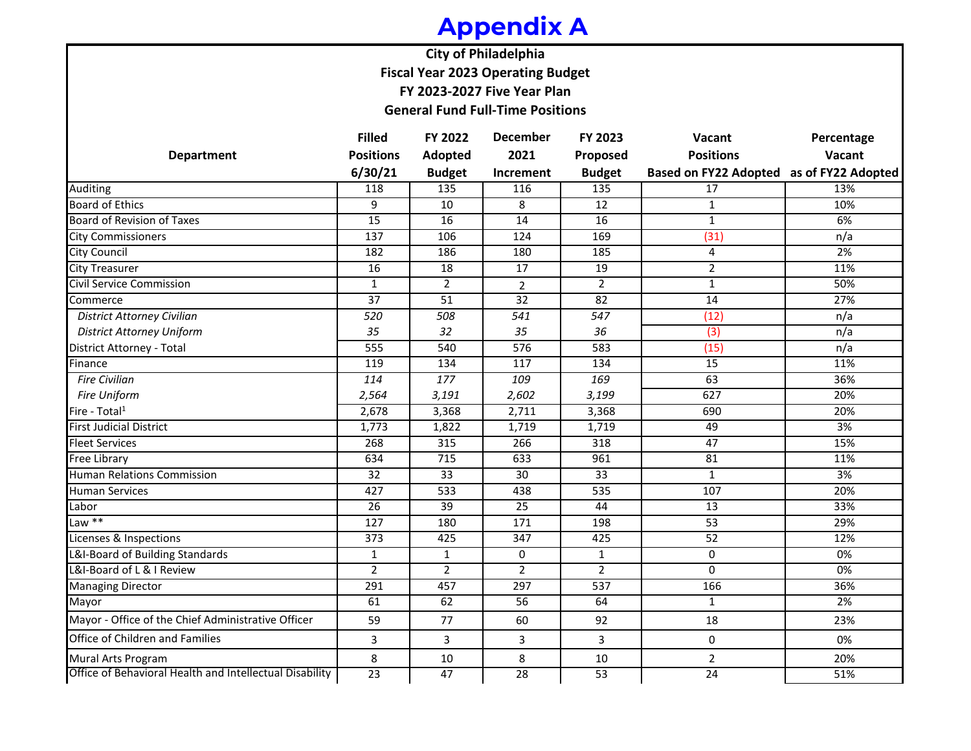### **Appendix A**

**City of Philadelphia Fiscal Year 2023 Operating Budget**

**FY 2023-2027 Five Year Plan**

**General Fund Full-Time Positions**

|                                                         | <b>Filled</b>    | FY 2022          | <b>December</b>  | FY 2023          | Vacant                                   | Percentage |
|---------------------------------------------------------|------------------|------------------|------------------|------------------|------------------------------------------|------------|
| <b>Department</b>                                       | <b>Positions</b> | Adopted          | 2021             | Proposed         | <b>Positions</b>                         | Vacant     |
|                                                         | 6/30/21          | <b>Budget</b>    | Increment        | <b>Budget</b>    | Based on FY22 Adopted as of FY22 Adopted |            |
| <b>Auditing</b>                                         | 118              | 135              | 116              | $\overline{135}$ | 17                                       | 13%        |
| <b>Board of Ethics</b>                                  | 9                | 10               | 8                | 12               | 1                                        | 10%        |
| <b>Board of Revision of Taxes</b>                       | 15               | 16               | 14               | 16               | $\mathbf{1}$                             | 6%         |
| <b>City Commissioners</b>                               | $\frac{137}{ }$  | 106              | 124              | 169              | (31)                                     | n/a        |
| <b>City Council</b>                                     | 182              | 186              | 180              | 185              | 4                                        | 2%         |
| <b>City Treasurer</b>                                   | 16               | 18               | 17               | 19               | $\overline{2}$                           | 11%        |
| <b>Civil Service Commission</b>                         | $\mathbf{1}$     | $\overline{2}$   | $\overline{2}$   | $\overline{2}$   | $\mathbf{1}$                             | 50%        |
| Commerce                                                | 37               | 51               | 32               | 82               | 14                                       | 27%        |
| <b>District Attorney Civilian</b>                       | 520              | 508              | 541              | 547              | (12)                                     | n/a        |
| <b>District Attorney Uniform</b>                        | 35               | 32               | 35               | 36               | (3)                                      | n/a        |
| District Attorney - Total                               | $\overline{555}$ | 540              | $\overline{576}$ | 583              | (15)                                     | n/a        |
| Finance                                                 | 119              | 134              | 117              | 134              | 15                                       | 11%        |
| <b>Fire Civilian</b>                                    | 114              | 177              | 109              | 169              | 63                                       | 36%        |
| Fire Uniform                                            | 2,564            | 3,191            | 2,602            | 3,199            | 627                                      | 20%        |
| Fire - Total <sup>1</sup>                               | 2,678            | 3,368            | 2,711            | 3,368            | 690                                      | 20%        |
| <b>First Judicial District</b>                          | 1,773            | 1,822            | 1,719            | 1,719            | 49                                       | 3%         |
| <b>Fleet Services</b>                                   | 268              | 315              | 266              | 318              | $\overline{47}$                          | 15%        |
| <b>Free Library</b>                                     | 634              | $\overline{715}$ | 633              | 961              | 81                                       | 11%        |
| Human Relations Commission                              | $\overline{32}$  | $\overline{33}$  | $\overline{30}$  | 33               | $\mathbf{1}$                             | 3%         |
| <b>Human Services</b>                                   | 427              | 533              | 438              | $\overline{535}$ | 107                                      | 20%        |
| Labor                                                   | 26               | $\overline{39}$  | 25               | 44               | 13                                       | 33%        |
| Law $**$                                                | 127              | 180              | 171              | 198              | 53                                       | 29%        |
| Licenses & Inspections                                  | $\overline{373}$ | 425              | $\overline{347}$ | 425              | $\overline{52}$                          | 12%        |
| L&I-Board of Building Standards                         | $\mathbf{1}$     | $\mathbf{1}$     | $\mathbf 0$      | $\mathbf{1}$     | $\mathbf{0}$                             | $0\%$      |
| L&I-Board of L & I Review                               | $\overline{2}$   | $\overline{2}$   | $\overline{2}$   | $\overline{2}$   | $\Omega$                                 | 0%         |
| <b>Managing Director</b>                                | 291              | 457              | $\overline{297}$ | $\overline{537}$ | 166                                      | 36%        |
| Mayor                                                   | 61               | 62               | 56               | 64               | $\mathbf{1}$                             | 2%         |
| Mayor - Office of the Chief Administrative Officer      | 59               | 77               | 60               | 92               | 18                                       | 23%        |
| <b>Office of Children and Families</b>                  | 3                | 3                | 3                | $\overline{3}$   | 0                                        | 0%         |
| Mural Arts Program                                      | 8                | 10               | 8                | 10               | $\overline{2}$                           | 20%        |
| Office of Behavioral Health and Intellectual Disability | $\overline{23}$  | 47               | 28               | 53               | $\overline{24}$                          | 51%        |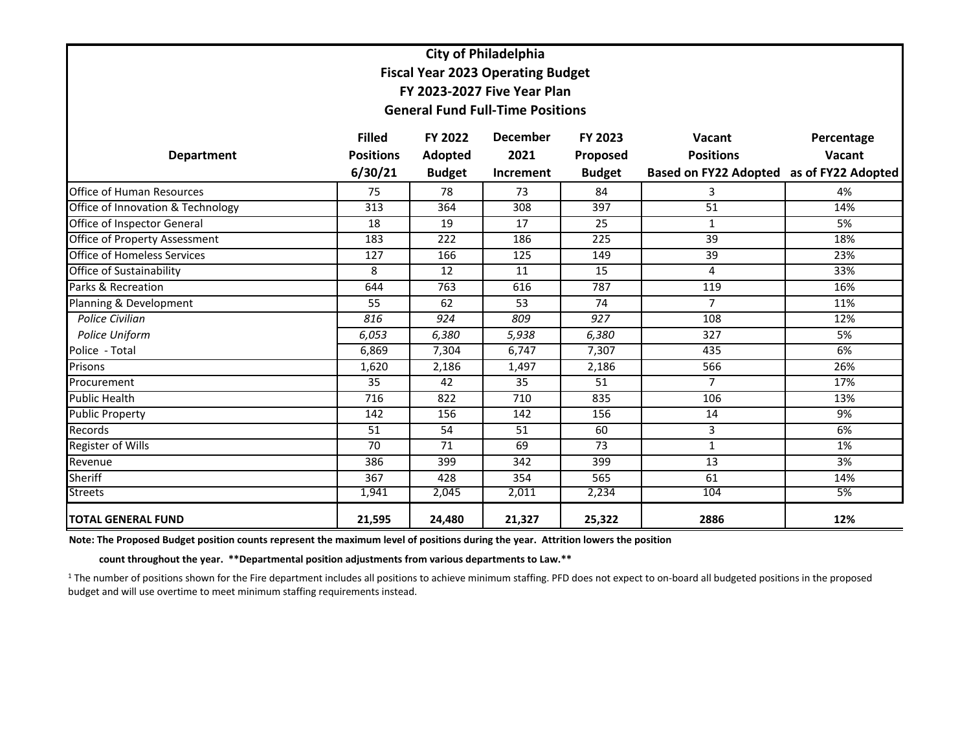|                                      | <b>City of Philadelphia</b> |                |                                          |                  |                                          |            |  |  |  |  |  |
|--------------------------------------|-----------------------------|----------------|------------------------------------------|------------------|------------------------------------------|------------|--|--|--|--|--|
|                                      |                             |                | <b>Fiscal Year 2023 Operating Budget</b> |                  |                                          |            |  |  |  |  |  |
|                                      |                             |                | FY 2023-2027 Five Year Plan              |                  |                                          |            |  |  |  |  |  |
|                                      |                             |                | <b>General Fund Full-Time Positions</b>  |                  |                                          |            |  |  |  |  |  |
|                                      |                             |                |                                          |                  |                                          |            |  |  |  |  |  |
|                                      | <b>Filled</b>               | <b>FY 2022</b> | <b>December</b>                          | <b>FY 2023</b>   | Vacant                                   | Percentage |  |  |  |  |  |
| <b>Department</b>                    | <b>Positions</b>            | Adopted        | 2021                                     | Proposed         | <b>Positions</b>                         | Vacant     |  |  |  |  |  |
|                                      | 6/30/21                     | <b>Budget</b>  | Increment                                | <b>Budget</b>    | Based on FY22 Adopted as of FY22 Adopted |            |  |  |  |  |  |
| <b>Office of Human Resources</b>     | 75                          | 78             | 73                                       | 84               | 3                                        | 4%         |  |  |  |  |  |
| Office of Innovation & Technology    | 313                         | 364            | 308                                      | 397              | $\overline{51}$                          | 14%        |  |  |  |  |  |
| <b>Office of Inspector General</b>   | $\overline{18}$             | 19             | $\overline{17}$                          | 25               | $\mathbf{1}$                             | 5%         |  |  |  |  |  |
| <b>Office of Property Assessment</b> | 183                         | 222            | 186                                      | 225              | 39                                       | 18%        |  |  |  |  |  |
| <b>Office of Homeless Services</b>   | 127                         | 166            | 125                                      | 149              | 39                                       | 23%        |  |  |  |  |  |
| Office of Sustainability             | 8                           | 12             | 11                                       | 15               | 4                                        | 33%        |  |  |  |  |  |
| Parks & Recreation                   | 644                         | 763            | 616                                      | 787              | 119                                      | 16%        |  |  |  |  |  |
| Planning & Development               | 55                          | 62             | 53                                       | 74               | $\overline{7}$                           | 11%        |  |  |  |  |  |
| Police Civilian                      | 816                         | 924            | 809                                      | $\overline{927}$ | 108                                      | 12%        |  |  |  |  |  |
| Police Uniform                       | 6,053                       | 6,380          | 5,938                                    | 6,380            | 327                                      | 5%         |  |  |  |  |  |
| Police - Total                       | 6,869                       | 7,304          | 6,747                                    | 7,307            | 435                                      | 6%         |  |  |  |  |  |
| Prisons                              | 1,620                       | 2,186          | 1,497                                    | 2,186            | 566                                      | 26%        |  |  |  |  |  |
| Procurement                          | 35                          | 42             | 35                                       | 51               | $\overline{7}$                           | 17%        |  |  |  |  |  |
| <b>Public Health</b>                 | $\overline{716}$            | 822            | 710                                      | 835              | 106                                      | 13%        |  |  |  |  |  |
| <b>Public Property</b>               | 142                         | 156            | 142                                      | 156              | 14                                       | 9%         |  |  |  |  |  |
| Records                              | 51                          | 54             | 51                                       | 60               | 3                                        | 6%         |  |  |  |  |  |
| <b>Register of Wills</b>             | 70                          | 71             | 69                                       | 73               | $\mathbf{1}$                             | 1%         |  |  |  |  |  |
| Revenue                              | 386                         | 399            | 342                                      | 399              | 13                                       | 3%         |  |  |  |  |  |
| <b>Sheriff</b>                       | 367                         | 428            | 354                                      | 565              | 61                                       | 14%        |  |  |  |  |  |
| <b>Streets</b>                       | 1,941                       | 2,045          | 2,011                                    | 2,234            | 104                                      | 5%         |  |  |  |  |  |
| <b>TOTAL GENERAL FUND</b>            | 21,595                      | 24,480         | 21,327                                   | 25,322           | 2886                                     | 12%        |  |  |  |  |  |

**Note: The Proposed Budget position counts represent the maximum level of positions during the year. Attrition lowers the position** 

 **count throughout the year. \*\*Departmental position adjustments from various departments to Law.\*\***

<sup>1</sup> The number of positions shown for the Fire department includes all positions to achieve minimum staffing. PFD does not expect to on-board all budgeted positions in the proposed budget and will use overtime to meet minimum staffing requirements instead.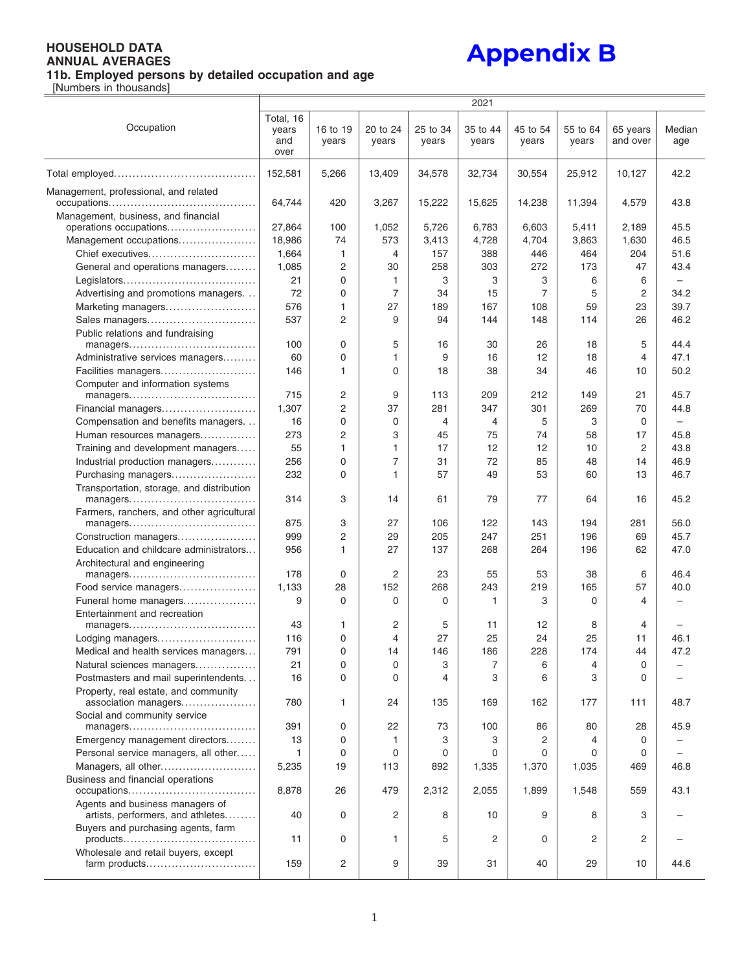**Appendix B**

|                                                                              |                                   |                   |                   |                   | 2021              |                   |                   |                      |                          |
|------------------------------------------------------------------------------|-----------------------------------|-------------------|-------------------|-------------------|-------------------|-------------------|-------------------|----------------------|--------------------------|
| Occupation                                                                   | Total, 16<br>years<br>and<br>over | 16 to 19<br>vears | 20 to 24<br>years | 25 to 34<br>years | 35 to 44<br>years | 45 to 54<br>years | 55 to 64<br>years | 65 years<br>and over | Median<br>age            |
|                                                                              | 152,581                           | 5,266             | 13,409            | 34,578            | 32,734            | 30,554            | 25,912            | 10,127               | 42.2                     |
| Management, professional, and related<br>Management, business, and financial | 64,744                            | 420               | 3,267             | 15,222            | 15,625            | 14,238            | 11,394            | 4,579                | 43.8                     |
| operations occupations                                                       | 27,864                            | 100               | 1,052             | 5,726             | 6,783             | 6,603             | 5,411             | 2,189                | 45.5                     |
| Management occupations                                                       | 18,986                            | 74                | 573               | 3,413             | 4,728             | 4,704             | 3,863             | 1,630                | 46.5                     |
| Chief executives                                                             | 1,664                             | 1                 | 4                 | 157               | 388               | 446               | 464               | 204                  | 51.6                     |
| General and operations managers                                              | 1,085                             | 2                 | 30                | 258               | 303               | 272               | 173               | 47                   | 43.4                     |
|                                                                              | 21                                | 0                 | 1                 | 3                 | 3                 | 3                 | 6                 | 6                    | $\overline{\phantom{0}}$ |
| Advertising and promotions managers                                          | 72                                | 0                 | $\overline{7}$    | 34                | 15                | $\overline{7}$    | 5                 | 2                    | 34.2                     |
| Marketing managers                                                           | 576                               | 1                 | 27                | 189               | 167               | 108               | 59                | 23                   | 39.7                     |
| Sales managers                                                               | 537                               | 2                 | 9                 | 94                | 144               | 148               | 114               | 26                   | 46.2                     |
| Public relations and fundraising                                             |                                   |                   |                   |                   |                   |                   |                   |                      |                          |
| managers                                                                     | 100                               | 0                 | 5                 | 16                | 30                | 26                | 18                | 5                    | 44.4                     |
| Administrative services managers                                             | 60                                | 0                 | 1                 | 9                 | 16                | 12                | 18                | 4                    | 47.1                     |
|                                                                              | 146                               | 1                 | 0                 | 18                | 38                | 34                | 46                | 10                   | 50.2                     |
| Facilities managers                                                          |                                   |                   |                   |                   |                   |                   |                   |                      |                          |
| Computer and information systems                                             | 715                               | 2                 | 9                 | 113               | 209               | 212               | 149               | 21                   | 45.7                     |
| managers                                                                     | 1,307                             | 2                 | 37                | 281               | 347               | 301               | 269               | 70                   | 44.8                     |
| Financial managers                                                           |                                   |                   |                   |                   |                   |                   |                   |                      |                          |
| Compensation and benefits managers                                           | 16                                | 0                 | $\mathbf 0$       | 4                 | 4                 | 5                 | 3                 | 0                    | $\overline{\phantom{0}}$ |
| Human resources managers                                                     | 273                               | 2                 | 3                 | 45                | 75                | 74                | 58                | 17                   | 45.8                     |
| Training and development managers                                            | 55                                | 1                 | 1                 | 17                | 12                | 12                | 10                | 2                    | 43.8                     |
| Industrial production managers                                               | 256                               | 0                 | $\overline{7}$    | 31                | 72                | 85                | 48                | 14                   | 46.9                     |
| Purchasing managers                                                          | 232                               | $\Omega$          | 1                 | 57                | 49                | 53                | 60                | 13                   | 46.7                     |
| Transportation, storage, and distribution<br>managers                        | 314                               | 3                 | 14                | 61                | 79                | 77                | 64                | 16                   | 45.2                     |
| Farmers, ranchers, and other agricultural                                    | 875                               | 3                 | 27                | 106               | 122               | 143               | 194               | 281                  | 56.0                     |
| managers                                                                     | 999                               | 2                 | 29                | 205               | 247               | 251               | 196               | 69                   | 45.7                     |
| Construction managers                                                        |                                   | 1                 | 27                |                   |                   | 264               |                   | 62                   |                          |
| Education and childcare administrators                                       | 956                               |                   |                   | 137               | 268               |                   | 196               |                      | 47.0                     |
| Architectural and engineering<br>managers                                    | 178                               | 0                 | 2                 | 23                | 55                | 53                | 38                | 6                    | 46.4                     |
| Food service managers                                                        | 1,133                             | 28                | 152               | 268               | 243               | 219               | 165               | 57                   | 40.0                     |
| Funeral home managers                                                        | 9                                 | 0                 | $\Omega$          | 0                 | 1                 | 3                 | 0                 | 4                    | -                        |
| Entertainment and recreation                                                 |                                   |                   |                   |                   |                   |                   |                   |                      |                          |
| managers                                                                     | 43                                | 1                 | $\overline{c}$    | 5                 | 11                | 12                | 8                 | 4                    |                          |
| Lodging managers                                                             | 116                               | 0                 | 4                 | 27                | 25                | 24                | 25                | 11                   | 46.1                     |
| Medical and health services managers                                         | 791                               | 0                 | 14                | 146               | 186               | 228               | 174               | 44                   | 47.2                     |
| Natural sciences managers                                                    | 21                                | 0                 | $\mathbf 0$       | 3                 | 7                 | 6                 | 4                 | $\mathbf 0$          |                          |
| Postmasters and mail superintendents                                         | 16                                | 0                 | 0                 | 4                 | 3                 | 6                 | 3                 | 0                    |                          |
| Property, real estate, and community<br>association managers                 | 780                               | 1                 | 24                | 135               | 169               | 162               | 177               | 111                  | 48.7                     |
| Social and community service                                                 |                                   |                   |                   |                   |                   |                   |                   |                      |                          |
| managers                                                                     | 391                               | 0                 | 22                | 73                | 100               | 86                | 80                | 28                   | 45.9                     |
| Emergency management directors                                               | 13                                | 0                 | 1                 | 3                 | 3                 | 2                 | 4                 | 0                    |                          |
| Personal service managers, all other                                         | 1                                 | 0                 | 0                 | 0                 | 0                 | 0                 | 0                 | 0                    |                          |
| Managers, all other                                                          | 5,235                             | 19                | 113               | 892               | 1,335             | 1,370             | 1,035             | 469                  | 46.8                     |
| Business and financial operations<br>occupations                             | 8,878                             | 26                | 479               | 2,312             | 2,055             | 1,899             | 1,548             | 559                  | 43.1                     |
| Agents and business managers of<br>artists, performers, and athletes         | 40                                | 0                 | 2                 | 8                 | 10 <sup>1</sup>   | 9                 | 8                 | 3                    |                          |
| Buyers and purchasing agents, farm                                           | 11                                | 0                 | 1                 | 5                 | 2                 | 0                 | 2                 | 2                    |                          |
| Wholesale and retail buyers, except                                          |                                   |                   | 9                 |                   |                   |                   |                   |                      |                          |
| farm products                                                                | 159                               | 2                 |                   | 39                | 31                | 40                | 29                | 10                   | 44.6                     |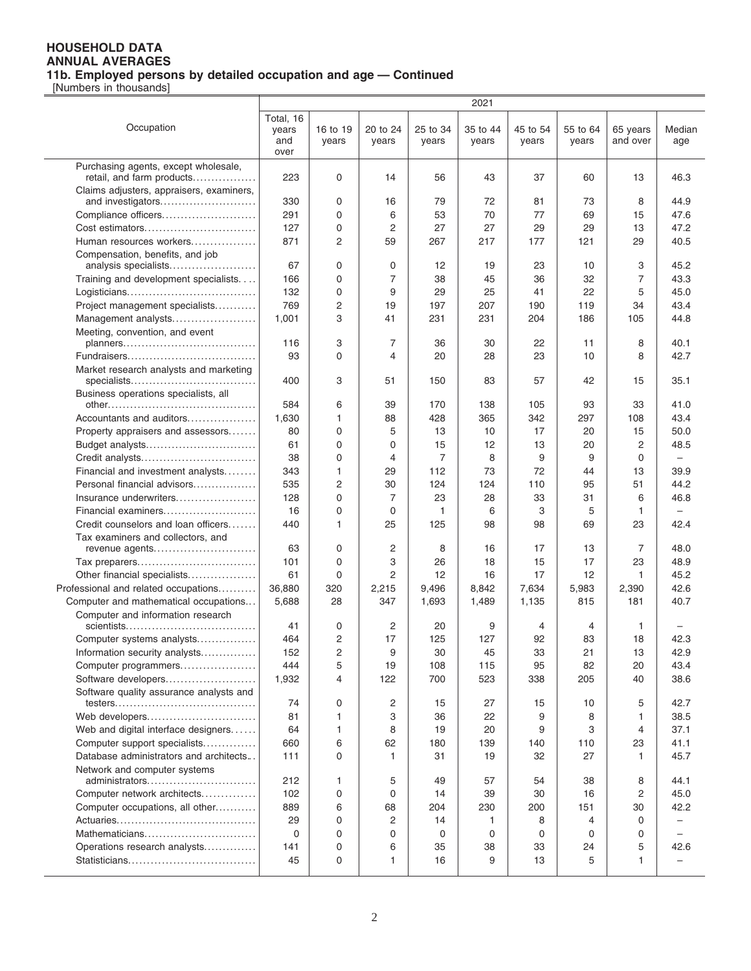|                                                     |                                   |                   |                         |                   | 2021              |                   |                   |                      |                          |
|-----------------------------------------------------|-----------------------------------|-------------------|-------------------------|-------------------|-------------------|-------------------|-------------------|----------------------|--------------------------|
| Occupation                                          | Total, 16<br>years<br>and<br>over | 16 to 19<br>years | 20 to 24<br>years       | 25 to 34<br>years | 35 to 44<br>years | 45 to 54<br>years | 55 to 64<br>years | 65 years<br>and over | Median<br>age            |
| Purchasing agents, except wholesale,                |                                   |                   |                         |                   |                   |                   |                   |                      |                          |
| retail, and farm products                           | 223                               | 0                 | 14                      | 56                | 43                | 37                | 60                | 13                   | 46.3                     |
| Claims adjusters, appraisers, examiners,            |                                   |                   |                         |                   |                   |                   |                   |                      |                          |
| and investigators                                   | 330                               | 0                 | 16                      | 79                | 72                | 81                | 73                | 8                    | 44.9                     |
| Compliance officers                                 | 291                               | 0                 | 6                       | 53                | 70                | 77                | 69                | 15                   | 47.6                     |
| Cost estimators                                     | 127                               | 0                 | $\overline{2}$          | 27                | 27                | 29                | 29                | 13                   | 47.2                     |
| Human resources workers                             | 871                               | $\overline{2}$    | 59                      | 267               | 217               | 177               | 121               | 29                   | 40.5                     |
| Compensation, benefits, and job                     | 67                                | 0                 | 0                       | 12                | 19                | 23                | 10                | 3                    | 45.2                     |
| analysis specialists                                | 166                               | 0                 | $\overline{7}$          | 38                | 45                | 36                | 32                | $\overline{7}$       | 43.3                     |
| Training and development specialists.               | 132                               | 0                 | 9                       | 29                | 25                | 41                | 22                | 5                    | 45.0                     |
| Project management specialists                      | 769                               | $\overline{c}$    | 19                      | 197               | 207               | 190               | 119               | 34                   | 43.4                     |
| Management analysts                                 | 1,001                             | 3                 | 41                      | 231               | 231               | 204               | 186               | 105                  | 44.8                     |
| Meeting, convention, and event                      |                                   |                   |                         |                   |                   |                   |                   |                      |                          |
|                                                     | 116                               | 3                 | $\overline{7}$          | 36                | 30                | 22                | 11                | 8                    | 40.1                     |
|                                                     | 93                                | $\Omega$          | $\overline{\mathbf{4}}$ | 20                | 28                | 23                | 10                | 8                    | 42.7                     |
| Market research analysts and marketing              |                                   |                   |                         |                   |                   |                   |                   |                      |                          |
| specialists                                         | 400                               | 3                 | 51                      | 150               | 83                | 57                | 42                | 15                   | 35.1                     |
| Business operations specialists, all                |                                   |                   |                         |                   |                   |                   |                   |                      |                          |
|                                                     | 584                               | 6                 | 39                      | 170               | 138               | 105               | 93                | 33                   | 41.0                     |
| Accountants and auditors                            | 1,630                             | $\mathbf{1}$      | 88                      | 428               | 365               | 342               | 297               | 108                  | 43.4                     |
| Property appraisers and assessors                   | 80                                | 0                 | 5                       | 13                | 10                | 17                | 20                | 15                   | 50.0                     |
| Budget analysts                                     | 61                                | 0                 | 0                       | 15                | 12                | 13                | 20                | 2                    | 48.5                     |
| Credit analysts                                     | 38                                | 0                 | $\overline{4}$          | 7                 | 8                 | 9                 | 9                 | $\Omega$             | $\overline{\phantom{m}}$ |
| Financial and investment analysts                   | 343                               | $\mathbf{1}$      | 29                      | 112               | 73                | 72                | 44                | 13                   | 39.9                     |
| Personal financial advisors                         | 535                               | $\overline{c}$    | 30                      | 124               | 124               | 110               | 95                | 51                   | 44.2                     |
| Insurance underwriters                              | 128                               | 0                 | $\overline{7}$          | 23                | 28                | 33                | 31                | 6                    | 46.8                     |
| Financial examiners                                 | 16                                | 0                 | 0                       | 1                 | 6                 | 3                 | 5                 | 1                    | $\qquad \qquad -$        |
| Credit counselors and loan officers                 | 440                               | 1                 | 25                      | 125               | 98                | 98                | 69                | 23                   | 42.4                     |
| Tax examiners and collectors, and<br>revenue agents | 63                                | 0                 | $\overline{c}$          | 8                 | 16                | 17                | 13                | 7                    | 48.0                     |
| Tax preparers                                       | 101                               | 0                 | 3                       | 26                | 18                | 15                | 17                | 23                   | 48.9                     |
| Other financial specialists                         | 61                                | 0                 | $\overline{2}$          | 12                | 16                | 17                | 12                | 1                    | 45.2                     |
| Professional and related occupations                | 36,880                            | 320               | 2,215                   | 9,496             | 8,842             | 7,634             | 5,983             | 2,390                | 42.6                     |
| Computer and mathematical occupations               | 5,688                             | 28                | 347                     | 1,693             | 1,489             | 1,135             | 815               | 181                  | 40.7                     |
| Computer and information research                   |                                   |                   |                         |                   |                   |                   |                   |                      |                          |
|                                                     | 41                                | 0                 | $\overline{c}$          | 20                | 9                 | 4                 | 4                 | 1                    |                          |
| Computer systems analysts                           | 464                               | $\overline{2}$    | 17                      | 125               | 127               | 92                | 83                | 18                   | 42.3                     |
| Information security analysts                       | 152                               | 2                 | 9                       | 30                | 45                | 33                | 21                | 13                   | 42.9                     |
| Computer programmers                                | 444                               | 5                 | 19                      | 108               | 115               | 95                | 82                | 20                   | 43.4                     |
| Software developers                                 | 1,932                             | $\overline{4}$    | 122                     | 700               | 523               | 338               | 205               | 40                   | 38.6                     |
| Software quality assurance analysts and             |                                   |                   |                         |                   |                   |                   |                   |                      |                          |
|                                                     | 74                                | 0                 | 2                       | 15                | 27                | 15                | 10                | 5                    | 42.7                     |
| Web developers                                      | 81                                | 1                 | 3                       | 36                | 22                | 9                 | 8                 | 1                    | 38.5                     |
| Web and digital interface designers                 | 64                                | $\mathbf{1}$      | 8                       | 19                | 20                | 9                 | 3                 | 4                    | 37.1                     |
| Computer support specialists                        | 660                               | 6                 | 62                      | 180               | 139               | 140               | 110               | 23                   | 41.1                     |
| Database administrators and architects              | 111                               | $\Omega$          | $\mathbf{1}$            | 31                | 19                | 32                | 27                | 1                    | 45.7                     |
| Network and computer systems<br>administrators      | 212                               | 1                 | 5                       | 49                | 57                | 54                | 38                | 8                    | 44.1                     |
| Computer network architects                         | 102                               | 0                 | $\mathbf 0$             | 14                | 39                | 30                | 16                | $\overline{c}$       | 45.0                     |
| Computer occupations, all other                     | 889                               | 6                 | 68                      | 204               | 230               | 200               | 151               | 30                   | 42.2                     |
|                                                     | 29                                | 0                 | 2                       | 14                | 1                 | 8                 | 4                 | 0                    | —                        |
| Mathematicians                                      | 0                                 | 0                 | 0                       | 0                 | 0                 | 0                 | $\Omega$          | 0                    |                          |
| Operations research analysts                        | 141                               | 0                 | 6                       | 35                | 38                | 33                | 24                | 5                    | 42.6                     |
|                                                     | 45                                | 0                 | 1                       | 16                | 9                 | 13                | 5                 | 1                    | $\overline{\phantom{0}}$ |
|                                                     |                                   |                   |                         |                   |                   |                   |                   |                      |                          |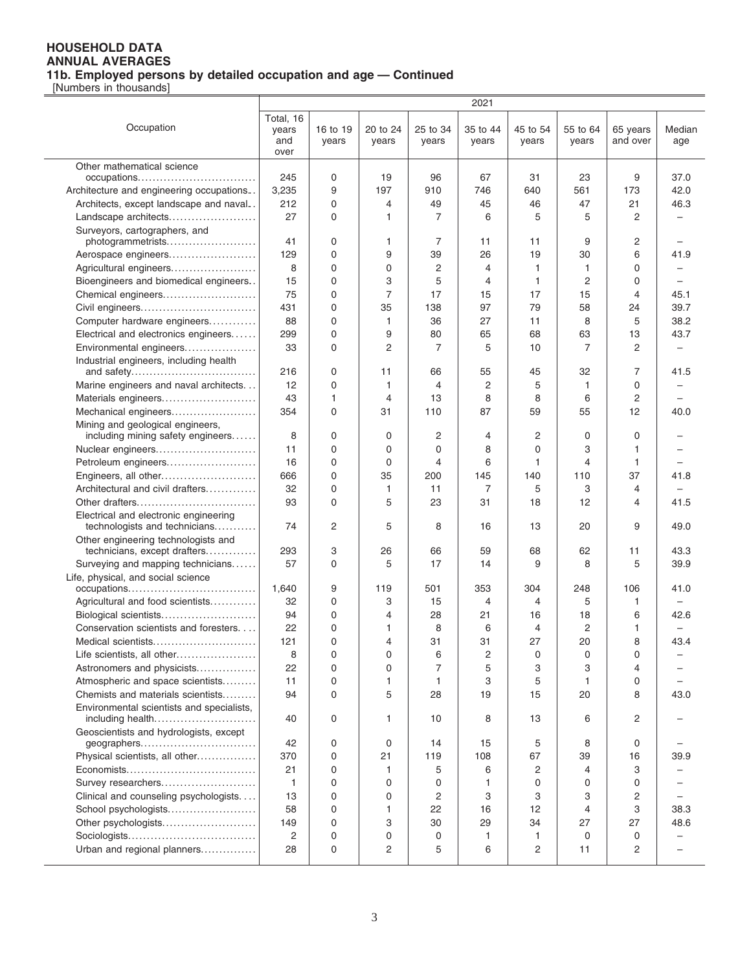|                                                    |              |             |                |                | 2021           |          |                |          |                          |
|----------------------------------------------------|--------------|-------------|----------------|----------------|----------------|----------|----------------|----------|--------------------------|
|                                                    | Total, 16    |             |                |                |                |          |                |          |                          |
| Occupation                                         | years        | 16 to 19    | 20 to 24       | 25 to 34       | 35 to 44       | 45 to 54 | 55 to 64       | 65 years | Median                   |
|                                                    | and          | years       | years          | years          | years          | years    | years          | and over | age                      |
|                                                    | over         |             |                |                |                |          |                |          |                          |
| Other mathematical science                         |              |             |                |                |                |          |                |          |                          |
| occupations                                        | 245          | $\mathbf 0$ | 19             | 96             | 67             | 31       | 23             | 9        | 37.0                     |
| Architecture and engineering occupations           | 3,235        | 9           | 197            | 910            | 746            | 640      | 561            | 173      | 42.0                     |
| Architects, except landscape and naval             | 212          | $\mathbf 0$ | 4              | 49             | 45             | 46       | 47             | 21       | 46.3                     |
| Landscape architects                               | 27           | 0           | 1              | 7              | 6              | 5        | 5              | 2        |                          |
|                                                    |              |             |                |                |                |          |                |          |                          |
| Surveyors, cartographers, and<br>photogrammetrists | 41           | 0           | 1.             | 7              | 11             | 11       | 9              | 2        |                          |
| Aerospace engineers                                | 129          | 0           | 9              | 39             | 26             | 19       | 30             | 6        | 41.9                     |
|                                                    |              | $\mathbf 0$ | 0              |                |                |          | $\mathbf{1}$   | $\Omega$ |                          |
| Agricultural engineers                             | 8            |             |                | 2              | 4              | 1        |                |          |                          |
| Bioengineers and biomedical engineers              | 15           | 0           | 3              | 5              | 4              | 1        | $\overline{2}$ | $\Omega$ | $\overline{\phantom{0}}$ |
| Chemical engineers                                 | 75           | $\mathbf 0$ | $\overline{7}$ | 17             | 15             | 17       | 15             | 4        | 45.1                     |
| Civil engineers                                    | 431          | $\mathbf 0$ | 35             | 138            | 97             | 79       | 58             | 24       | 39.7                     |
| Computer hardware engineers                        | 88           | 0           | 1              | 36             | 27             | 11       | 8              | 5        | 38.2                     |
| Electrical and electronics engineers               | 299          | $\mathbf 0$ | 9              | 80             | 65             | 68       | 63             | 13       | 43.7                     |
| Environmental engineers                            | 33           | $\Omega$    | 2              | 7              | 5              | 10       | 7              | 2        |                          |
| Industrial engineers, including health             |              |             |                |                |                |          |                |          |                          |
| and safety                                         | 216          | 0           | 11             | 66             | 55             | 45       | 32             | 7        | 41.5                     |
| Marine engineers and naval architects              | 12           | $\mathbf 0$ | 1              | $\overline{4}$ | $\overline{c}$ | 5        | $\mathbf{1}$   | 0        | -                        |
| Materials engineers                                | 43           | 1           | 4              | 13             | 8              | 8        | 6              | 2        |                          |
| Mechanical engineers                               | 354          | $\Omega$    | 31             | 110            | 87             | 59       | 55             | 12       | 40.0                     |
| Mining and geological engineers,                   |              |             |                |                |                |          |                |          |                          |
| including mining safety engineers                  | 8            | 0           | 0              | 2              | 4              | 2        | 0              | 0        |                          |
| Nuclear engineers                                  | 11           | $\Omega$    | 0              | 0              | 8              | 0        | 3              | 1        |                          |
| Petroleum engineers                                | 16           | $\mathbf 0$ | $\mathbf 0$    | 4              | 6              | 1        | $\overline{4}$ | 1        |                          |
| Engineers, all other                               | 666          | 0           | 35             | 200            | 145            | 140      | 110            | 37       | 41.8                     |
| Architectural and civil drafters                   | 32           | $\mathbf 0$ | $\mathbf{1}$   | 11             | 7              | 5        | 3              | 4        |                          |
| Other drafters                                     | 93           | $\Omega$    | 5              | 23             | 31             | 18       | 12             | 4        | 41.5                     |
| Electrical and electronic engineering              |              |             |                |                |                |          |                |          |                          |
| technologists and technicians                      | 74           | 2           | 5              | 8              | 16             | 13       | 20             | 9        | 49.0                     |
| Other engineering technologists and                |              |             |                |                |                |          |                |          |                          |
| technicians, except drafters                       | 293          | 3           | 26             | 66             | 59             | 68       | 62             | 11       | 43.3                     |
| Surveying and mapping technicians                  | 57           | 0           | 5              | 17             | 14             | 9        | 8              | 5        | 39.9                     |
| Life, physical, and social science                 |              |             |                |                |                |          |                |          |                          |
| occupations                                        | 1,640        | 9           | 119            | 501            | 353            | 304      | 248            | 106      | 41.0                     |
| Agricultural and food scientists                   | 32           | 0           | 3              | 15             | 4              | 4        | 5              | 1        |                          |
| Biological scientists                              | 94           | 0           | 4              | 28             | 21             | 16       | 18             | 6        | 42.6                     |
| Conservation scientists and foresters              | 22           | $\Omega$    | 1              | 8              | 6              | 4        | $\overline{2}$ | 1        |                          |
| Medical scientists                                 | 121          | $\Omega$    | 4              | 31             | 31             | 27       | 20             | 8        | 43.4                     |
| Life scientists, all other                         | 8            | 0           | 0              | 6              | $\overline{c}$ | 0        | 0              | 0        |                          |
| Astronomers and physicists                         | 22           | 0           | 0              | 7              | 5              | 3        | 3              | 4        |                          |
| Atmospheric and space scientists                   | 11           | 0           | 1              | $\mathbf{1}$   | 3              | 5        | $\mathbf{1}$   | 0        |                          |
| Chemists and materials scientists                  | 94           | $\Omega$    | 5              | 28             | 19             | 15       | 20             | 8        | 43.0                     |
| Environmental scientists and specialists,          |              |             |                |                |                |          |                |          |                          |
| including health                                   | 40           | 0           | 1.             | 10             | 8              | 13       | 6              | 2        |                          |
| Geoscientists and hydrologists, except             |              |             |                |                |                |          |                |          |                          |
| geographers                                        | 42           | 0           | 0              | 14             | 15             | 5        | 8              | 0        |                          |
| Physical scientists, all other                     | 370          | 0           | 21             | 119            | 108            | 67       | 39             | 16       | 39.9                     |
|                                                    | 21           | 0           | 1              | 5              | 6              | 2        | $\overline{4}$ | 3        |                          |
| Survey researchers                                 | $\mathbf{1}$ | 0           | $\mathbf 0$    | 0              | 1              | 0        | $\mathbf 0$    | 0        |                          |
|                                                    |              | $\mathbf 0$ | 0              |                | 3              | 3        | 3              |          |                          |
| Clinical and counseling psychologists              | 13           |             |                | 2              |                |          |                | 2        |                          |
| School psychologists                               | 58           | 0           | 1.             | 22             | 16             | 12       | $\overline{4}$ | 3        | 38.3                     |
| Other psychologists                                | 149          | 0           | 3              | 30             | 29             | 34       | 27             | 27       | 48.6                     |
|                                                    | 2            | 0           | 0              | 0              | 1              | 1        | 0              | 0        |                          |
| Urban and regional planners                        | 28           | 0           | 2              | 5              | 6              | 2        | 11             | 2        | $\overline{\phantom{0}}$ |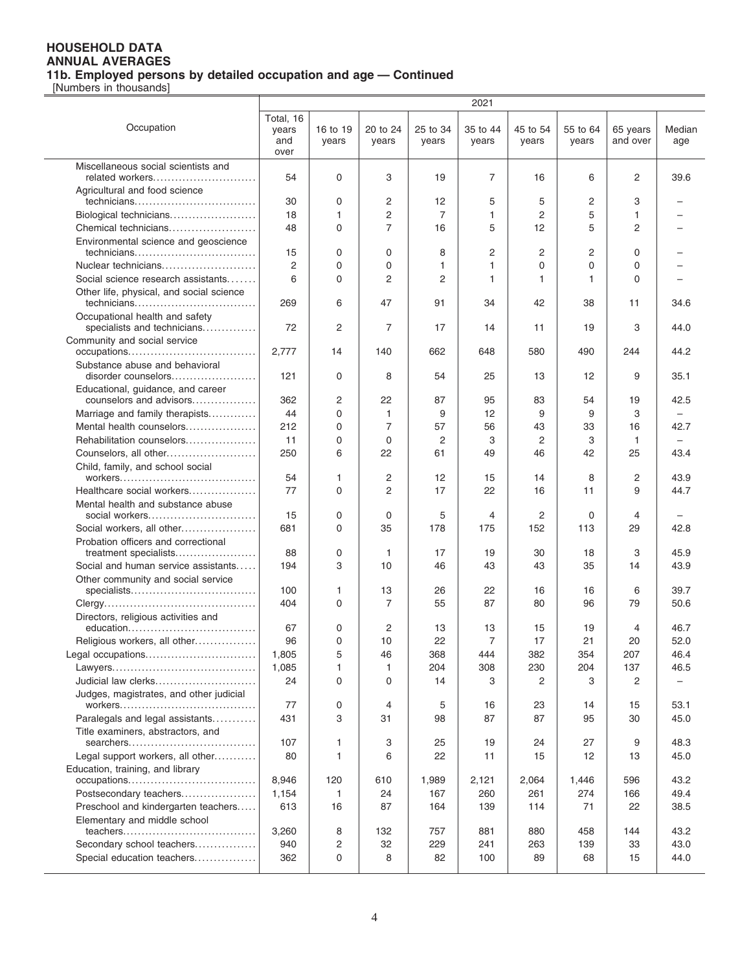|                                                               | 2021                              |                   |                   |                   |                   |                   |                   |                      |               |
|---------------------------------------------------------------|-----------------------------------|-------------------|-------------------|-------------------|-------------------|-------------------|-------------------|----------------------|---------------|
| Occupation                                                    | Total, 16<br>years<br>and<br>over | 16 to 19<br>years | 20 to 24<br>years | 25 to 34<br>years | 35 to 44<br>years | 45 to 54<br>years | 55 to 64<br>vears | 65 years<br>and over | Median<br>age |
| Miscellaneous social scientists and                           |                                   |                   |                   |                   |                   |                   |                   |                      |               |
| related workers                                               | 54                                | 0                 | 3                 | 19                | $\overline{7}$    | 16                | 6                 | 2                    | 39.6          |
| Agricultural and food science                                 |                                   |                   |                   |                   |                   |                   |                   |                      |               |
| technicians                                                   | 30                                | 0                 | 2                 | 12                | 5                 | 5                 | 2                 | 3                    |               |
| Biological technicians                                        | 18                                | $\mathbf{1}$      | 2                 | 7                 | 1                 | 2                 | 5                 | 1                    |               |
| Chemical technicians                                          | 48                                | $\Omega$          | $\overline{7}$    | 16                | 5                 | 12                | 5                 | 2                    |               |
| Environmental science and geoscience<br>technicians           | 15                                | 0                 | $\Omega$          | 8                 | 2                 | 2                 | 2                 | $\Omega$             |               |
| Nuclear technicians                                           | $\overline{2}$                    | 0                 | $\mathbf 0$       | 1                 | 1                 | 0                 | 0                 | $\Omega$             |               |
| Social science research assistants                            | 6                                 | 0                 | 2                 | 2                 | 1                 | 1                 | 1                 | $\Omega$             |               |
| Other life, physical, and social science<br>technicians       | 269                               | 6                 | 47                | 91                | 34                | 42                | 38                | 11                   | 34.6          |
| Occupational health and safety<br>specialists and technicians | 72                                | $\overline{2}$    | 7                 | 17                | 14                | 11                | 19                | 3                    | 44.0          |
| Community and social service                                  |                                   |                   |                   |                   |                   |                   |                   |                      |               |
|                                                               | 2,777                             | 14                | 140               | 662               | 648               | 580               | 490               | 244                  | 44.2          |
| Substance abuse and behavioral<br>disorder counselors         | 121                               | 0                 | 8                 | 54                | 25                | 13                | 12                | 9                    | 35.1          |
| Educational, guidance, and career<br>counselors and advisors  | 362                               | 2                 | 22                | 87                | 95                | 83                | 54                | 19                   | 42.5          |
| Marriage and family therapists                                | 44                                | 0                 | 1                 | 9                 | 12                | 9                 | 9                 | 3                    |               |
| Mental health counselors                                      | 212                               | 0                 | $\overline{7}$    | 57                | 56                | 43                | 33                | 16                   | 42.7          |
| Rehabilitation counselors                                     | 11                                | 0                 | $\mathbf 0$       | 2                 | 3                 | $\overline{c}$    | 3                 | $\mathbf{1}$         |               |
| Counselors, all other                                         | 250                               | 6                 | 22                | 61                | 49                | 46                | 42                | 25                   | 43.4          |
| Child, family, and school social                              |                                   |                   |                   |                   |                   |                   |                   |                      |               |
|                                                               | 54                                | 1                 | 2                 | 12                | 15                | 14                | 8                 | 2                    | 43.9          |
| Healthcare social workers                                     | 77                                | $\Omega$          | $\overline{c}$    | 17                | 22                | 16                | 11                | 9                    | 44.7          |
| Mental health and substance abuse<br>social workers           | 15                                | 0                 | 0                 | 5                 | 4                 | 2                 | $\Omega$          | 4                    |               |
| Social workers, all other                                     | 681                               | $\Omega$          | 35                | 178               | 175               | 152               | 113               | 29                   | 42.8          |
| Probation officers and correctional                           |                                   |                   |                   |                   |                   |                   |                   |                      |               |
| treatment specialists<br>Social and human service assistants  | 88<br>194                         | 0<br>3            | 1<br>10           | 17<br>46          | 19<br>43          | 30<br>43          | 18<br>35          | 3<br>14              | 45.9<br>43.9  |
| Other community and social service                            |                                   |                   |                   |                   |                   |                   |                   |                      |               |
| specialists                                                   | 100                               | 1                 | 13                | 26                | 22                | 16                | 16                | 6                    | 39.7          |
|                                                               | 404                               | $\Omega$          | 7                 | 55                | 87                | 80                | 96                | 79                   | 50.6          |
| Directors, religious activities and                           |                                   |                   |                   |                   |                   |                   |                   |                      |               |
| education                                                     | 67                                | 0                 | 2                 | 13                | 13                | 15                | 19                | $\overline{4}$       | 46.7          |
| Religious workers, all other                                  | 96                                | $\Omega$          | 10                | 22                | $\overline{7}$    | 17                | 21                | 20                   | 52.0          |
| Legal occupations                                             | 1,805                             | 5                 | 46                | 368               | 444               | 382               | 354               | 207                  | 46.4          |
|                                                               | 1,085                             | 1                 | 1                 | 204               | 308               | 230               | 204               | 137                  | 46.5          |
| Judicial law clerks                                           | 24                                | 0                 | $\mathbf 0$       | 14                | 3                 | 2                 | 3                 | 2                    |               |
| Judges, magistrates, and other judicial                       | 77                                | 0                 | 4                 | 5                 | 16                | 23                | 14                | 15                   | 53.1          |
| Paralegals and legal assistants                               | 431                               | 3                 | 31                | 98                | 87                | 87                | 95                | 30                   | 45.0          |
| Title examiners, abstractors, and                             |                                   |                   |                   |                   |                   |                   |                   |                      |               |
| searchers                                                     | 107                               | 1                 | 3                 | 25                | 19                | 24                | 27                | 9                    | 48.3          |
| Legal support workers, all other                              | 80                                | 1                 | 6                 | 22                | 11                | 15                | 12                | 13                   | 45.0          |
| Education, training, and library<br>occupations               | 8,946                             | 120               | 610               | 1,989             | 2,121             | 2,064             | 1,446             | 596                  | 43.2          |
| Postsecondary teachers                                        | 1,154                             | $\mathbf{1}$      | 24                | 167               | 260               | 261               | 274               | 166                  | 49.4          |
| Preschool and kindergarten teachers                           | 613                               | 16                | 87                | 164               | 139               | 114               | 71                | 22                   | 38.5          |
| Elementary and middle school                                  |                                   |                   |                   |                   |                   |                   |                   |                      |               |
|                                                               | 3,260                             | 8                 | 132               | 757               | 881               | 880               | 458               | 144                  | 43.2          |
| Secondary school teachers                                     | 940                               | $\overline{c}$    | 32                | 229               | 241               | 263               | 139               | 33                   | 43.0          |
| Special education teachers                                    | 362                               | 0                 | 8                 | 82                | 100               | 89                | 68                | 15                   | 44.0          |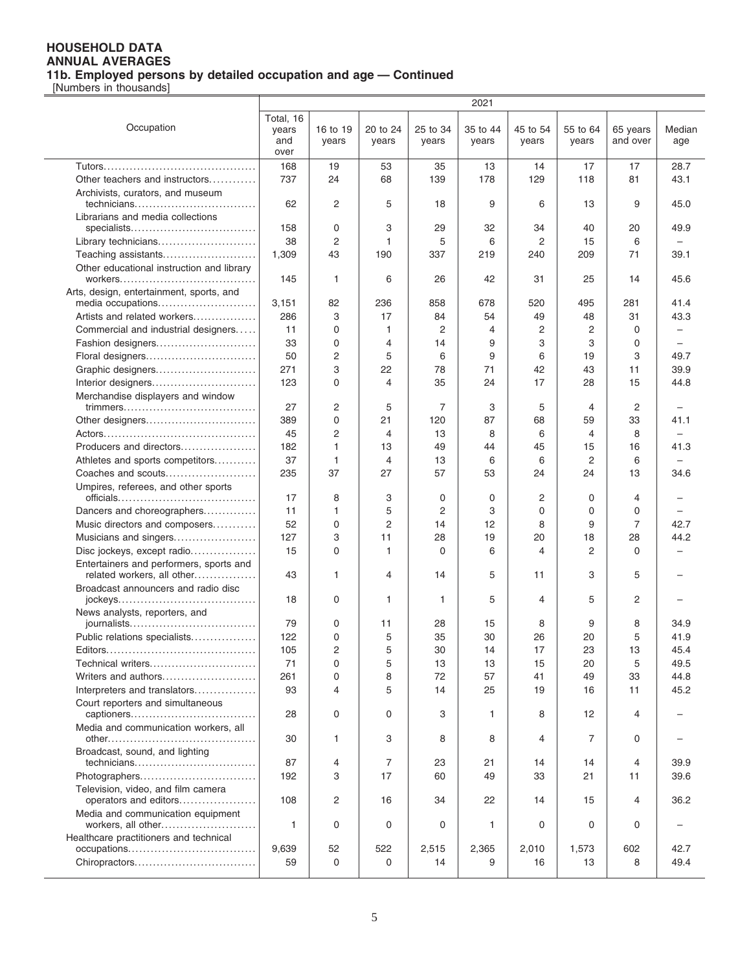|                                                                       |                                   |                   |                   |                   | 2021              |                   |                   |                      |                          |
|-----------------------------------------------------------------------|-----------------------------------|-------------------|-------------------|-------------------|-------------------|-------------------|-------------------|----------------------|--------------------------|
| Occupation                                                            | Total, 16<br>years<br>and<br>over | 16 to 19<br>years | 20 to 24<br>years | 25 to 34<br>years | 35 to 44<br>years | 45 to 54<br>years | 55 to 64<br>years | 65 years<br>and over | Median<br>age            |
|                                                                       | 168                               | 19                | 53                | 35                | 13                | 14                | 17                | 17                   | 28.7                     |
| Other teachers and instructors                                        | 737                               | 24                | 68                | 139               | 178               | 129               | 118               | 81                   | 43.1                     |
| Archivists, curators, and museum                                      |                                   |                   |                   |                   |                   |                   |                   |                      |                          |
| technicians                                                           | 62                                | 2                 | 5                 | 18                | 9                 | 6                 | 13                | 9                    | 45.0                     |
| Librarians and media collections                                      |                                   |                   |                   |                   |                   |                   |                   |                      |                          |
|                                                                       | 158                               | 0                 | 3                 | 29                | 32                | 34                | 40                | 20                   | 49.9                     |
| Library technicians                                                   | 38                                | $\overline{2}$    | 1                 | 5                 | 6                 | $\overline{2}$    | 15                | 6                    |                          |
| Teaching assistants                                                   | 1,309                             | 43                | 190               | 337               | 219               | 240               | 209               | 71                   | 39.1                     |
| Other educational instruction and library                             |                                   |                   |                   |                   |                   |                   |                   |                      |                          |
|                                                                       | 145                               | 1                 | 6                 | 26                | 42                | 31                | 25                | 14                   | 45.6                     |
| Arts, design, entertainment, sports, and                              |                                   |                   |                   |                   |                   |                   |                   |                      |                          |
| media occupations                                                     | 3,151                             | 82                | 236               | 858               | 678               | 520               | 495               | 281                  | 41.4                     |
| Artists and related workers                                           | 286                               | 3                 | 17                | 84                | 54                | 49                | 48                | 31                   | 43.3                     |
| Commercial and industrial designers                                   | 11                                | 0                 | 1                 | 2                 | 4                 | $\overline{2}$    | 2                 | $\mathbf 0$          | $\overline{\phantom{0}}$ |
| Fashion designers                                                     | 33                                | 0                 | 4                 | 14                | 9                 | 3                 | 3                 | 0                    |                          |
| Floral designers                                                      | 50                                | 2                 | 5                 | 6                 | 9                 | 6                 | 19                | 3                    | 49.7                     |
| Graphic designers                                                     | 271                               | 3                 | 22                | 78                | 71                | 42                | 43                | 11                   | 39.9                     |
|                                                                       | 123                               | $\Omega$          | 4                 | 35                | 24                | 17                | 28                | 15                   | 44.8                     |
| Interior designers                                                    |                                   |                   |                   |                   |                   |                   |                   |                      |                          |
| Merchandise displayers and window                                     | 27                                | 2                 | 5                 | 7                 | 3                 | 5                 | 4                 | 2                    |                          |
|                                                                       |                                   | 0                 |                   |                   |                   |                   |                   |                      |                          |
| Other designers                                                       | 389                               |                   | 21                | 120               | 87                | 68                | 59                | 33                   | 41.1                     |
|                                                                       | 45                                | $\overline{2}$    | 4                 | 13                | 8                 | 6                 | 4                 | 8                    |                          |
| Producers and directors                                               | 182                               | 1                 | 13                | 49                | 44                | 45                | 15                | 16                   | 41.3                     |
| Athletes and sports competitors                                       | 37                                | 1                 | 4                 | 13                | 6                 | 6                 | 2                 | 6                    |                          |
| Coaches and scouts                                                    | 235                               | 37                | 27                | 57                | 53                | 24                | 24                | 13                   | 34.6                     |
| Umpires, referees, and other sports                                   |                                   |                   |                   |                   |                   |                   |                   |                      |                          |
|                                                                       | 17                                | 8                 | 3                 | 0                 | 0                 | 2                 | 0                 | 4                    |                          |
| Dancers and choreographers                                            | 11                                | 1                 | 5                 | 2                 | 3                 | 0                 | 0                 | 0                    |                          |
| Music directors and composers                                         | 52                                | 0                 | $\overline{2}$    | 14                | 12                | 8                 | 9                 | $\overline{7}$       | 42.7                     |
| Musicians and singers                                                 | 127                               | 3                 | 11                | 28                | 19                | 20                | 18                | 28                   | 44.2                     |
| Disc jockeys, except radio                                            | 15                                | 0                 | 1                 | $\Omega$          | 6                 | 4                 | 2                 | $\Omega$             |                          |
| Entertainers and performers, sports and<br>related workers, all other | 43                                | 1                 | 4                 | 14                | 5                 | 11                | 3                 | 5                    |                          |
| Broadcast announcers and radio disc                                   | 18                                | 0                 | 1                 | 1                 | 5                 | 4                 | 5                 | 2                    |                          |
| News analysts, reporters, and                                         |                                   |                   |                   |                   |                   |                   |                   |                      |                          |
|                                                                       | 79                                | 0                 | 11                | 28                | 15                | 8                 | 9                 | 8                    | 34.9                     |
| Public relations specialists                                          | 122                               | $\Omega$          | 5                 | 35                | 30                | 26                | 20                | 5                    | 41.9                     |
|                                                                       | 105                               | 2                 | 5                 | 30                | 14                | 17                | 23                | 13                   | 45.4                     |
| Technical writers                                                     | 71                                | 0                 | 5                 | 13                | 13                | 15                | 20                | 5                    | 49.5                     |
| Writers and authors                                                   | 261                               | 0                 | 8                 | 72                | 57                | 41                | 49                | 33                   | 44.8                     |
| Interpreters and translators                                          | 93                                | 4                 | 5                 | 14                | 25                | 19                | 16                | 11                   | 45.2                     |
| Court reporters and simultaneous                                      |                                   | 0                 | 0                 | 3                 | 1                 | 8                 | 12                | 4                    |                          |
| Media and communication workers, all                                  | 28                                |                   |                   |                   |                   |                   |                   |                      |                          |
|                                                                       | 30                                | 1                 | 3                 | 8                 | 8                 | 4                 | 7                 | 0                    |                          |
| Broadcast, sound, and lighting                                        |                                   |                   |                   |                   |                   |                   |                   |                      |                          |
| technicians                                                           | 87                                | 4                 | $\overline{7}$    | 23                | 21                | 14                | 14                | 4                    | 39.9                     |
| Photographers                                                         | 192                               | 3                 | 17                | 60                | 49                | 33                | 21                | 11                   | 39.6                     |
| Television, video, and film camera<br>operators and editors           | 108                               | 2                 | 16                | 34                | 22                | 14                | 15                | 4                    | 36.2                     |
| Media and communication equipment<br>workers, all other               | $\mathbf{1}$                      | 0                 | 0                 | 0                 | 1                 | 0                 | 0                 | 0                    |                          |
| Healthcare practitioners and technical                                |                                   |                   |                   |                   |                   |                   |                   |                      |                          |
|                                                                       | 9,639                             | 52                | 522               | 2,515             | 2,365             | 2,010             | 1,573             | 602                  | 42.7                     |
| Chiropractors                                                         | 59                                | $\mathbf 0$       | $\mathbf 0$       | 14                | 9                 | 16                | 13                | 8                    | 49.4                     |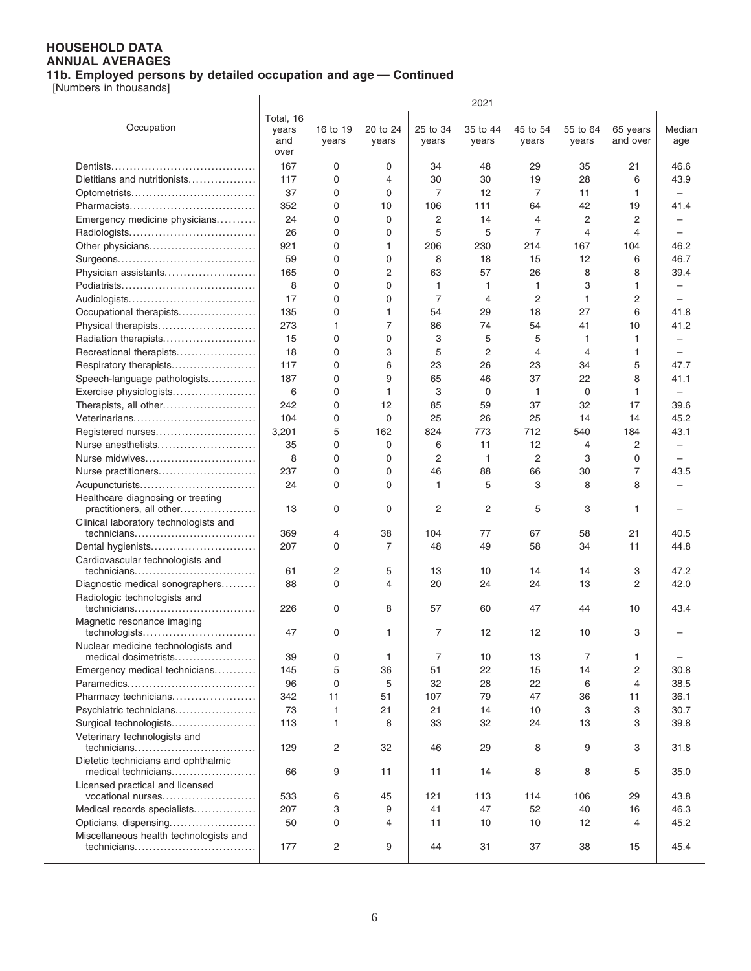[Numbers in thousands]

|                                                      |           |          |                |          | 2021           |          |                   |                    |                          |
|------------------------------------------------------|-----------|----------|----------------|----------|----------------|----------|-------------------|--------------------|--------------------------|
|                                                      | Total, 16 |          |                |          |                |          |                   |                    |                          |
| Occupation                                           | years     | 16 to 19 | 20 to 24       | 25 to 34 | 35 to 44       | 45 to 54 | 55 to 64          | 65 years           | Median                   |
|                                                      | and       | years    | years          | years    | years          | years    | years             | and over           | age                      |
|                                                      | over      |          |                |          |                |          |                   |                    |                          |
|                                                      | 167       | 0        | 0              | 34       | 48             | 29       | 35                | 21                 | 46.6                     |
| Dietitians and nutritionists                         | 117       | 0        | 4              | 30       | 30             | 19       | 28                | 6                  | 43.9                     |
|                                                      | 37        | 0        | 0              | 7        | 12             | 7        | 11                | $\mathbf{1}$       |                          |
|                                                      | 352       | 0        | 10             | 106      | 111            | 64       | 42                | 19                 | 41.4                     |
| Emergency medicine physicians                        | 24        | 0        | 0              | 2        | 14             | 4        | 2                 | $\overline{c}$     |                          |
|                                                      | 26        | 0        | 0              | 5        | 5              | 7        | 4                 | 4                  |                          |
| Other physicians                                     | 921       | 0        | 1              | 206      | 230            | 214      | 167               | 104                | 46.2                     |
|                                                      | 59        | 0        | 0              | 8        | 18             | 15       | 12                | 6                  | 46.7                     |
| Physician assistants                                 | 165       | 0        | $\overline{c}$ | 63       | 57             | 26       | 8                 | 8                  | 39.4                     |
|                                                      | 8         | 0        | 0              | 1        | 1              | 1        | 3                 | 1                  |                          |
| Audiologists                                         | 17        | 0        | 0              | 7        | 4              | 2        | 1                 | $\overline{c}$     |                          |
| Occupational therapists                              | 135       | 0        | 1              | 54       | 29             | 18       | 27                | 6                  | 41.8                     |
|                                                      |           | 1        | $\overline{7}$ |          | 74             |          | 41                |                    |                          |
| Physical therapists<br>Radiation therapists          | 273<br>15 | 0        | 0              | 86<br>3  | 5              | 54<br>5  | 1                 | 10<br>$\mathbf{1}$ | 41.2                     |
|                                                      | 18        | 0        | 3              | 5        | $\overline{2}$ | 4        | 4                 | 1                  |                          |
| Recreational therapists                              | 117       | 0        | 6              | 23       | 26             | 23       | 34                | 5                  | 47.7                     |
| Respiratory therapists                               |           |          | 9              |          |                |          |                   |                    |                          |
| Speech-language pathologists                         | 187       | 0        |                | 65       | 46             | 37       | 22                | 8                  | 41.1                     |
| Exercise physiologists                               | 6         | 0        | 1              | 3        | 0              | 1        | 0                 | 1                  | $\overline{\phantom{m}}$ |
| Therapists, all other                                | 242       | 0        | 12             | 85       | 59             | 37       | 32                | 17                 | 39.6                     |
| Veterinarians                                        | 104       | 0        | 0              | 25       | 26             | 25       | 14                | 14                 | 45.2                     |
| Registered nurses                                    | 3,201     | 5        | 162            | 824      | 773            | 712      | 540               | 184                | 43.1                     |
| Nurse anesthetists                                   | 35        | 0        | 0              | 6        | 11             | 12       | 4                 | $\overline{c}$     |                          |
| Nurse midwives                                       | 8         | 0        | 0              | 2        | 1              | 2        | 3                 | $\Omega$           |                          |
| Nurse practitioners                                  | 237       | 0        | 0              | 46       | 88             | 66       | 30                | 7                  | 43.5                     |
| Acupuncturists                                       | 24        | 0        | $\Omega$       | 1        | 5              | 3        | 8                 | 8                  |                          |
| Healthcare diagnosing or treating                    |           |          |                | 2        | 2              | 5        |                   |                    |                          |
| practitioners, all other                             | 13        | 0        | 0              |          |                |          | 3                 | 1                  |                          |
| Clinical laboratory technologists and<br>technicians | 369       | 4        | 38             | 104      | 77             | 67       | 58                | 21                 | 40.5                     |
| Dental hygienists                                    | 207       | 0        | 7              | 48       | 49             | 58       | 34                | 11                 | 44.8                     |
| Cardiovascular technologists and                     |           |          |                |          |                |          |                   |                    |                          |
| technicians                                          | 61        | 2        | 5              | 13       | 10             | 14       | 14                | 3                  | 47.2                     |
| Diagnostic medical sonographers                      | 88        | 0        | 4              | 20       | 24             | 24       | 13                | 2                  | 42.0                     |
| Radiologic technologists and                         |           |          |                |          |                |          |                   |                    |                          |
| technicians                                          | 226       | 0        | 8              | 57       | 60             | 47       | 44                | 10                 | 43.4                     |
| Magnetic resonance imaging                           |           |          |                |          |                |          |                   |                    |                          |
| technologists                                        | 47        | 0        | 1              | 7        | 12             | 12       | 10                | 3                  |                          |
| Nuclear medicine technologists and                   |           |          |                |          |                |          |                   |                    |                          |
| medical dosimetrists                                 | 39        | 0        | 1              | 7        | 10             | 13       | 7                 | 1                  |                          |
| Emergency medical technicians                        | 145       | 5        | 36             | 51       | 22             | 15       | 14                | 2                  | 30.8                     |
|                                                      | 96        | 0        | 5              | 32       | 28             | 22       | 6                 | 4                  | 38.5                     |
| Pharmacy technicians                                 | 342       | 11       | 51             | 107      | 79             | 47       | 36                | 11                 | 36.1                     |
| Psychiatric technicians                              | 73        | 1        | 21             | 21       | 14             | 10       | 3                 | 3                  | 30.7                     |
| Surgical technologists                               | 113       | 1        | 8              | 33       | 32             | 24       | 13                | 3                  | 39.8                     |
| Veterinary technologists and                         |           |          |                |          |                |          |                   |                    |                          |
| technicians                                          | 129       | 2        | 32             | 46       | 29             | 8        | 9                 | 3                  | 31.8                     |
| Dietetic technicians and ophthalmic                  |           |          |                |          |                |          |                   |                    |                          |
| medical technicians                                  | 66        | 9        | 11             | 11       | 14             | 8        | 8                 | 5                  | 35.0                     |
| Licensed practical and licensed<br>vocational nurses | 533       | 6        | 45             | 121      | 113            | 114      | 106               | 29                 | 43.8                     |
| Medical records specialists                          | 207       | 3        | 9              | 41       | 47             | 52       | 40                | 16                 | 46.3                     |
| Opticians, dispensing                                | 50        | 0        | 4              | 11       | 10             | 10       | $12 \overline{ }$ | 4                  | 45.2                     |
| Miscellaneous health technologists and               |           |          |                |          |                |          |                   |                    |                          |
| technicians                                          | 177       | 2        | 9              | 44       | 31             | 37       | 38                | 15                 | 45.4                     |
|                                                      |           |          |                |          |                |          |                   |                    |                          |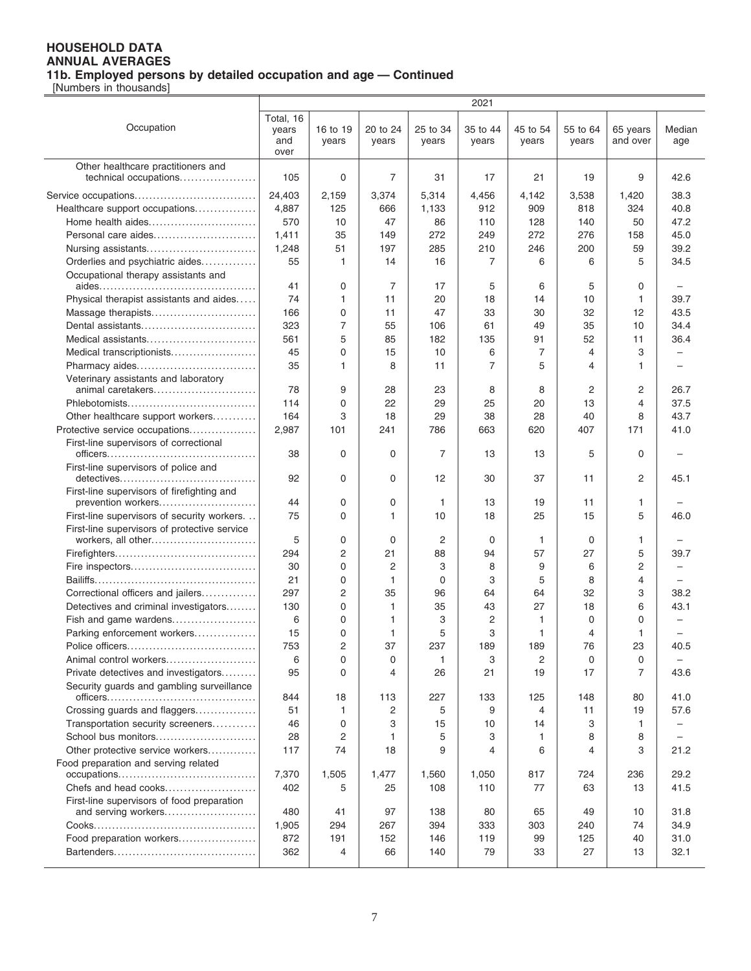|                                                                  |                                   |                   |                   |                   | 2021              |                   |                   |                      |                          |
|------------------------------------------------------------------|-----------------------------------|-------------------|-------------------|-------------------|-------------------|-------------------|-------------------|----------------------|--------------------------|
| Occupation                                                       | Total, 16<br>years<br>and<br>over | 16 to 19<br>years | 20 to 24<br>years | 25 to 34<br>years | 35 to 44<br>years | 45 to 54<br>years | 55 to 64<br>years | 65 years<br>and over | Median<br>age            |
| Other healthcare practitioners and<br>technical occupations      | 105                               | 0                 | 7                 | 31                | 17                | 21                | 19                | 9                    | 42.6                     |
|                                                                  | 24,403                            | 2,159             | 3,374             | 5,314             | 4,456             | 4,142             | 3,538             | 1,420                | 38.3                     |
| Healthcare support occupations                                   | 4,887                             | 125               | 666               | 1,133             | 912               | 909               | 818               | 324                  | 40.8                     |
| Home health aides                                                | 570                               | 10                | 47                | 86                | 110               | 128               | 140               | 50                   | 47.2                     |
| Personal care aides                                              | 1,411                             | 35                | 149               | 272               | 249               | 272               | 276               | 158                  | 45.0                     |
| Nursing assistants                                               | 1,248                             | 51                | 197               | 285               | 210               | 246               | 200               | 59                   | 39.2                     |
| Orderlies and psychiatric aides                                  | 55                                | 1                 | 14                | 16                | 7                 | 6                 | 6                 | 5                    | 34.5                     |
| Occupational therapy assistants and                              |                                   |                   |                   |                   |                   |                   |                   |                      |                          |
|                                                                  | 41                                | 0                 | 7                 | 17                | 5                 | 6                 | 5                 | 0                    |                          |
| Physical therapist assistants and aides                          | 74                                | 1                 | 11                | 20                | 18                | 14                | 10                | $\mathbf{1}$         | 39.7                     |
| Massage therapists                                               | 166                               | $\mathbf 0$       | 11                | 47                | 33                | 30                | 32                | 12                   | 43.5                     |
| Dental assistants                                                | 323                               | 7                 | 55                | 106               | 61                | 49                | 35                | 10                   | 34.4                     |
| Medical assistants                                               | 561                               | 5                 | 85                | 182               | 135               | 91                | 52                | 11                   | 36.4                     |
| Medical transcriptionists                                        | 45                                | $\mathbf 0$       | 15                | 10                | 6                 | 7                 | 4                 | 3                    |                          |
| Pharmacy aides                                                   | 35                                | 1                 | 8                 | 11                | 7                 | 5                 | 4                 | 1                    |                          |
| Veterinary assistants and laboratory                             |                                   |                   |                   |                   |                   |                   |                   |                      |                          |
| animal caretakers                                                | 78                                | 9                 | 28                | 23                | 8                 | 8                 | 2                 | 2                    | 26.7                     |
|                                                                  | 114                               | 0                 | 22                | 29                | 25                | 20                | 13                | 4                    | 37.5                     |
| Other healthcare support workers                                 | 164                               | 3                 | 18                | 29                | 38                | 28                | 40                | 8                    | 43.7                     |
| Protective service occupations                                   | 2,987                             | 101               | 241               | 786               | 663               | 620               | 407               | 171                  | 41.0                     |
| First-line supervisors of correctional                           |                                   |                   |                   |                   |                   |                   |                   |                      |                          |
|                                                                  | 38                                | 0                 | $\mathbf 0$       | 7                 | 13                | 13                | 5                 | 0                    |                          |
| First-line supervisors of police and                             | 92                                | 0                 | $\mathbf 0$       | 12                | 30                | 37                | 11                | 2                    | 45.1                     |
| First-line supervisors of firefighting and<br>prevention workers | 44                                | 0                 | 0                 | 1                 | 13                | 19                | 11                | 1                    |                          |
| First-line supervisors of security workers.                      | 75                                | 0                 | 1                 | 10                | 18                | 25                | 15                | 5                    | 46.0                     |
| First-line supervisors of protective service                     |                                   |                   |                   |                   |                   |                   |                   |                      |                          |
| workers, all other                                               | 5                                 | $\mathbf 0$       | $\mathbf 0$       | 2                 | 0                 | 1                 | 0                 | 1                    |                          |
|                                                                  | 294                               | $\overline{2}$    | 21                | 88                | 94                | 57                | 27                | 5                    | 39.7                     |
|                                                                  | 30                                | $\mathbf 0$       | 2                 | 3                 | 8                 | 9                 | 6                 | 2                    | $\overline{\phantom{0}}$ |
|                                                                  | 21                                | 0                 | $\mathbf{1}$      | 0                 | 3                 | 5                 | 8                 | 4                    |                          |
| Correctional officers and jailers                                | 297                               | $\overline{2}$    | 35                | 96                | 64                | 64                | 32                | 3                    | 38.2                     |
| Detectives and criminal investigators                            | 130                               | $\mathbf 0$       | 1                 | 35                | 43                | 27                | 18                | 6                    | 43.1                     |
| Fish and game wardens                                            | 6                                 | 0                 | 1                 | 3                 | $\overline{c}$    | 1                 | 0                 | 0                    |                          |
| Parking enforcement workers                                      | 15                                | 0                 | 1                 | 5                 | 3                 | 1                 | 4                 | 1                    |                          |
|                                                                  | 753                               | 2                 | 37                | 237               | 189               | 189               | 76                | 23                   | 40.5                     |
| Animal control workers                                           | 6                                 | $\mathbf 0$       | 0                 | 1                 | 3                 | 2                 | 0                 | 0                    | -                        |
| Private detectives and investigators                             | 95                                | $\Omega$          | 4                 | 26                | 21                | 19                | 17                | 7                    | 43.6                     |
| Security guards and gambling surveillance                        | 844                               | 18                | 113               | 227               | 133               | 125               | 148               | 80                   | 41.0                     |
| Crossing guards and flaggers                                     | 51                                | $\mathbf{1}$      | 2                 | 5                 | 9                 | 4                 | 11                | 19                   | 57.6                     |
| Transportation security screeners                                | 46                                | 0                 | 3                 | 15                | 10                | 14                | 3                 | 1                    |                          |
| School bus monitors                                              | 28                                | 2                 | 1                 | 5                 | 3                 | 1                 | 8                 | 8                    |                          |
| Other protective service workers                                 | 117                               | 74                | 18                | 9                 | 4                 | 6                 | 4                 | 3                    | 21.2                     |
| Food preparation and serving related                             |                                   |                   |                   |                   |                   |                   |                   |                      |                          |
|                                                                  | 7,370                             | 1,505             | 1,477             | 1,560             | 1,050             | 817               | 724               | 236                  | 29.2                     |
| Chefs and head cooks                                             | 402                               | 5                 | 25                | 108               | 110               | 77                | 63                | 13                   | 41.5                     |
| First-line supervisors of food preparation                       | 480                               | 41                | 97                | 138               | 80                | 65                | 49                | 10                   | 31.8                     |
| and serving workers                                              | 1,905                             | 294               | 267               | 394               | 333               | 303               | 240               | 74                   | 34.9                     |
| Food preparation workers                                         | 872                               | 191               | 152               | 146               | 119               | 99                | 125               | 40                   | 31.0                     |
|                                                                  | 362                               | 4                 | 66                | 140               | 79                | 33                | 27                | 13                   | 32.1                     |
|                                                                  |                                   |                   |                   |                   |                   |                   |                   |                      |                          |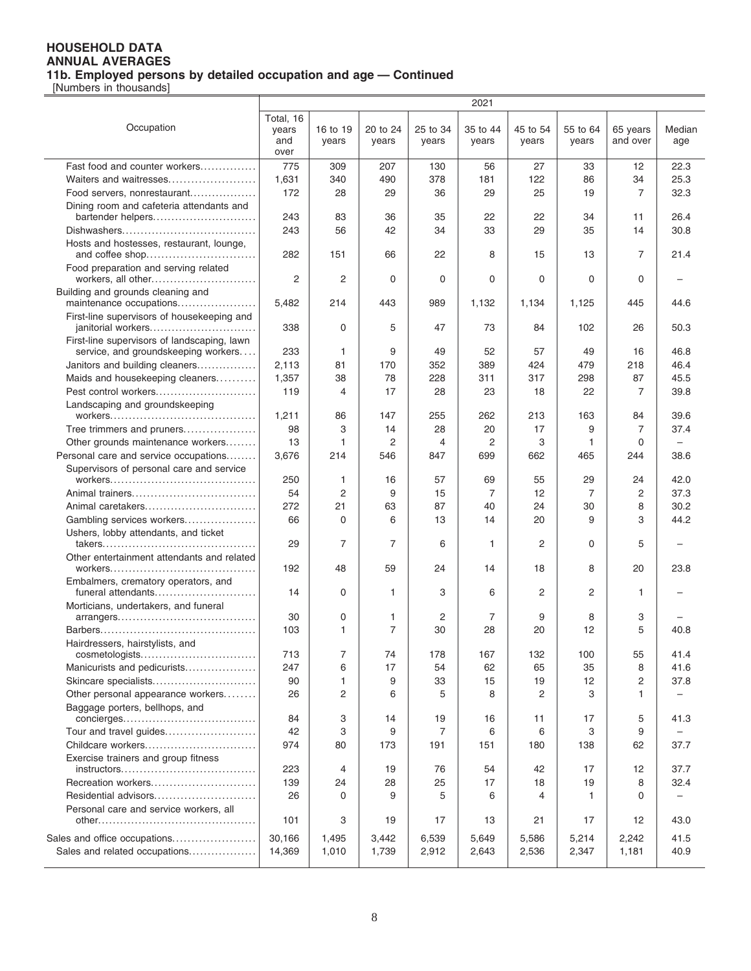|                                                                  |                                   |                   |                   |                   | 2021              |                   |                   |                      |               |
|------------------------------------------------------------------|-----------------------------------|-------------------|-------------------|-------------------|-------------------|-------------------|-------------------|----------------------|---------------|
| Occupation                                                       | Total, 16<br>years<br>and<br>over | 16 to 19<br>years | 20 to 24<br>years | 25 to 34<br>years | 35 to 44<br>years | 45 to 54<br>years | 55 to 64<br>years | 65 years<br>and over | Median<br>age |
| Fast food and counter workers                                    | 775                               | 309               | 207               | 130               |                   | 27                |                   | 12                   | 22.3          |
|                                                                  |                                   |                   |                   |                   | 56                |                   | 33                |                      | 25.3          |
| Waiters and waitresses                                           | 1,631                             | 340               | 490               | 378               | 181               | 122               | 86                | 34                   |               |
| Food servers, nonrestaurant                                      | 172                               | 28                | 29                | 36                | 29                | 25                | 19                | 7                    | 32.3          |
| Dining room and cafeteria attendants and<br>bartender helpers    | 243                               | 83                | 36                | 35                | 22                | 22                | 34                | 11                   | 26.4          |
|                                                                  | 243                               | 56                | 42                | 34                | 33                | 29                | 35                | 14                   | 30.8          |
|                                                                  |                                   |                   |                   |                   |                   |                   |                   |                      |               |
| Hosts and hostesses, restaurant, lounge,                         | 282                               | 151               | 66                | 22                | 8                 | 15                | 13                | 7                    | 21.4          |
| Food preparation and serving related<br>workers, all other       | 2                                 | 2                 | $\mathbf 0$       | 0                 | 0                 | 0                 | 0                 | $\Omega$             |               |
| Building and grounds cleaning and<br>maintenance occupations     | 5,482                             | 214               | 443               | 989               | 1,132             | 1,134             | 1,125             | 445                  | 44.6          |
| First-line supervisors of housekeeping and<br>janitorial workers | 338                               | 0                 | 5                 | 47                | 73                | 84                | 102               | 26                   | 50.3          |
| First-line supervisors of landscaping, lawn                      |                                   |                   |                   |                   |                   |                   |                   |                      |               |
| service, and groundskeeping workers                              | 233                               | 1                 | 9                 | 49                | 52                | 57                | 49                | 16                   | 46.8          |
| Janitors and building cleaners                                   | 2,113                             | 81                | 170               | 352               | 389               | 424               | 479               | 218                  | 46.4          |
| Maids and housekeeping cleaners                                  | 1,357                             | 38                | 78                | 228               | 311               | 317               | 298               | 87                   | 45.5          |
| Pest control workers                                             | 119                               | 4                 | 17                | 28                | 23                | 18                | 22                | 7                    | 39.8          |
| Landscaping and groundskeeping                                   | 1,211                             | 86                | 147               | 255               | 262               | 213               | 163               | 84                   | 39.6          |
| Tree trimmers and pruners                                        | 98                                | 3                 | 14                | 28                | 20                | 17                | 9                 | 7                    | 37.4          |
| Other grounds maintenance workers                                | 13                                | 1                 | 2                 | 4                 | 2                 | 3                 | 1                 | 0                    | $\equiv$      |
| Personal care and service occupations                            | 3,676                             | 214               | 546               | 847               | 699               | 662               | 465               | 244                  | 38.6          |
| Supervisors of personal care and service                         | 250                               | 1                 | 16                | 57                | 69                | 55                | 29                | 24                   | 42.0          |
| Animal trainers                                                  | 54                                | 2                 | 9                 | 15                | 7                 | 12                | 7                 | 2                    | 37.3          |
| Animal caretakers                                                | 272                               | 21                | 63                | 87                | 40                | 24                | 30                | 8                    | 30.2          |
| Gambling services workers                                        | 66                                | 0                 | 6                 | 13                | 14                | 20                | 9                 | 3                    | 44.2          |
| Ushers, lobby attendants, and ticket                             |                                   |                   |                   |                   |                   |                   |                   |                      |               |
|                                                                  | 29                                | 7                 | $\overline{7}$    | 6                 | 1                 | 2                 | 0                 | 5                    |               |
| Other entertainment attendants and related                       | 192                               | 48                | 59                | 24                | 14                | 18                | 8                 | 20                   | 23.8          |
| Embalmers, crematory operators, and<br>funeral attendants        | 14                                | 0                 | $\mathbf{1}$      | 3                 | 6                 | 2                 | 2                 | 1                    |               |
| Morticians, undertakers, and funeral                             | 30                                | 0                 | 1                 | 2                 | 7                 | 9                 | 8                 | 3                    |               |
|                                                                  | 103                               | 1                 | $\overline{7}$    | 30                | 28                | 20                | 12                | 5                    | 40.8          |
| Hairdressers, hairstylists, and                                  |                                   |                   |                   |                   |                   |                   |                   |                      |               |
| cosmetologists                                                   | 713                               | 7                 | 74                | 178               | 167               | 132               | 100               | 55                   | 41.4          |
| Manicurists and pedicurists                                      | 247                               | 6                 | 17                | 54                | 62                | 65                | 35                | 8                    | 41.6          |
| Skincare specialists                                             | 90                                | 1                 | 9                 | 33                | 15                | 19                | 12                | $\overline{2}$       | 37.8          |
| Other personal appearance workers                                | 26                                | 2                 | 6                 | 5                 | 8                 | 2                 | З                 | 1                    |               |
| Baggage porters, bellhops, and                                   | 84                                | 3                 | 14                | 19                | 16                | 11                | 17                | 5                    | 41.3          |
| Tour and travel guides                                           | 42                                | 3                 | 9                 | 7                 | 6                 | 6                 | 3                 | 9                    |               |
| Childcare workers                                                | 974                               | 80                | 173               | 191               | 151               | 180               | 138               | 62                   | 37.7          |
| Exercise trainers and group fitness                              | 223                               | 4                 | 19                | 76                | 54                | 42                | 17                | 12                   | 37.7          |
| Recreation workers                                               | 139                               | 24                | 28                | 25                | 17                | 18                | 19                | 8                    | 32.4          |
| Residential advisors                                             | 26                                | 0                 | 9                 | 5                 | 6                 | 4                 | 1                 | 0                    |               |
| Personal care and service workers, all                           |                                   |                   |                   |                   |                   |                   |                   |                      |               |
|                                                                  | 101                               | 3                 | 19                | 17                | 13                | 21                | 17                | 12                   | 43.0          |
| Sales and office occupations                                     | 30,166                            | 1,495             | 3,442             | 6,539             | 5,649             | 5,586             | 5,214             | 2,242                | 41.5          |
| Sales and related occupations                                    | 14,369                            | 1,010             | 1,739             | 2,912             | 2,643             | 2,536             | 2,347             | 1,181                | 40.9          |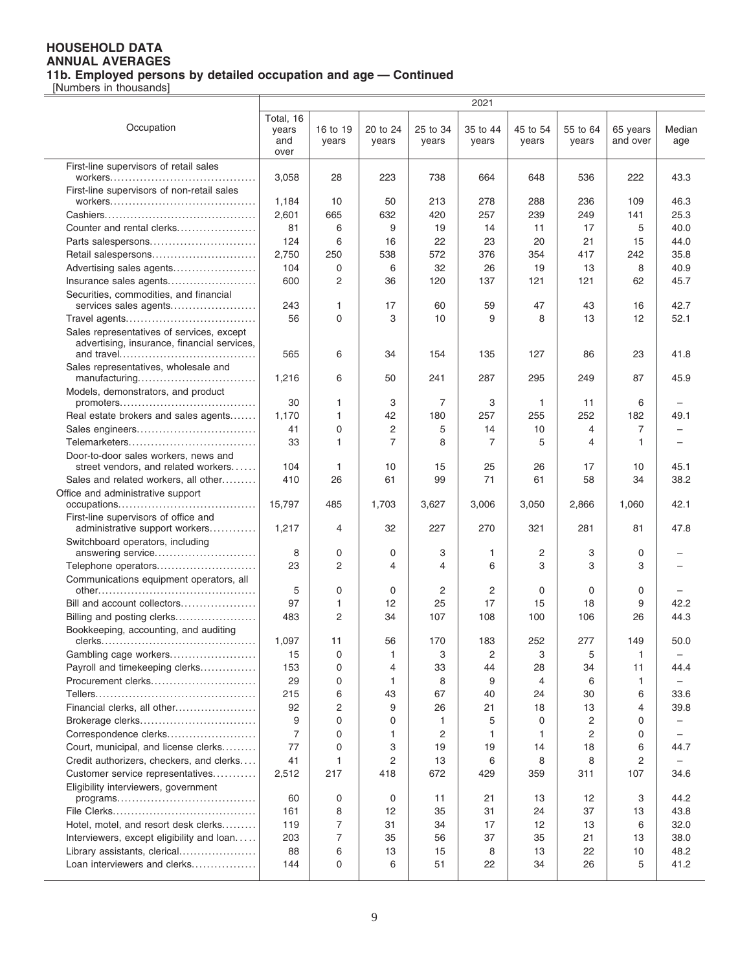|                                                                                          |                                   |                   |                   |                   | 2021              |                   |                   |                      |               |
|------------------------------------------------------------------------------------------|-----------------------------------|-------------------|-------------------|-------------------|-------------------|-------------------|-------------------|----------------------|---------------|
| Occupation                                                                               | Total, 16<br>years<br>and<br>over | 16 to 19<br>years | 20 to 24<br>years | 25 to 34<br>years | 35 to 44<br>years | 45 to 54<br>years | 55 to 64<br>years | 65 years<br>and over | Median<br>age |
| First-line supervisors of retail sales                                                   | 3,058                             | 28                | 223               | 738               | 664               | 648               | 536               | 222                  | 43.3          |
| First-line supervisors of non-retail sales                                               |                                   |                   |                   |                   |                   |                   |                   |                      |               |
|                                                                                          | 1,184                             | 10                | 50                | 213               | 278               | 288               | 236               | 109                  | 46.3          |
|                                                                                          | 2,601                             | 665               | 632               | 420               | 257               | 239               | 249               | 141                  | 25.3          |
| Counter and rental clerks                                                                | 81                                | 6                 | 9                 | 19                | 14                | 11                | 17                | 5                    | 40.0          |
| Parts salespersons                                                                       | 124                               | 6                 | 16                | 22                | 23                | 20                | 21                | 15                   | 44.0          |
| Retail salespersons                                                                      | 2,750                             | 250               | 538               | 572               | 376               | 354               | 417               | 242                  | 35.8          |
| Advertising sales agents                                                                 | 104                               | 0                 | 6                 | 32                | 26                | 19                | 13                | 8                    | 40.9          |
| Insurance sales agents                                                                   | 600                               | $\overline{2}$    | 36                | 120               | 137               | 121               | 121               | 62                   | 45.7          |
| Securities, commodities, and financial                                                   |                                   |                   |                   |                   |                   |                   |                   |                      |               |
| services sales agents                                                                    | 243                               | 1                 | 17                | 60                | 59                | 47                | 43                | 16                   | 42.7          |
|                                                                                          | 56                                | 0                 | 3                 | 10                | 9                 | 8                 | 13                | 12                   | 52.1          |
| Sales representatives of services, except<br>advertising, insurance, financial services, | 565                               | 6                 | 34                | 154               | 135               | 127               | 86                | 23                   | 41.8          |
| Sales representatives, wholesale and                                                     |                                   |                   |                   |                   |                   |                   |                   |                      |               |
| manufacturing                                                                            | 1,216                             | 6                 | 50                | 241               | 287               | 295               | 249               | 87                   | 45.9          |
| Models, demonstrators, and product                                                       |                                   |                   |                   |                   |                   |                   |                   |                      |               |
|                                                                                          | 30                                | 1                 | 3                 | 7                 | 3                 | 1                 | 11                | 6                    |               |
| Real estate brokers and sales agents                                                     | 1,170                             | 1                 | 42                | 180               | 257               | 255               | 252               | 182                  | 49.1          |
| Sales engineers                                                                          | 41                                | 0                 | $\overline{c}$    | 5                 | 14                | 10                | 4                 | 7                    |               |
|                                                                                          | 33                                | 1                 | $\overline{7}$    | 8                 | 7                 | 5                 | 4                 | $\mathbf{1}$         |               |
| Door-to-door sales workers, news and                                                     |                                   |                   |                   |                   |                   |                   |                   |                      |               |
| street vendors, and related workers                                                      | 104                               | 1                 | 10                | 15                | 25                | 26                | 17                | 10                   | 45.1          |
| Sales and related workers, all other                                                     | 410                               | 26                | 61                | 99                | 71                | 61                | 58                | 34                   | 38.2          |
| Office and administrative support                                                        | 15,797                            | 485               | 1,703             | 3,627             | 3,006             | 3,050             | 2,866             | 1,060                | 42.1          |
| First-line supervisors of office and<br>administrative support workers                   | 1,217                             | 4                 | 32                | 227               | 270               | 321               | 281               | 81                   | 47.8          |
| Switchboard operators, including<br>answering service                                    | 8                                 | 0                 | 0                 | 3                 | 1                 | 2                 | 3                 | 0                    |               |
| Telephone operators                                                                      | 23                                | $\overline{c}$    | 4                 | 4                 | 6                 | 3                 | 3                 | 3                    |               |
| Communications equipment operators, all                                                  |                                   |                   |                   |                   |                   |                   |                   |                      |               |
|                                                                                          | 5                                 | 0                 | 0                 | 2                 | 2                 | 0                 | 0                 | 0                    |               |
| Bill and account collectors                                                              | 97                                | 1                 | 12                | 25                | 17                | 15                | 18                | 9                    | 42.2          |
| Billing and posting clerks                                                               | 483                               | $\overline{2}$    | 34                | 107               | 108               | 100               | 106               | 26                   | 44.3          |
| Bookkeeping, accounting, and auditing                                                    |                                   |                   |                   |                   |                   |                   |                   |                      |               |
|                                                                                          | 1,097                             | 11                | 56                | 170               | 183               | 252               | 277               | 149                  | 50.0          |
| Gambling cage workers                                                                    | 15                                | 0                 | 1                 | 3                 | 2                 | 3                 | 5                 | 1                    |               |
| Payroll and timekeeping clerks                                                           | 153                               | 0                 | 4                 | 33                | 44                | 28                | 34                | 11                   | 44.4          |
| Procurement clerks                                                                       | 29                                | 0                 | $\mathbf{1}$      | 8                 | 9                 | 4                 | 6                 | 1                    |               |
|                                                                                          | 215                               | 6                 | 43                | 67                | 40                | 24                | 30                | 6                    | 33.6          |
| Financial clerks, all other                                                              | 92                                | 2                 | 9                 | 26                | 21                | 18                | 13                | $\overline{4}$       | 39.8          |
| Brokerage clerks                                                                         | 9                                 | 0                 | 0                 | 1                 | 5                 | 0                 | 2                 | 0                    |               |
| Correspondence clerks                                                                    | $\overline{7}$                    | 0                 | 1                 | $\overline{2}$    | 1                 | 1                 | 2                 | 0                    |               |
| Court, municipal, and license clerks                                                     | 77                                | 0                 | 3                 | 19                | 19                | 14                | 18                | 6                    | 44.7          |
| Credit authorizers, checkers, and clerks                                                 | 41                                | 1                 | $\overline{c}$    | 13                | 6                 | 8                 | 8                 | $\overline{c}$       |               |
| Customer service representatives                                                         | 2,512                             | 217               | 418               | 672               | 429               | 359               | 311               | 107                  | 34.6          |
| Eligibility interviewers, government                                                     | 60                                | 0                 | 0                 | 11                | 21                | 13                | 12                | 3                    | 44.2          |
|                                                                                          | 161                               | 8                 | 12                | 35                | 31                | 24                | 37                | 13                   | 43.8          |
| Hotel, motel, and resort desk clerks                                                     | 119                               | 7                 | 31                | 34                | 17                | 12                | 13                | 6                    | 32.0          |
| Interviewers, except eligibility and loan                                                | 203                               | $\overline{7}$    | 35                | 56                | 37                | 35                | 21                | 13                   | 38.0          |
| Library assistants, clerical                                                             | 88                                | 6                 | 13                | 15                | 8                 | 13                | 22                | 10                   | 48.2          |
| Loan interviewers and clerks                                                             | 144                               | 0                 | 6                 | 51                | 22                | 34                | 26                | 5                    | 41.2          |
|                                                                                          |                                   |                   |                   |                   |                   |                   |                   |                      |               |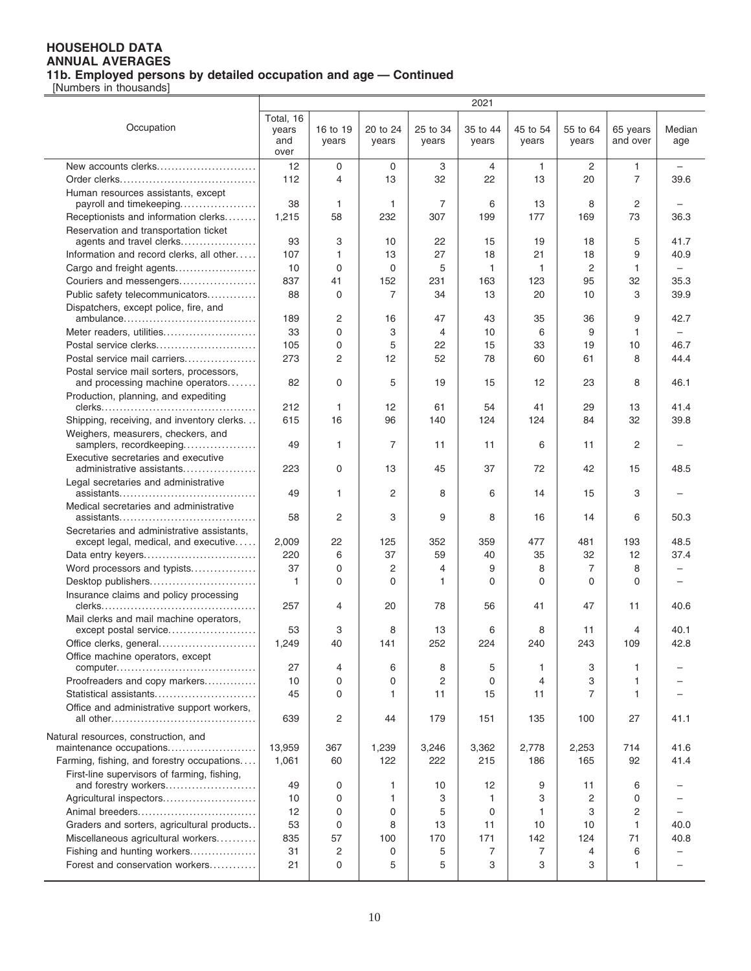|                                                               |                                   |                   |                   |                   | 2021              |                   |                   |                      |                          |
|---------------------------------------------------------------|-----------------------------------|-------------------|-------------------|-------------------|-------------------|-------------------|-------------------|----------------------|--------------------------|
| Occupation                                                    | Total, 16<br>years<br>and<br>over | 16 to 19<br>years | 20 to 24<br>years | 25 to 34<br>years | 35 to 44<br>years | 45 to 54<br>years | 55 to 64<br>years | 65 years<br>and over | Median<br>age            |
| New accounts clerks                                           | 12                                | 0                 | 0                 | 3                 | 4                 | 1                 | $\overline{c}$    | 1                    | $\overline{\phantom{0}}$ |
|                                                               | 112                               | 4                 | 13                | 32                | 22                | 13                | 20                | $\overline{7}$       | 39.6                     |
| Human resources assistants, except                            |                                   |                   |                   |                   |                   |                   |                   |                      |                          |
| payroll and timekeeping                                       | 38                                | 1                 | $\mathbf{1}$      | 7                 | 6                 | 13                | 8                 | 2                    |                          |
| Receptionists and information clerks                          | 1,215                             | 58                | 232               | 307               | 199               | 177               | 169               | 73                   | 36.3                     |
| Reservation and transportation ticket                         |                                   |                   |                   |                   |                   |                   |                   |                      |                          |
| agents and travel clerks                                      | 93                                | 3                 | 10                | 22                | 15                | 19                | 18                | 5                    | 41.7                     |
| Information and record clerks, all other                      | 107                               | 1                 | 13                | 27                | 18                | 21                | 18                | 9                    | 40.9                     |
| Cargo and freight agents                                      | 10                                | 0                 | 0                 | 5                 | 1                 | 1                 | 2                 | 1                    |                          |
| Couriers and messengers                                       | 837                               | 41                | 152               | 231               | 163               | 123               | 95                | 32                   | 35.3                     |
| Public safety telecommunicators                               | 88                                | $\mathbf 0$       | 7                 | 34                | 13                | 20                | 10                | 3                    | 39.9                     |
| Dispatchers, except police, fire, and                         |                                   |                   |                   |                   |                   |                   |                   |                      |                          |
|                                                               | 189                               | $\overline{c}$    | 16                | 47                | 43                | 35                | 36                | 9                    | 42.7                     |
| Meter readers, utilities                                      | 33                                | $\mathbf 0$       | 3                 | 4                 | 10                | 6                 | 9                 | 1                    |                          |
| Postal service clerks                                         | 105                               | $\mathbf 0$       | 5                 | 22                | 15                | 33                | 19                | 10                   | 46.7                     |
| Postal service mail carriers                                  | 273                               | $\overline{2}$    | 12                | 52                | 78                | 60                | 61                | 8                    | 44.4                     |
| Postal service mail sorters, processors,                      |                                   |                   |                   |                   |                   |                   |                   |                      |                          |
| and processing machine operators                              | 82                                | $\mathbf 0$       | 5                 | 19                | 15                | 12                | 23                | 8                    | 46.1                     |
| Production, planning, and expediting                          |                                   |                   |                   |                   |                   |                   |                   |                      |                          |
|                                                               | 212                               | 1                 | 12                | 61                | 54                | 41                | 29                | 13                   | 41.4                     |
| Shipping, receiving, and inventory clerks                     | 615                               | 16                | 96                | 140               | 124               | 124               | 84                | 32                   | 39.8                     |
| Weighers, measurers, checkers, and<br>samplers, recordkeeping | 49                                | 1                 | 7                 | 11                | 11                | 6                 | 11                | 2                    |                          |
| Executive secretaries and executive                           |                                   |                   |                   |                   |                   |                   |                   |                      |                          |
| administrative assistants                                     | 223                               | $\mathbf 0$       | 13                | 45                | 37                | 72                | 42                | 15                   | 48.5                     |
| Legal secretaries and administrative                          |                                   |                   |                   |                   |                   |                   |                   |                      |                          |
|                                                               | 49                                | 1                 | 2                 | 8                 | 6                 | 14                | 15                | 3                    |                          |
| Medical secretaries and administrative                        |                                   |                   |                   |                   |                   |                   |                   |                      |                          |
|                                                               | 58                                | $\overline{2}$    | 3                 | 9                 | 8                 | 16                | 14                | 6                    | 50.3                     |
| Secretaries and administrative assistants,                    |                                   |                   |                   |                   |                   |                   |                   |                      |                          |
| except legal, medical, and executive                          | 2,009                             | 22                | 125               | 352               | 359               | 477               | 481               | 193                  | 48.5                     |
| Data entry keyers                                             | 220                               | 6                 | 37                | 59                | 40                | 35                | 32                | 12                   | 37.4                     |
| Word processors and typists                                   | 37                                | $\mathbf 0$       | 2                 | 4                 | 9                 | 8                 | 7                 | 8                    |                          |
| Desktop publishers                                            | 1                                 | 0                 | $\Omega$          | 1                 | 0                 | 0                 | $\Omega$          | 0                    |                          |
| Insurance claims and policy processing                        | 257                               | 4                 | 20                | 78                | 56                | 41                | 47                | 11                   | 40.6                     |
| Mail clerks and mail machine operators,                       |                                   |                   |                   |                   |                   |                   |                   |                      |                          |
| except postal service                                         | 53                                | 3                 | 8                 | 13                | 6                 | 8                 | 11                | 4                    | 40.1                     |
| Office clerks, general                                        | 1,249                             | 40                | 141               | 252               | 224               | 240               | 243               | 109                  | 42.8                     |
| Office machine operators, except                              |                                   |                   |                   |                   |                   |                   |                   |                      |                          |
|                                                               | 27                                | 4                 | 6                 | 8                 | 5                 | 1                 | 3                 | 1                    |                          |
| Proofreaders and copy markers                                 | 10                                | $\mathbf 0$       | 0                 | 2                 | $\mathbf 0$       | 4                 | 3                 | 1                    |                          |
| Statistical assistants                                        | 45                                | 0                 | 1                 | 11                | 15                | 11                | 7                 | 1                    |                          |
| Office and administrative support workers,                    |                                   |                   |                   |                   |                   |                   |                   |                      |                          |
|                                                               | 639                               | $\overline{c}$    | 44                | 179               | 151               | 135               | 100               | 27                   | 41.1                     |
| Natural resources, construction, and                          |                                   |                   |                   |                   |                   |                   |                   |                      |                          |
| maintenance occupations                                       | 13,959                            | 367               | 1,239             | 3,246             | 3,362             | 2,778             | 2,253             | 714                  | 41.6                     |
| Farming, fishing, and forestry occupations                    | 1,061                             | 60                | 122               | 222               | 215               | 186               | 165               | 92                   | 41.4                     |
| First-line supervisors of farming, fishing,                   |                                   |                   |                   |                   |                   |                   |                   |                      |                          |
| and forestry workers                                          | 49                                | 0                 | 1                 | 10                | 12                | 9                 | 11                | 6                    |                          |
| Agricultural inspectors                                       | 10                                | $\mathbf 0$       | 1                 | 3                 | 1                 | 3                 | 2                 | 0                    |                          |
|                                                               | 12                                | 0                 | 0                 | 5                 | 0                 | 1                 | 3                 | 2                    |                          |
| Graders and sorters, agricultural products                    | 53                                | $\mathbf 0$       | 8                 | 13                | 11                | 10                | 10                | $\mathbf{1}$         | 40.0                     |
| Miscellaneous agricultural workers                            | 835                               | 57                | 100               | 170               | 171               | 142               | 124               | 71                   | 40.8                     |
| Fishing and hunting workers                                   | 31                                | 2                 | 0                 | 5                 | 7                 | 7                 | 4                 | 6                    |                          |
| Forest and conservation workers                               | 21                                | $\mathbf 0$       | 5                 | 5                 | 3                 | 3                 | 3                 | 1                    |                          |
|                                                               |                                   |                   |                   |                   |                   |                   |                   |                      |                          |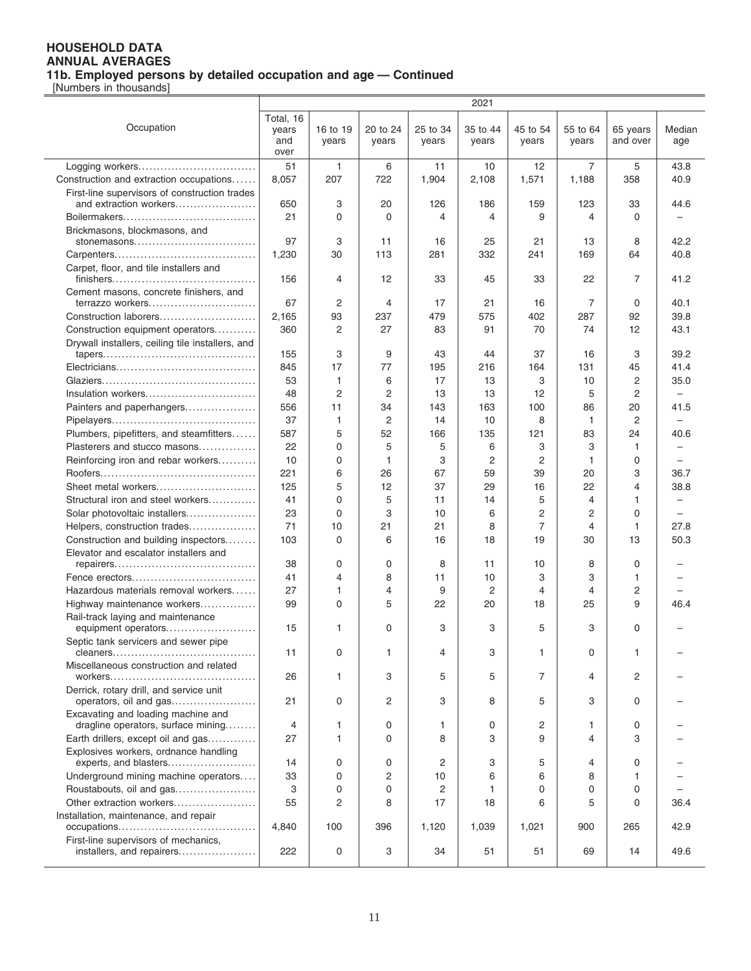|                                                                          |                           |                   |                   |                   | 2021              |                   |                   |                      |                          |
|--------------------------------------------------------------------------|---------------------------|-------------------|-------------------|-------------------|-------------------|-------------------|-------------------|----------------------|--------------------------|
| Occupation                                                               | Total, 16<br>years<br>and | 16 to 19<br>years | 20 to 24<br>years | 25 to 34<br>years | 35 to 44<br>years | 45 to 54<br>years | 55 to 64<br>years | 65 years<br>and over | Median<br>age            |
|                                                                          | over                      |                   |                   |                   |                   |                   |                   |                      |                          |
| Logging workers                                                          | 51                        | $\mathbf{1}$      | 6                 | 11                | 10                | 12                | 7                 | 5                    | 43.8                     |
| Construction and extraction occupations                                  | 8,057                     | 207               | 722               | 1,904             | 2,108             | 1,571             | 1,188             | 358                  | 40.9                     |
| First-line supervisors of construction trades                            |                           |                   |                   |                   |                   |                   |                   |                      |                          |
| and extraction workers                                                   | 650                       | 3                 | 20                | 126               | 186               | 159               | 123               | 33                   | 44.6                     |
|                                                                          | 21                        | 0                 | $\Omega$          | 4                 | 4                 | 9                 | 4                 | $\Omega$             |                          |
| Brickmasons, blockmasons, and                                            |                           |                   |                   |                   |                   |                   |                   |                      |                          |
| stonemasons                                                              | 97                        | 3                 | 11                | 16                | 25                | 21                | 13                | 8                    | 42.2                     |
|                                                                          | 1,230                     | 30                | 113               | 281               | 332               | 241               | 169               | 64                   | 40.8                     |
| Carpet, floor, and tile installers and<br>finishers<br>.                 | 156                       | 4                 | 12                | 33                | 45                | 33                | 22                | 7                    | 41.2                     |
| Cement masons, concrete finishers, and                                   | 67                        |                   | 4                 |                   |                   |                   | 7                 | 0                    |                          |
| terrazzo workers<br>Construction laborers                                | 2,165                     | 2<br>93           | 237               | 17<br>479         | 21<br>575         | 16<br>402         | 287               | 92                   | 40.1<br>39.8             |
| Construction equipment operators                                         | 360                       | $\overline{c}$    | 27                | 83                | 91                | 70                | 74                | 12                   | 43.1                     |
| Drywall installers, ceiling tile installers, and                         |                           |                   |                   |                   |                   |                   |                   |                      |                          |
|                                                                          | 155                       | 3                 | 9                 | 43                | 44                | 37                | 16                | 3                    | 39.2                     |
|                                                                          | 845                       | 17                | 77                | 195               | 216               | 164               | 131               | 45                   | 41.4                     |
|                                                                          | 53                        | $\mathbf{1}$      | 6                 | 17                | 13                | 3                 | 10                | 2                    | 35.0                     |
| Insulation workers                                                       | 48                        | $\overline{2}$    | $\overline{2}$    | 13                | 13                | 12                | 5                 | 2                    | $\overline{\phantom{0}}$ |
| Painters and paperhangers                                                | 556                       | 11                | 34                | 143               | 163               | 100               | 86                | 20                   | 41.5                     |
|                                                                          | 37                        | 1                 | 2                 | 14                | 10                | 8                 | 1                 | $\overline{2}$       | $\overline{\phantom{0}}$ |
| Plumbers, pipefitters, and steamfitters                                  | 587                       | 5                 | 52                | 166               | 135               | 121               | 83                | 24                   | 40.6                     |
| Plasterers and stucco masons                                             | 22                        | 0                 | 5                 | 5                 | 6                 | 3                 | 3                 | $\mathbf{1}$         |                          |
| Reinforcing iron and rebar workers                                       | 10                        | 0                 | 1                 | 3                 | 2                 | $\overline{2}$    | 1                 | 0                    | -                        |
|                                                                          | 221                       | 6                 | 26                | 67                | 59                | 39                | 20                | 3                    | 36.7                     |
| Sheet metal workers                                                      | 125                       | 5                 | 12                | 37                | 29                | 16                | 22                | 4                    | 38.8                     |
| Structural iron and steel workers                                        | 41                        | 0                 | 5                 | 11                | 14                | 5                 | 4                 | $\mathbf{1}$         |                          |
| Solar photovoltaic installers                                            | 23                        | 0                 | 3                 | 10                | 6                 | 2                 | 2                 | $\mathbf 0$          |                          |
| Helpers, construction trades                                             | 71                        | 10                | 21                | 21                | 8                 | 7                 | 4                 | $\mathbf{1}$         | 27.8                     |
| Construction and building inspectors                                     | 103                       | $\mathbf 0$       | 6                 | 16                | 18                | 19                | 30                | 13                   | 50.3                     |
| Elevator and escalator installers and                                    |                           |                   |                   |                   |                   |                   |                   |                      |                          |
| Fence erectors                                                           | 38<br>41                  | 0<br>4            | 0<br>8            | 8<br>11           | 11<br>10          | 10<br>3           | 8<br>3            | 0<br>$\mathbf{1}$    |                          |
| Hazardous materials removal workers                                      | 27                        | 1                 | 4                 | 9                 | 2                 | $\overline{4}$    | 4                 | 2                    |                          |
| Highway maintenance workers                                              | 99                        | $\Omega$          | 5                 | 22                | 20                | 18                | 25                | 9                    | 46.4                     |
| Rail-track laying and maintenance                                        |                           |                   |                   |                   |                   |                   |                   |                      |                          |
| equipment operators                                                      | 15                        | 1                 | 0                 | 3                 | 3                 | 5                 | 3                 | $\Omega$             |                          |
| Septic tank servicers and sewer pipe                                     |                           |                   |                   |                   |                   |                   |                   |                      |                          |
|                                                                          | 11                        | 0                 | 1                 | 4                 | 3                 | $\mathbf{1}$      | 0                 | $\mathbf{1}$         |                          |
| Miscellaneous construction and related                                   | 26                        | 1                 | 3                 | 5                 | 5                 | 7                 | 4                 | 2                    |                          |
| Derrick, rotary drill, and service unit<br>operators, oil and gas        | 21                        | 0                 | 2                 | 3                 | 8                 | 5                 | 3                 | 0                    |                          |
| Excavating and loading machine and<br>dragline operators, surface mining | 4                         | 1                 | 0                 | 1                 | 0                 | $\overline{c}$    | 1                 | 0                    |                          |
| Earth drillers, except oil and gas                                       | 27                        | $\mathbf{1}$      | 0                 | 8                 | 3                 | 9                 | 4                 | З                    |                          |
| Explosives workers, ordnance handling                                    |                           |                   |                   |                   |                   |                   |                   |                      |                          |
| experts, and blasters                                                    | 14                        | 0                 | 0                 | 2                 | 3                 | 5                 | 4                 | 0                    |                          |
| Underground mining machine operators                                     | 33                        | $\Omega$          | 2                 | 10                | 6                 | 6                 | 8                 | 1                    |                          |
| Roustabouts, oil and gas                                                 | 3                         | 0                 | $\Omega$          | 2                 | 1                 | $\Omega$          | 0                 | 0                    |                          |
| Other extraction workers                                                 | 55                        | 2                 | 8                 | 17                | 18                | 6                 | 5                 | $\Omega$             | 36.4                     |
| Installation, maintenance, and repair                                    | 4,840                     | 100               | 396               | 1,120             | 1,039             | 1,021             | 900               | 265                  | 42.9                     |
| First-line supervisors of mechanics,                                     |                           |                   |                   |                   |                   |                   |                   |                      |                          |
| installers, and repairers                                                | 222                       | 0                 | 3                 | 34                | 51                | 51                | 69                | 14                   | 49.6                     |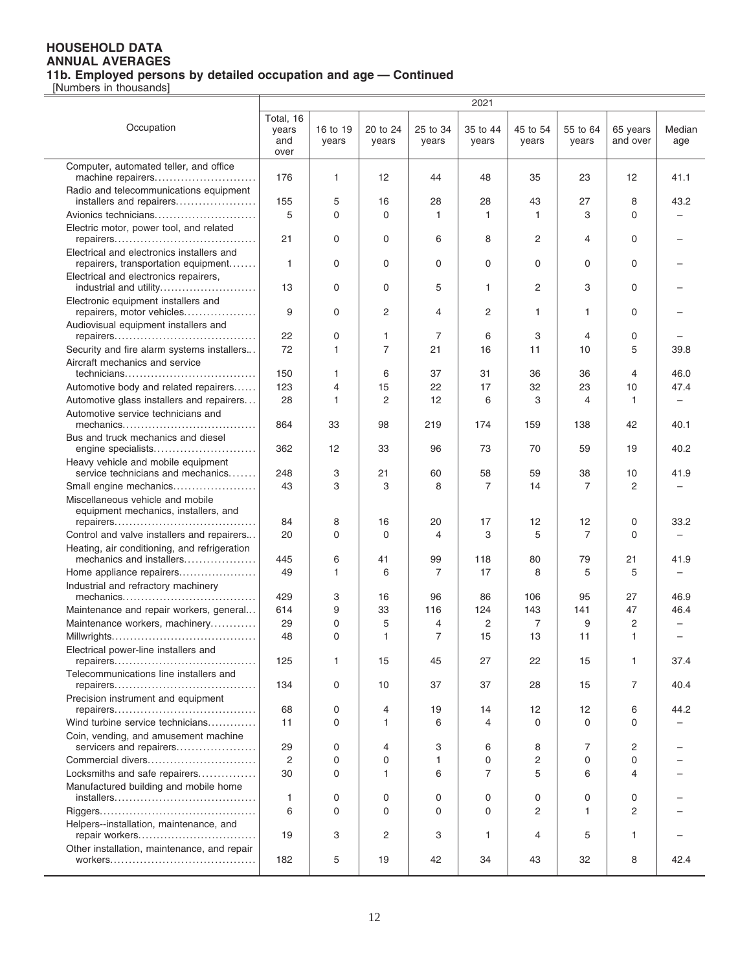|                                                                                  | 2021                              |                   |                   |                   |                   |                   |                   |                      |                          |
|----------------------------------------------------------------------------------|-----------------------------------|-------------------|-------------------|-------------------|-------------------|-------------------|-------------------|----------------------|--------------------------|
| Occupation                                                                       | Total, 16<br>years<br>and<br>over | 16 to 19<br>years | 20 to 24<br>years | 25 to 34<br>years | 35 to 44<br>years | 45 to 54<br>years | 55 to 64<br>years | 65 years<br>and over | Median<br>age            |
| Computer, automated teller, and office<br>machine repairers                      | 176                               | 1                 | 12                | 44                | 48                | 35                | 23                | 12                   | 41.1                     |
| Radio and telecommunications equipment                                           |                                   |                   |                   |                   |                   |                   |                   |                      |                          |
| installers and repairers                                                         | 155                               | 5                 | 16                | 28                | 28                | 43                | 27                | 8                    | 43.2                     |
| Avionics technicians                                                             | 5                                 | $\Omega$          | $\Omega$          | 1                 | $\mathbf{1}$      | 1                 | 3                 | $\Omega$             |                          |
| Electric motor, power tool, and related                                          | 21                                | 0                 | 0                 | 6                 | 8                 | $\overline{2}$    | 4                 | 0                    |                          |
| Electrical and electronics installers and<br>repairers, transportation equipment | $\mathbf{1}$                      | 0                 | 0                 | 0                 | 0                 | 0                 | 0                 | 0                    |                          |
| Electrical and electronics repairers,<br>industrial and utility                  | 13                                | 0                 | 0                 | 5                 | $\mathbf{1}$      | 2                 | 3                 | 0                    |                          |
| Electronic equipment installers and<br>repairers, motor vehicles                 | 9                                 | 0                 | 2                 | 4                 | 2                 | 1                 | 1                 | 0                    |                          |
| Audiovisual equipment installers and                                             | 22                                | 0                 | 1                 | 7                 | 6                 | 3                 | 4                 | 0                    |                          |
| Security and fire alarm systems installers                                       | 72                                | 1                 | 7                 | 21                | 16                | 11                | 10                | 5                    | 39.8                     |
| Aircraft mechanics and service                                                   |                                   |                   |                   |                   |                   |                   |                   |                      |                          |
| technicians                                                                      | 150                               | 1                 | 6                 | 37                | 31                | 36                | 36                | 4                    | 46.0                     |
| Automotive body and related repairers                                            | 123                               | 4                 | 15                | 22                | 17                | 32                | 23                | 10                   | 47.4                     |
| Automotive glass installers and repairers                                        | 28                                | 1                 | 2                 | $12 \overline{ }$ | 6                 | 3                 | 4                 | $\mathbf{1}$         | $\overline{\phantom{0}}$ |
| Automotive service technicians and<br>mechanics                                  | 864                               | 33                | 98                | 219               | 174               | 159               | 138               | 42                   | 40.1                     |
| Bus and truck mechanics and diesel<br>engine specialists                         | 362                               | 12                | 33                | 96                | 73                | 70                | 59                | 19                   | 40.2                     |
| Heavy vehicle and mobile equipment<br>service technicians and mechanics          | 248                               | 3                 | 21                | 60                | 58                | 59                | 38                | 10                   | 41.9                     |
| Small engine mechanics                                                           | 43                                | 3                 | 3                 | 8                 | $\overline{7}$    | 14                | 7                 | 2                    |                          |
| Miscellaneous vehicle and mobile<br>equipment mechanics, installers, and         |                                   |                   |                   |                   |                   |                   |                   |                      |                          |
|                                                                                  | 84                                | 8                 | 16                | 20                | 17                | 12                | 12                | 0                    | 33.2                     |
| Control and valve installers and repairers                                       | 20                                | 0                 | 0                 | 4                 | 3                 | 5                 | $\overline{7}$    | $\Omega$             |                          |
| Heating, air conditioning, and refrigeration<br>mechanics and installers         | 445                               | 6                 | 41                | 99                | 118               | 80                | 79                | 21                   | 41.9                     |
| Home appliance repairers<br>Industrial and refractory machinery                  | 49                                | 1                 | 6                 | 7                 | 17                | 8                 | 5                 | 5                    |                          |
|                                                                                  | 429                               | 3                 | 16                | 96                | 86                | 106               | 95                | 27                   | 46.9                     |
| Maintenance and repair workers, general                                          | 614                               | 9                 | 33                | 116               | 124               | 143               | 141               | 47                   | 46.4                     |
| Maintenance workers, machinery                                                   | 29                                | 0                 | 5                 | 4                 | 2                 | 7                 | 9                 | $\overline{c}$       |                          |
| Electrical power-line installers and                                             | 48                                | $\Omega$          | $\mathbf{1}$      | $\overline{7}$    | 15                | 13                | 11                | $\mathbf{1}$         |                          |
| Telecommunications line installers and                                           | 125                               | 1                 | 15                | 45                | 27                | 22                | 15                | 1                    | 37.4                     |
| Precision instrument and equipment                                               | 134                               | 0                 | 10                | 37                | 37                | 28                | 15                | 7                    | 40.4                     |
|                                                                                  | 68                                | 0                 | 4                 | 19                | 14                | 12                | 12                | 6                    | 44.2                     |
| Wind turbine service technicians                                                 | 11                                | 0                 | 1                 | 6                 | 4                 | $\Omega$          | $\Omega$          | $\Omega$             |                          |
| Coin, vending, and amusement machine<br>servicers and repairers                  | 29                                | 0                 | 4                 | 3                 | 6                 | 8                 | 7                 | 2                    |                          |
| Commercial divers                                                                | $\overline{2}$                    | 0                 | $\Omega$          | 1                 | 0                 | 2                 | 0                 | $\Omega$             |                          |
| Locksmiths and safe repairers                                                    | 30                                | 0                 | 1                 | 6                 | $\overline{7}$    | 5                 | 6                 | 4                    |                          |
| Manufactured building and mobile home                                            | 1                                 | 0                 | 0                 | 0                 | 0                 | 0                 | 0                 | 0                    |                          |
|                                                                                  | 6                                 | 0                 | $\Omega$          | 0                 | 0                 | 2                 | 1                 | 2                    |                          |
| Helpers--installation, maintenance, and<br>repair workers                        | 19                                | 3                 | 2                 | 3                 | 1                 | 4                 | 5                 | $\mathbf{1}$         |                          |
| Other installation, maintenance, and repair                                      | 182                               | 5                 | 19                | 42                | 34                | 43                | 32                | 8                    | 42.4                     |
|                                                                                  |                                   |                   |                   |                   |                   |                   |                   |                      |                          |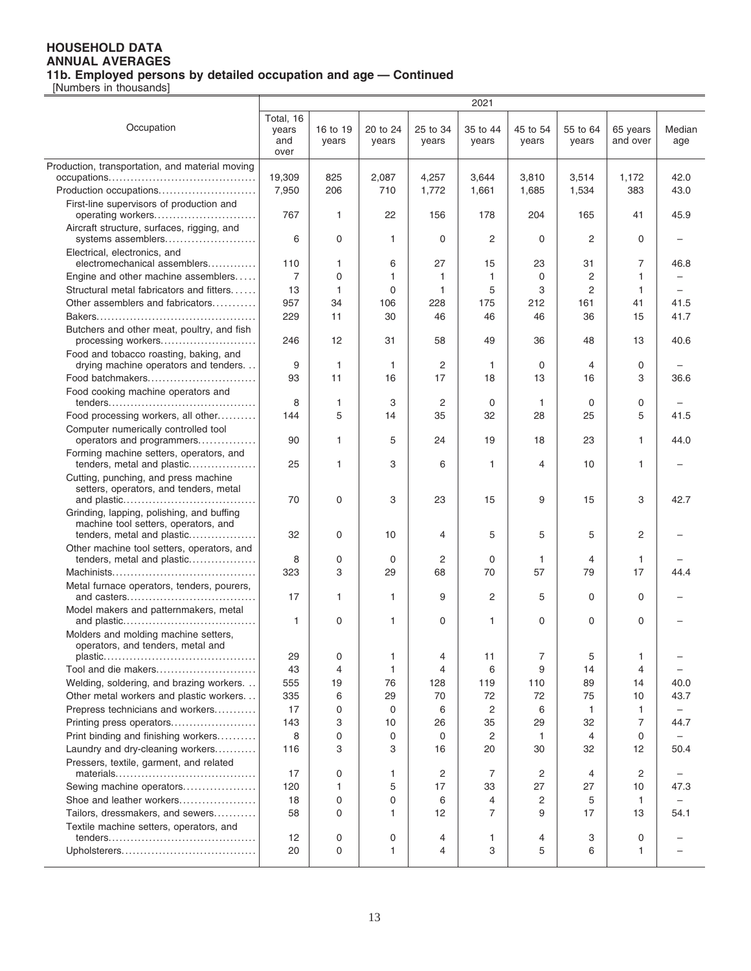|                                                                                   | 2021               |              |          |          |                |                |          |                |        |
|-----------------------------------------------------------------------------------|--------------------|--------------|----------|----------|----------------|----------------|----------|----------------|--------|
| Occupation                                                                        | Total, 16<br>years | 16 to 19     | 20 to 24 | 25 to 34 | 35 to 44       | 45 to 54       | 55 to 64 | 65 years       | Median |
|                                                                                   | and<br>over        | years        | years    | years    | years          | years          | years    | and over       | age    |
| Production, transportation, and material moving                                   |                    |              |          |          |                |                |          |                |        |
|                                                                                   | 19,309             | 825          | 2,087    | 4,257    | 3,644          | 3,810          | 3,514    | 1,172          | 42.0   |
| Production occupations                                                            | 7,950              | 206          | 710      | 1,772    | 1,661          | 1,685          | 1,534    | 383            | 43.0   |
| First-line supervisors of production and                                          |                    |              |          |          |                |                |          |                |        |
| operating workers                                                                 | 767                | $\mathbf{1}$ | 22       | 156      | 178            | 204            | 165      | 41             | 45.9   |
| Aircraft structure, surfaces, rigging, and<br>systems assemblers                  | 6                  | 0            | 1        | 0        | 2              | 0              | 2        | 0              |        |
| Electrical, electronics, and<br>electromechanical assemblers                      | 110                | 1            | 6        | 27       | 15             | 23             | 31       | 7              | 46.8   |
| Engine and other machine assemblers                                               | 7                  | 0            | 1        | 1        | 1              | 0              | 2        | 1              |        |
| Structural metal fabricators and fitters                                          | 13                 | 1            | 0        | 1        | 5              | 3              | 2        | 1              |        |
| Other assemblers and fabricators                                                  | 957                | 34           | 106      | 228      | 175            | 212            | 161      | 41             | 41.5   |
|                                                                                   | 229                | 11           | 30       | 46       | 46             | 46             | 36       | 15             | 41.7   |
| Butchers and other meat, poultry, and fish                                        |                    |              |          |          |                |                |          |                |        |
| processing workers<br>Food and tobacco roasting, baking, and                      | 246                | 12           | 31       | 58       | 49             | 36             | 48       | 13             | 40.6   |
| drying machine operators and tenders                                              | 9                  | $\mathbf{1}$ | 1        | 2        | 1              | 0              | 4        | $\mathbf 0$    |        |
| Food batchmakers                                                                  | 93                 | 11           | 16       | 17       | 18             | 13             | 16       | 3              | 36.6   |
| Food cooking machine operators and                                                |                    |              |          |          |                |                |          |                |        |
|                                                                                   | 8                  | 1            | 3        | 2        | $\mathbf 0$    | 1              | 0        | $\mathbf 0$    |        |
| Food processing workers, all other                                                | 144                | 5            | 14       | 35       | 32             | 28             | 25       | 5              | 41.5   |
| Computer numerically controlled tool                                              |                    |              |          |          |                |                |          |                |        |
| operators and programmers                                                         | 90                 | 1            | 5        | 24       | 19             | 18             | 23       | 1              | 44.0   |
| Forming machine setters, operators, and<br>tenders, metal and plastic             | 25                 | 1            | 3        | 6        | 1              | 4              | 10       | 1              |        |
| Cutting, punching, and press machine                                              |                    |              |          |          |                |                |          |                |        |
| setters, operators, and tenders, metal                                            | 70                 | 0            | 3        | 23       | 15             | 9              | 15       | 3              | 42.7   |
| Grinding, lapping, polishing, and buffing<br>machine tool setters, operators, and |                    |              |          |          |                |                |          |                |        |
| tenders, metal and plastic                                                        | 32                 | 0            | 10       | 4        | 5              | 5              | 5        | 2              |        |
| Other machine tool setters, operators, and                                        |                    |              |          |          |                |                |          |                |        |
| tenders, metal and plastic                                                        | 8                  | 0            | 0        | 2        | 0              | 1              | 4        | $\mathbf{1}$   |        |
|                                                                                   | 323                | 3            | 29       | 68       | 70             | 57             | 79       | 17             | 44.4   |
| Metal furnace operators, tenders, pourers,                                        | 17                 | $\mathbf{1}$ | 1        | 9        | $\overline{c}$ | 5              | 0        | $\Omega$       |        |
| Model makers and patternmakers, metal                                             | 1                  | 0            | 1        | 0        | $\mathbf{1}$   | 0              | 0        | 0              |        |
| Molders and molding machine setters,<br>operators, and tenders, metal and         |                    |              |          |          |                |                |          |                |        |
|                                                                                   | 29                 | 0            | 1        | 4        | 11             | 7              | 5        | 1              |        |
| Tool and die makers                                                               | 43                 | 4            | 1        | 4        | 6              | 9              | 14       | $\overline{4}$ |        |
| Welding, soldering, and brazing workers.                                          | 555                | 19           | 76       | 128      | 119            | 110            | 89       | 14             | 40.0   |
| Other metal workers and plastic workers                                           | 335                | 6            | 29       | 70       | 72             | 72             | 75       | 10             | 43.7   |
| Prepress technicians and workers                                                  | 17                 | 0            | 0        | 6        | 2              | 6              | 1        | $\mathbf{1}$   | -      |
| Printing press operators                                                          | 143                | 3            | 10       | 26       | 35             | 29             | 32       | 7              | 44.7   |
| Print binding and finishing workers                                               | 8                  | 0            | 0        | 0        | $\overline{c}$ | 1              | 4        | 0              |        |
| Laundry and dry-cleaning workers                                                  | 116                | 3            | 3        | 16       | 20             | 30             | 32       | 12             | 50.4   |
| Pressers, textile, garment, and related                                           |                    |              |          |          |                |                |          |                |        |
|                                                                                   | 17                 | 0            | 1        | 2        | 7              | 2              | 4        | 2              |        |
| Sewing machine operators                                                          | 120                | 1            | 5        | 17       | 33             | 27             | 27       | 10             | 47.3   |
| Shoe and leather workers                                                          | 18                 | 0            | 0        | 6        | $\overline{4}$ | $\overline{2}$ | 5        | 1              |        |
| Tailors, dressmakers, and sewers                                                  | 58                 | 0            | 1        | 12       | $\overline{7}$ | 9              | 17       | 13             | 54.1   |
| Textile machine setters, operators, and                                           |                    |              |          |          |                |                |          |                |        |
|                                                                                   | 12                 | 0            | 0        | 4        | 1              | 4              | 3        | 0              |        |
|                                                                                   | 20                 | 0            | 1        | 4        | 3              | 5              | 6        | 1              |        |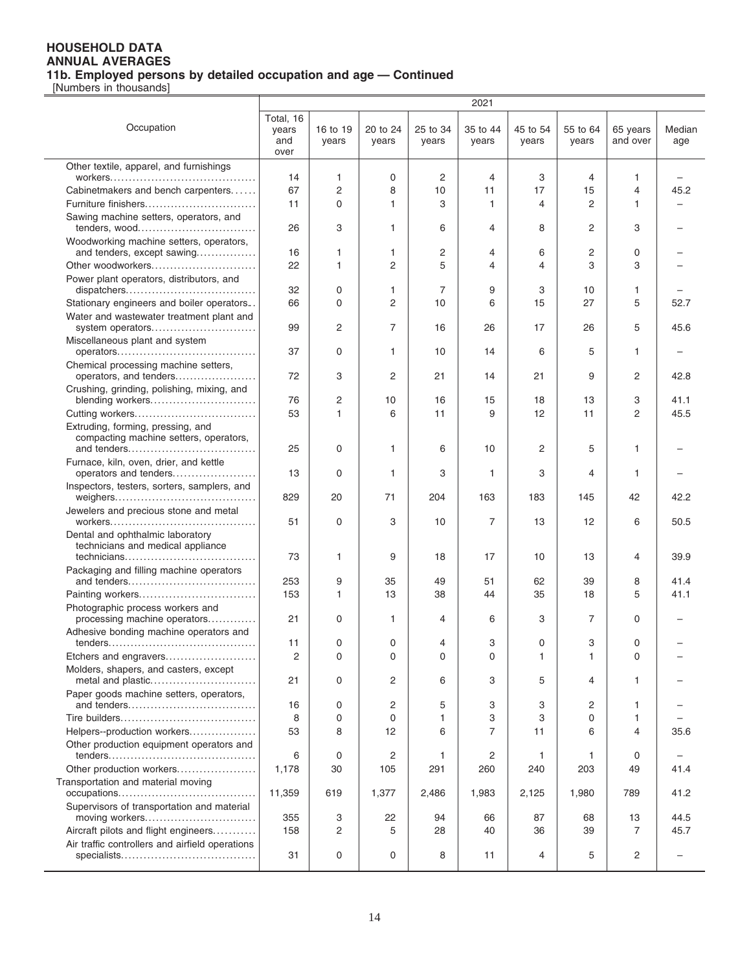|                                                                             |                                   |                   |                   |                   | 2021              |                   |                   |                      |               |
|-----------------------------------------------------------------------------|-----------------------------------|-------------------|-------------------|-------------------|-------------------|-------------------|-------------------|----------------------|---------------|
| Occupation                                                                  | Total, 16<br>years<br>and<br>over | 16 to 19<br>years | 20 to 24<br>years | 25 to 34<br>years | 35 to 44<br>years | 45 to 54<br>years | 55 to 64<br>years | 65 years<br>and over | Median<br>age |
| Other textile, apparel, and furnishings                                     |                                   |                   |                   |                   |                   |                   |                   |                      |               |
|                                                                             | 14                                | 1.                | 0                 | 2                 | $\overline{4}$    | 3                 | 4                 | $\mathbf{1}$         |               |
| Cabinetmakers and bench carpenters                                          | 67                                | 2                 | 8                 | 10                | 11                | 17                | 15                | 4                    | 45.2          |
| Furniture finishers                                                         | 11                                | 0                 | 1                 | 3                 | 1                 | 4                 | 2                 | 1                    |               |
| Sawing machine setters, operators, and                                      |                                   |                   |                   |                   |                   |                   |                   |                      |               |
| tenders, wood                                                               | 26                                | 3                 | 1                 | 6                 | 4                 | 8                 | 2                 | 3                    |               |
| Woodworking machine setters, operators,<br>and tenders, except sawing       | 16                                | 1                 | 1                 | 2                 | 4                 | 6                 | 2                 | 0                    |               |
| Other woodworkers                                                           | 22                                | 1                 | 2                 | 5                 | 4                 | 4                 | 3                 | 3                    |               |
| Power plant operators, distributors, and                                    |                                   |                   |                   |                   |                   |                   |                   |                      |               |
|                                                                             | 32                                | 0                 | 1                 | 7                 | 9                 | 3                 | 10                | 1                    |               |
| Stationary engineers and boiler operators                                   | 66                                | 0                 | 2                 | 10                | 6                 | 15                | 27                | 5                    | 52.7          |
| Water and wastewater treatment plant and<br>system operators                | 99                                | 2                 | $\overline{7}$    | 16                | 26                | 17                | 26                | 5                    | 45.6          |
| Miscellaneous plant and system                                              |                                   |                   |                   |                   |                   |                   |                   |                      |               |
|                                                                             | 37                                | 0                 | 1                 | 10                | 14                | 6                 | 5                 | 1                    |               |
| Chemical processing machine setters,                                        |                                   |                   |                   |                   |                   |                   |                   |                      |               |
| operators, and tenders                                                      | 72                                | 3                 | 2                 | 21                | 14                | 21                | 9                 | 2                    | 42.8          |
| Crushing, grinding, polishing, mixing, and<br>blending workers              | 76                                | 2                 | 10                | 16                | 15                | 18                | 13                | 3                    | 41.1          |
|                                                                             | 53                                | 1                 | 6                 | 11                | 9                 | 12                | 11                | $\overline{2}$       | 45.5          |
| Extruding, forming, pressing, and<br>compacting machine setters, operators, |                                   |                   |                   |                   |                   |                   |                   |                      |               |
|                                                                             | 25                                | 0                 | 1                 | 6                 | 10                | 2                 | 5                 | 1                    |               |
| Furnace, kiln, oven, drier, and kettle<br>operators and tenders             | 13                                | 0                 | 1                 | 3                 | 1                 | 3                 | 4                 | 1                    |               |
| Inspectors, testers, sorters, samplers, and                                 | 829                               | 20                | 71                | 204               | 163               | 183               | 145               | 42                   | 42.2          |
| Jewelers and precious stone and metal                                       | 51                                | 0                 | 3                 | 10                | 7                 | 13                | 12                | 6                    | 50.5          |
| Dental and ophthalmic laboratory<br>technicians and medical appliance       | 73                                | 1                 | 9                 | 18                | 17                | 10                | 13                | 4                    | 39.9          |
| Packaging and filling machine operators                                     |                                   |                   |                   |                   |                   |                   |                   |                      |               |
|                                                                             | 253                               | 9                 | 35                | 49                | 51                | 62                | 39                | 8                    | 41.4          |
| Painting workers                                                            | 153                               | 1                 | 13                | 38                | 44                | 35                | 18                | 5                    | 41.1          |
| Photographic process workers and                                            |                                   |                   |                   |                   |                   |                   |                   |                      |               |
| processing machine operators                                                | 21                                | 0                 | 1                 | 4                 | 6                 | 3                 | 7                 | 0                    |               |
| Adhesive bonding machine operators and                                      | 11                                | 0                 | $\Omega$          | 4                 | 3                 | 0                 | 3                 | 0                    |               |
| Etchers and engravers                                                       | 2                                 | 0                 | 0                 | 0                 | $\Omega$          | 1                 | 1                 | 0                    |               |
| Molders, shapers, and casters, except                                       |                                   |                   |                   |                   |                   |                   |                   |                      |               |
| metal and plastic                                                           | 21                                | 0                 | 2                 | 6                 | 3                 | 5                 | 4                 | 1                    |               |
| Paper goods machine setters, operators,                                     |                                   |                   |                   |                   |                   |                   |                   |                      |               |
|                                                                             | 16                                | 0                 | 2                 | 5                 | 3                 | 3                 | 2                 | 1                    |               |
|                                                                             | 8                                 | 0                 | $\Omega$          | 1                 | 3                 | 3                 | 0                 | 1                    |               |
| Helpers--production workers                                                 | 53                                | 8                 | 12                | 6                 | 7                 | 11                | 6                 | 4                    | 35.6          |
| Other production equipment operators and                                    | 6                                 | 0                 | 2                 | 1                 | $\overline{c}$    | 1                 | 1                 | 0                    |               |
| Other production workers                                                    | 1,178                             | 30                | 105               | 291               | 260               | 240               | 203               | 49                   | 41.4          |
| Transportation and material moving                                          |                                   |                   |                   |                   |                   |                   |                   |                      |               |
|                                                                             | 11,359                            | 619               | 1,377             | 2,486             | 1,983             | 2,125             | 1,980             | 789                  | 41.2          |
| Supervisors of transportation and material                                  |                                   |                   |                   |                   |                   |                   |                   |                      |               |
| moving workers                                                              | 355                               | 3                 | 22                | 94                | 66                | 87                | 68                | 13                   | 44.5          |
| Aircraft pilots and flight engineers                                        | 158                               | 2                 | 5                 | 28                | 40                | 36                | 39                | 7                    | 45.7          |
| Air traffic controllers and airfield operations                             | 31                                | 0                 | 0                 | 8                 | 11                | 4                 | 5                 | 2                    |               |
|                                                                             |                                   |                   |                   |                   |                   |                   |                   |                      |               |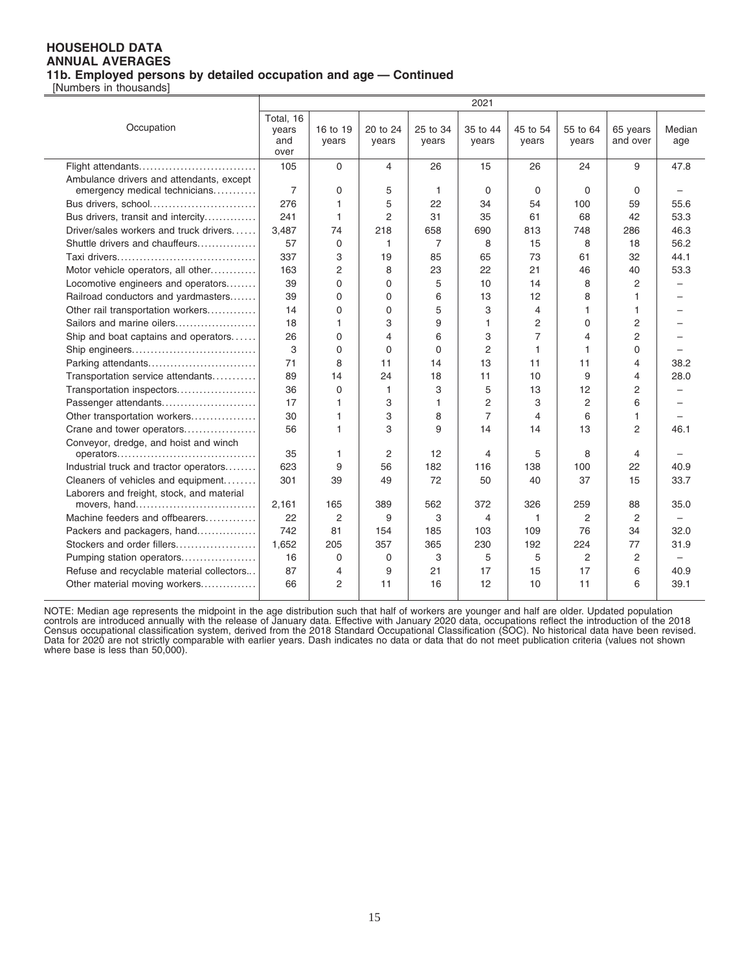[Numbers in thousands]

 $\overline{a}$ 

|                                           | 2021      |          |                |              |                |                |                |                |                          |
|-------------------------------------------|-----------|----------|----------------|--------------|----------------|----------------|----------------|----------------|--------------------------|
|                                           | Total, 16 |          |                |              |                |                |                |                |                          |
| Occupation                                | years     | 16 to 19 | 20 to 24       | 25 to 34     | 35 to 44       | 45 to 54       | 55 to 64       | 65 years       | Median                   |
|                                           | and       | years    | years          | years        | years          | years          | years          | and over       | age                      |
|                                           | over      |          |                |              |                |                |                |                |                          |
| Flight attendants                         | 105       | $\Omega$ | 4              | 26           | 15             | 26             | 24             | 9              | 47.8                     |
| Ambulance drivers and attendants, except  |           |          |                |              |                |                |                |                |                          |
| emergency medical technicians             | 7         | 0        | 5              | $\mathbf{1}$ | $\Omega$       | $\Omega$       | $\Omega$       | $\Omega$       |                          |
| Bus drivers, school                       | 276       | 1        | 5              | 22           | 34             | 54             | 100            | 59             | 55.6                     |
| Bus drivers, transit and intercity        | 241       | 1        | 2              | 31           | 35             | 61             | 68             | 42             | 53.3                     |
| Driver/sales workers and truck drivers    | 3,487     | 74       | 218            | 658          | 690            | 813            | 748            | 286            | 46.3                     |
| Shuttle drivers and chauffeurs            | 57        | 0        | 1              | 7            | 8              | 15             | 8              | 18             | 56.2                     |
|                                           | 337       | 3        | 19             | 85           | 65             | 73             | 61             | 32             | 44.1                     |
| Motor vehicle operators, all other        | 163       | 2        | 8              | 23           | 22             | 21             | 46             | 40             | 53.3                     |
| Locomotive engineers and operators        | 39        | 0        | $\Omega$       | 5            | 10             | 14             | 8              | 2              |                          |
| Railroad conductors and yardmasters       | 39        | 0        | $\Omega$       | 6            | 13             | 12             | 8              | 1              |                          |
| Other rail transportation workers         | 14        | 0        | $\Omega$       | 5            | 3              | 4              | $\mathbf{1}$   | 1              |                          |
| Sailors and marine oilers                 | 18        | 1        | 3              | 9            | 1              | 2              | $\Omega$       | $\overline{2}$ |                          |
| Ship and boat captains and operators      | 26        | 0        | 4              | 6            | 3              | $\overline{7}$ | $\overline{4}$ | $\overline{2}$ |                          |
|                                           | 3         | 0        | $\Omega$       | $\mathbf 0$  | 2              | 1              | $\mathbf{1}$   | $\Omega$       | $\equiv$                 |
| Parking attendants                        | 71        | 8        | 11             | 14           | 13             | 11             | 11             | 4              | 38.2                     |
| Transportation service attendants         | 89        | 14       | 24             | 18           | 11             | 10             | 9              | 4              | 28.0                     |
| Transportation inspectors                 | 36        | $\Omega$ | 1              | 3            | 5              | 13             | 12             | $\overline{2}$ |                          |
| Passenger attendants                      | 17        | 1        | 3              | $\mathbf{1}$ | $\overline{2}$ | 3              | $\overline{c}$ | 6              |                          |
| Other transportation workers              | 30        | 1        | 3              | 8            | $\overline{7}$ | $\overline{4}$ | 6              | 1              |                          |
| Crane and tower operators                 | 56        | 1        | 3              | 9            | 14             | 14             | 13             | $\overline{2}$ | 46.1                     |
| Conveyor, dredge, and hoist and winch     |           |          |                |              |                |                |                |                |                          |
|                                           | 35        | 1        | $\overline{2}$ | 12           | 4              | 5              | 8              | 4              |                          |
| Industrial truck and tractor operators    | 623       | 9        | 56             | 182          | 116            | 138            | 100            | 22             | 40.9                     |
| Cleaners of vehicles and equipment        | 301       | 39       | 49             | 72           | 50             | 40             | 37             | 15             | 33.7                     |
| Laborers and freight, stock, and material |           |          |                |              |                |                |                |                |                          |
| movers, hand                              | 2,161     | 165      | 389            | 562          | 372            | 326            | 259            | 88             | 35.0                     |
| Machine feeders and offbearers            | 22        | 2        | 9              | 3            | 4              | $\mathbf{1}$   | 2              | $\overline{2}$ |                          |
| Packers and packagers, hand               | 742       | 81       | 154            | 185          | 103            | 109            | 76             | 34             | 32.0                     |
| Stockers and order fillers                | 1,652     | 205      | 357            | 365          | 230            | 192            | 224            | 77             | 31.9                     |
| Pumping station operators                 | 16        | $\Omega$ | 0              | 3            | 5              | 5              | 2              | 2              | $\overline{\phantom{0}}$ |
| Refuse and recyclable material collectors | 87        | 4        | 9              | 21           | 17             | 15             | 17             | 6              | 40.9                     |
| Other material moving workers             | 66        | 2        | 11             | 16           | 12             | 10             | 11             | 6              | 39.1                     |
|                                           |           |          |                |              |                |                |                |                |                          |

NOTE: Median age represents the midpoint in the age distribution such that half of workers are younger and half are older. Updated population<br>controls are introduced annually with the release of January data. Effective wit Data for 2020 are not strictly comparable with earlier years. Dash indicates no data or data that do not meet publication criteria (values not shown<br>where base is less than 50,000).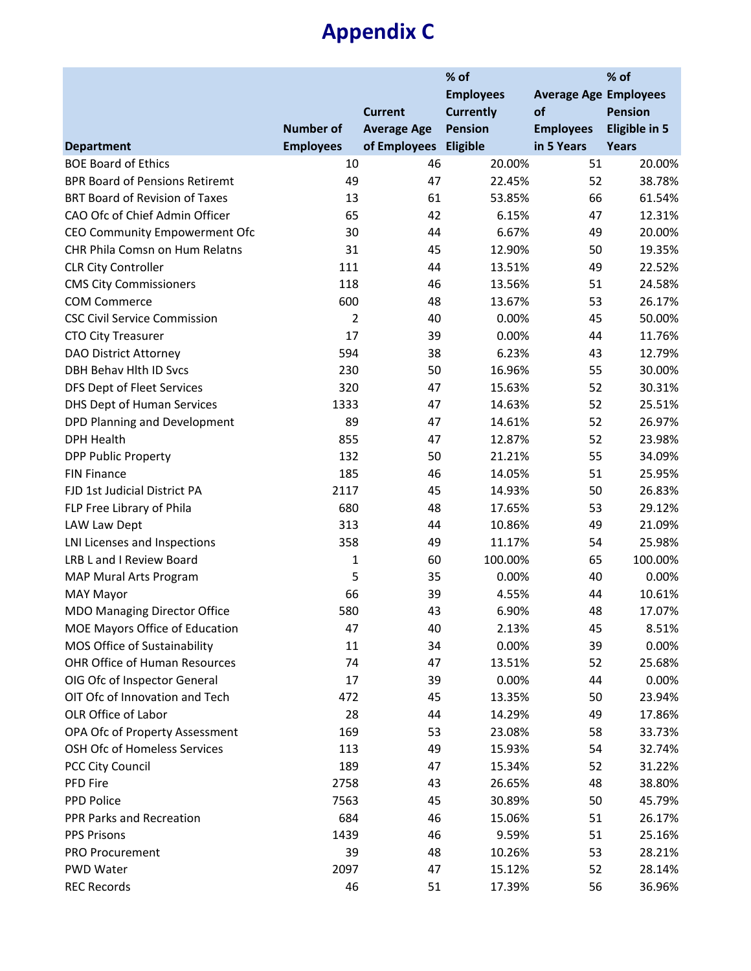### **Appendix C**

|                                       |                  |                       | % of             |                              |                      |  |
|---------------------------------------|------------------|-----------------------|------------------|------------------------------|----------------------|--|
|                                       |                  |                       | <b>Employees</b> | <b>Average Age Employees</b> |                      |  |
|                                       |                  | <b>Current</b>        | <b>Currently</b> | of                           | <b>Pension</b>       |  |
|                                       | <b>Number of</b> | <b>Average Age</b>    | <b>Pension</b>   | <b>Employees</b>             | <b>Eligible in 5</b> |  |
| <b>Department</b>                     | <b>Employees</b> | of Employees Eligible |                  | in 5 Years                   | <b>Years</b>         |  |
| <b>BOE Board of Ethics</b>            | 10               | 46                    | 20.00%           | 51                           | 20.00%               |  |
| <b>BPR Board of Pensions Retiremt</b> | 49               | 47                    | 22.45%           | 52                           | 38.78%               |  |
| <b>BRT Board of Revision of Taxes</b> | 13               | 61                    | 53.85%           | 66                           | 61.54%               |  |
| CAO Ofc of Chief Admin Officer        | 65               | 42                    | 6.15%            | 47                           | 12.31%               |  |
| CEO Community Empowerment Ofc         | 30               | 44                    | 6.67%            | 49                           | 20.00%               |  |
| CHR Phila Comsn on Hum Relatns        | 31               | 45                    | 12.90%           | 50                           | 19.35%               |  |
| <b>CLR City Controller</b>            | 111              | 44                    | 13.51%           | 49                           | 22.52%               |  |
| <b>CMS City Commissioners</b>         | 118              | 46                    | 13.56%           | 51                           | 24.58%               |  |
| <b>COM Commerce</b>                   | 600              | 48                    | 13.67%           | 53                           | 26.17%               |  |
| <b>CSC Civil Service Commission</b>   | $\overline{2}$   | 40                    | 0.00%            | 45                           | 50.00%               |  |
| <b>CTO City Treasurer</b>             | 17               | 39                    | 0.00%            | 44                           | 11.76%               |  |
| <b>DAO District Attorney</b>          | 594              | 38                    | 6.23%            | 43                           | 12.79%               |  |
| DBH Behav Hlth ID Svcs                | 230              | 50                    | 16.96%           | 55                           | 30.00%               |  |
| DFS Dept of Fleet Services            | 320              | 47                    | 15.63%           | 52                           | 30.31%               |  |
| DHS Dept of Human Services            | 1333             | 47                    | 14.63%           | 52                           | 25.51%               |  |
| DPD Planning and Development          | 89               | 47                    | 14.61%           | 52                           | 26.97%               |  |
| <b>DPH Health</b>                     | 855              | 47                    | 12.87%           | 52                           | 23.98%               |  |
| <b>DPP Public Property</b>            | 132              | 50                    | 21.21%           | 55                           | 34.09%               |  |
| <b>FIN Finance</b>                    | 185              | 46                    | 14.05%           | 51                           | 25.95%               |  |
| FJD 1st Judicial District PA          | 2117             | 45                    | 14.93%           | 50                           | 26.83%               |  |
| FLP Free Library of Phila             | 680              | 48                    | 17.65%           | 53                           | 29.12%               |  |
| LAW Law Dept                          | 313              | 44                    | 10.86%           | 49                           | 21.09%               |  |
| LNI Licenses and Inspections          | 358              | 49                    | 11.17%           | 54                           | 25.98%               |  |
| LRB L and I Review Board              | $\mathbf{1}$     | 60                    | 100.00%          | 65                           | 100.00%              |  |
| MAP Mural Arts Program                | 5                | 35                    | 0.00%            | 40                           | 0.00%                |  |
| <b>MAY Mayor</b>                      | 66               | 39                    | 4.55%            | 44                           | 10.61%               |  |
| <b>MDO Managing Director Office</b>   | 580              | 43                    | 6.90%            | 48                           | 17.07%               |  |
| MOE Mayors Office of Education        | 47               | 40                    | 2.13%            | 45                           | 8.51%                |  |
| MOS Office of Sustainability          | 11               | 34                    | 0.00%            | 39                           | 0.00%                |  |
| <b>OHR Office of Human Resources</b>  | 74               | 47                    | 13.51%           | 52                           | 25.68%               |  |
| OIG Ofc of Inspector General          | 17               | 39                    | 0.00%            | 44                           | 0.00%                |  |
| OIT Ofc of Innovation and Tech        | 472              | 45                    | 13.35%           | 50                           | 23.94%               |  |
| OLR Office of Labor                   | 28               | 44                    | 14.29%           | 49                           | 17.86%               |  |
| OPA Ofc of Property Assessment        | 169              | 53                    | 23.08%           | 58                           | 33.73%               |  |
| OSH Ofc of Homeless Services          | 113              | 49                    | 15.93%           | 54                           | 32.74%               |  |
| PCC City Council                      | 189              | 47                    | 15.34%           | 52                           | 31.22%               |  |
| PFD Fire                              | 2758             | 43                    | 26.65%           | 48                           | 38.80%               |  |
| PPD Police                            | 7563             | 45                    | 30.89%           | 50                           | 45.79%               |  |
| PPR Parks and Recreation              | 684              | 46                    | 15.06%           | 51                           | 26.17%               |  |
| <b>PPS Prisons</b>                    | 1439             | 46                    | 9.59%            | 51                           | 25.16%               |  |
| PRO Procurement                       | 39               | 48                    | 10.26%           | 53                           | 28.21%               |  |
| PWD Water                             | 2097             | 47                    | 15.12%           | 52                           | 28.14%               |  |
| <b>REC Records</b>                    | 46               | 51                    | 17.39%           | 56                           | 36.96%               |  |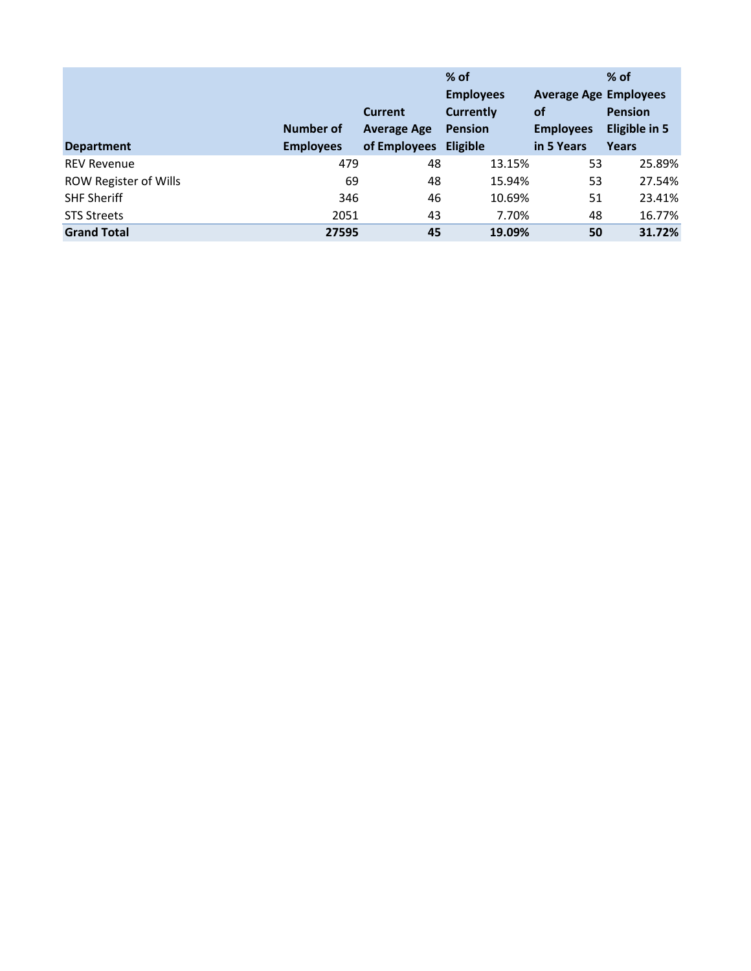| <b>Department</b>            | <b>Number of</b><br><b>Employees</b> | <b>Current</b><br><b>Average Age</b><br>of Employees | $%$ of<br><b>Employees</b><br><b>Currently</b><br><b>Pension</b><br><b>Eligible</b> | <b>Average Age Employees</b><br><b>of</b><br><b>Employees</b><br>in 5 Years | $%$ of<br><b>Pension</b><br>Eligible in 5<br><b>Years</b> |
|------------------------------|--------------------------------------|------------------------------------------------------|-------------------------------------------------------------------------------------|-----------------------------------------------------------------------------|-----------------------------------------------------------|
| <b>REV Revenue</b>           | 479                                  | 48                                                   | 13.15%                                                                              | 53                                                                          | 25.89%                                                    |
| <b>ROW Register of Wills</b> | 69                                   | 48                                                   | 15.94%                                                                              | 53                                                                          | 27.54%                                                    |
| <b>SHF Sheriff</b>           | 346                                  | 46                                                   | 10.69%                                                                              | 51                                                                          | 23.41%                                                    |
| <b>STS Streets</b>           | 2051                                 | 43                                                   | 7.70%                                                                               | 48                                                                          | 16.77%                                                    |
| <b>Grand Total</b>           | 27595                                | 45                                                   | 19.09%                                                                              | 50                                                                          | 31.72%                                                    |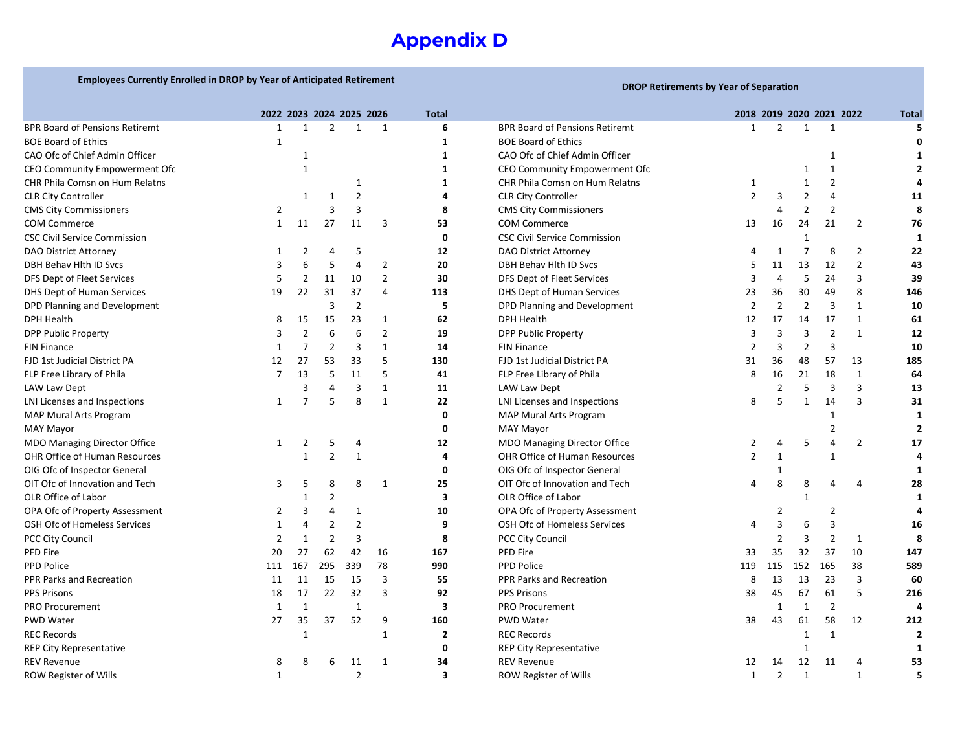### **Appendix D**

### **Employees Currently Enrolled in DROP by Year of Anticipated Retirement DROP Retirements by Year of Separation**

|                                       | 2022 2023 2024 2025 2026 |     |     |                |                | <b>Total</b> |                                       | 2018 2019 2020 2021 2022 |                |                |                |              | <b>Total</b> |
|---------------------------------------|--------------------------|-----|-----|----------------|----------------|--------------|---------------------------------------|--------------------------|----------------|----------------|----------------|--------------|--------------|
| <b>BPR Board of Pensions Retiremt</b> |                          |     |     |                | -1             | 6            | <b>BPR Board of Pensions Retiremt</b> |                          |                |                |                |              |              |
| <b>BOE Board of Ethics</b>            |                          |     |     |                |                |              | <b>BOE Board of Ethics</b>            |                          |                |                |                |              |              |
| CAO Ofc of Chief Admin Officer        |                          |     |     |                |                |              | CAO Ofc of Chief Admin Officer        |                          |                |                |                |              |              |
| CEO Community Empowerment Ofc         |                          |     |     |                |                |              | CEO Community Empowerment Ofc         |                          |                |                |                |              |              |
| CHR Phila Comsn on Hum Relatns        |                          |     |     |                |                |              | CHR Phila Comsn on Hum Relatns        | 1                        |                |                | 2              |              |              |
| <b>CLR City Controller</b>            |                          |     | -1  | 2              |                |              | <b>CLR City Controller</b>            | 2                        | 3              |                |                |              | 11           |
| <b>CMS City Commissioners</b>         | 2                        |     | 3   | 3              |                | 8            | <b>CMS City Commissioners</b>         |                          |                |                | 2              |              | 8            |
| <b>COM Commerce</b>                   | 1                        | 11  | 27  | 11             | 3              | 53           | <b>COM Commerce</b>                   | 13                       | 16             | 24             | 21             | 2            | 76           |
| <b>CSC Civil Service Commission</b>   |                          |     |     |                |                | 0            | <b>CSC Civil Service Commission</b>   |                          |                |                |                |              | 1            |
| DAO District Attorney                 |                          |     |     | 5              |                | 12           | DAO District Attorney                 |                          |                |                | 8              | 2            | 22           |
| DBH Behav Hlth ID Svcs                |                          | 6   | -5  |                | 2              | 20           | DBH Behav Hlth ID Svcs                |                          | 11             | 13             | 12             | 2            | 43           |
| DFS Dept of Fleet Services            |                          |     | 11  | 10             | $\overline{2}$ | 30           | DFS Dept of Fleet Services            |                          | 4              | -5             | 24             | 3            | 39           |
| DHS Dept of Human Services            | 19                       | 22  | 31  | 37             | 4              | 113          | <b>DHS Dept of Human Services</b>     | 23                       | 36             | 30             | 49             | 8            | 146          |
| DPD Planning and Development          |                          |     | 3   | 2              |                | 5            | DPD Planning and Development          |                          | 2              | $\overline{2}$ | 3              |              | 10           |
| <b>DPH Health</b>                     | 8                        | 15  | 15  | 23             | 1              | 62           | <b>DPH Health</b>                     | 12                       | 17             | 14             | 17             | 1            | 61           |
| <b>DPP Public Property</b>            | 3                        |     | 6   |                | $\overline{2}$ | 19           | <b>DPP Public Property</b>            | 3                        | 3              | 3              | $\overline{2}$ | $\mathbf{1}$ | 12           |
| <b>FIN Finance</b>                    |                          |     | 2   | 3              | 1              | 14           | <b>FIN Finance</b>                    |                          | 3              | 2              | 3              |              | 10           |
| FJD 1st Judicial District PA          | 12                       | 27  | 53  | 33             | 5              | 130          | FJD 1st Judicial District PA          | 31                       | 36             | 48             | 57             | 13           | 185          |
| FLP Free Library of Phila             |                          | 13  | 5   | 11             | 5              | 41           | FLP Free Library of Phila             | 8                        | 16             | 21             | 18             |              | 64           |
| LAW Law Dept                          |                          |     |     | 3              | 1              | 11           | LAW Law Dept                          |                          |                | 5              | 3              | 3            | 13           |
| LNI Licenses and Inspections          | $\mathbf{1}$             |     | 5   | 8              | $\mathbf{1}$   | 22           | LNI Licenses and Inspections          | 8                        |                |                | 14             | 3            | 31           |
| MAP Mural Arts Program                |                          |     |     |                |                |              | MAP Mural Arts Program                |                          |                |                |                |              |              |
| <b>MAY Mayor</b>                      |                          |     |     |                |                | 0            | <b>MAY Mayor</b>                      |                          |                |                |                |              |              |
| <b>MDO Managing Director Office</b>   | 1                        |     |     |                |                | 12           | <b>MDO Managing Director Office</b>   |                          | 4              | 5              |                | 2            | 17           |
| OHR Office of Human Resources         |                          |     | 2   |                |                |              | OHR Office of Human Resources         | 2                        |                |                |                |              |              |
| OIG Ofc of Inspector General          |                          |     |     |                |                | 0            | OIG Ofc of Inspector General          |                          |                |                |                |              |              |
| OIT Ofc of Innovation and Tech        | 3                        | 5   | 8   | 8              | -1             | 25           | OIT Ofc of Innovation and Tech        |                          | 8              |                |                | 4            | 28           |
| OLR Office of Labor                   |                          |     |     |                |                | 3            | OLR Office of Labor                   |                          |                |                |                |              |              |
| OPA Ofc of Property Assessment        | 2                        |     |     |                |                | 10           | OPA Ofc of Property Assessment        |                          |                |                | 2              |              |              |
| OSH Ofc of Homeless Services          | -1                       |     |     |                |                | 9            | OSH Ofc of Homeless Services          |                          |                |                |                |              | 16           |
| <b>PCC City Council</b>               | 2                        |     | 2   | 3              |                | 8            | <b>PCC City Council</b>               |                          | 2              | 3              | 2              | 1            | 8            |
| PFD Fire                              | 20                       | 27  | 62  | 42             | 16             | 167          | PFD Fire                              | 33                       | 35             | 32             | 37             | 10           | 147          |
| <b>PPD Police</b>                     | 111                      | 167 | 295 | 339            | 78             | 990          | PPD Police                            | 119                      | 115            | 152            | 165            | 38           | 589          |
| PPR Parks and Recreation              | 11                       | 11  | 15  | 15             | 3              | 55           | PPR Parks and Recreation              | 8                        | 13             | 13             | 23             | 3            | 60           |
| <b>PPS Prisons</b>                    | 18                       | 17  | 22  | 32             | 3              | 92           | <b>PPS Prisons</b>                    | 38                       | 45             | 67             | 61             | 5            | 216          |
| <b>PRO Procurement</b>                | -1                       | 1   |     | 1              |                | 3            | <b>PRO Procurement</b>                |                          | 1              | -1             | 2              |              | 4            |
| <b>PWD Water</b>                      | 27                       | 35  | 37  | 52             | 9              | 160          | <b>PWD Water</b>                      | 38                       | 43             | 61             | 58             | 12           | 212          |
| <b>REC Records</b>                    |                          |     |     |                |                | $\mathbf{2}$ | <b>REC Records</b>                    |                          |                |                | 1              |              | 2            |
| <b>REP City Representative</b>        |                          |     |     |                |                | 0            | <b>REP City Representative</b>        |                          |                |                |                |              |              |
| <b>REV Revenue</b>                    | 8                        | 8   | 6   | 11             | 1              | 34           | <b>REV Revenue</b>                    | 12                       | 14             | 12             | 11             | 4            | 53           |
| ROW Register of Wills                 | $\mathbf{1}$             |     |     | $\overline{2}$ |                | 3            | ROW Register of Wills                 | $\mathbf{1}$             | $\overline{2}$ | $\mathbf{1}$   |                | 1            | 5            |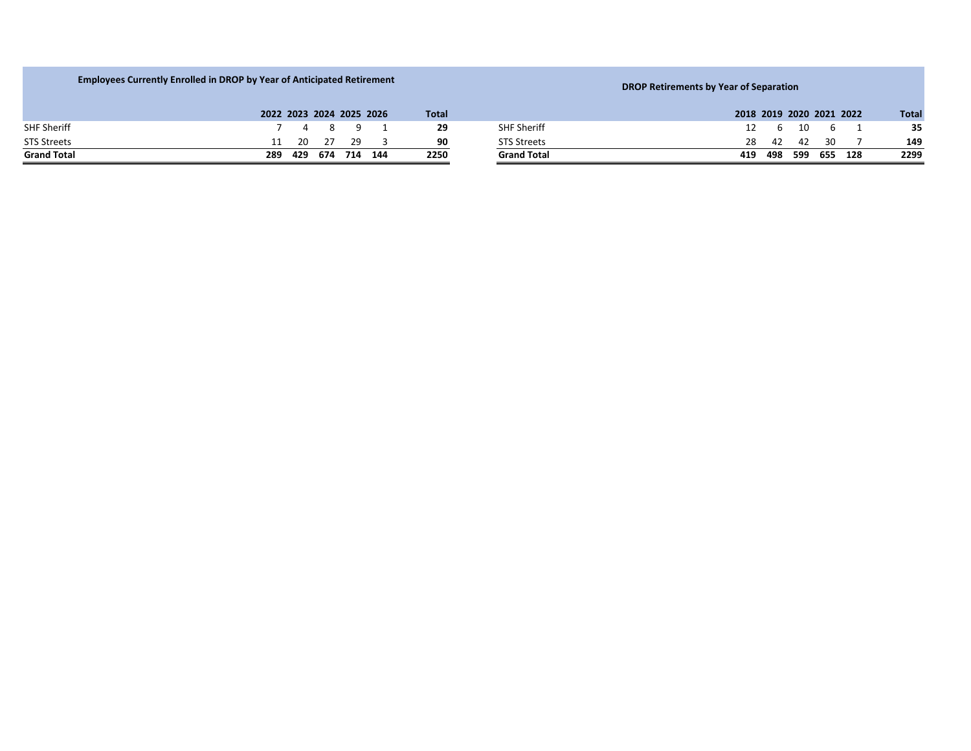| <b>Employees Currently Enrolled in DROP by Year of Anticipated Retirement</b> |     |                                             |     |     |                          |              |                    | <b>DROP Retirements by Year of Separation</b> |              |  |  |  |  |  |  |
|-------------------------------------------------------------------------------|-----|---------------------------------------------|-----|-----|--------------------------|--------------|--------------------|-----------------------------------------------|--------------|--|--|--|--|--|--|
|                                                                               |     |                                             |     |     | 2022 2023 2024 2025 2026 | <b>Total</b> |                    | 2018 2019 2020 2021 2022                      | <b>Total</b> |  |  |  |  |  |  |
| <b>SHF Sheriff</b>                                                            |     | $\begin{array}{cccc} 4 & 8 & 9 \end{array}$ |     |     |                          | 29           | <b>SHF Sheriff</b> | - 10<br>- 6<br>12<br>h.                       | 35           |  |  |  |  |  |  |
| <b>STS Streets</b>                                                            |     | -20                                         | 27  | 29  |                          | 90           | <b>STS Streets</b> | 28.<br>-30.<br>- 42<br>- 42                   | 149          |  |  |  |  |  |  |
| <b>Grand Total</b>                                                            | 289 | 429                                         | 674 | 714 | 144                      | 2250         | <b>Grand Total</b> | 498<br>599<br>655 128<br>419                  | 2299         |  |  |  |  |  |  |